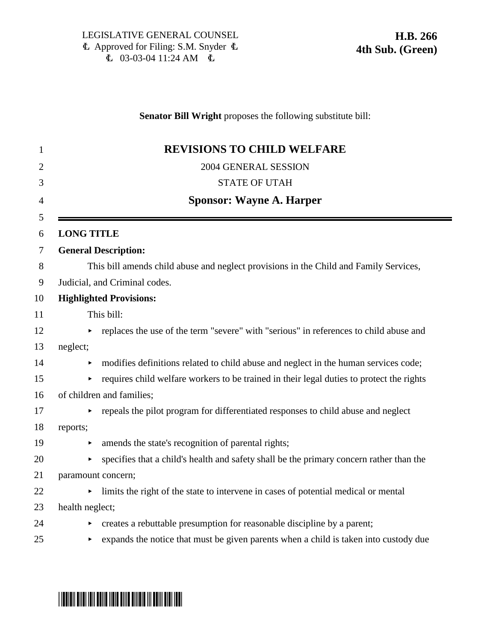### **Senator Bill Wright** proposes the following substitute bill:

|                       | <b>REVISIONS TO CHILD WELFARE</b>                                                        |
|-----------------------|------------------------------------------------------------------------------------------|
|                       | 2004 GENERAL SESSION                                                                     |
|                       | <b>STATE OF UTAH</b>                                                                     |
|                       | <b>Sponsor: Wayne A. Harper</b>                                                          |
| <b>LONG TITLE</b>     |                                                                                          |
|                       | <b>General Description:</b>                                                              |
|                       | This bill amends child abuse and neglect provisions in the Child and Family Services,    |
|                       | Judicial, and Criminal codes.                                                            |
|                       | <b>Highlighted Provisions:</b>                                                           |
|                       | This bill:                                                                               |
|                       | replaces the use of the term "severe" with "serious" in references to child abuse and    |
| neglect;              |                                                                                          |
| ▶                     | modifies definitions related to child abuse and neglect in the human services code;      |
| $\blacktriangleright$ | requires child welfare workers to be trained in their legal duties to protect the rights |
|                       | of children and families;                                                                |
|                       | repeals the pilot program for differentiated responses to child abuse and neglect        |
| reports;              |                                                                                          |
| ▶                     | amends the state's recognition of parental rights;                                       |
| ▶                     | specifies that a child's health and safety shall be the primary concern rather than the  |
|                       | paramount concern;                                                                       |
|                       | limits the right of the state to intervene in cases of potential medical or mental       |
| health neglect;       |                                                                                          |
| Þ.                    | creates a rebuttable presumption for reasonable discipline by a parent;                  |
| ▶                     | expands the notice that must be given parents when a child is taken into custody due     |

# \*HB0266S04\*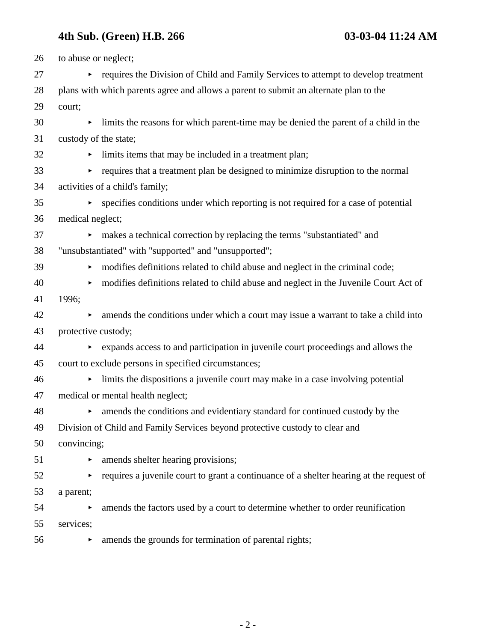| 26 | to abuse or neglect;  |                                                                                         |
|----|-----------------------|-----------------------------------------------------------------------------------------|
| 27 |                       | • requires the Division of Child and Family Services to attempt to develop treatment    |
| 28 |                       | plans with which parents agree and allows a parent to submit an alternate plan to the   |
| 29 | court;                |                                                                                         |
| 30 | ▶.                    | limits the reasons for which parent-time may be denied the parent of a child in the     |
| 31 | custody of the state; |                                                                                         |
| 32 |                       | limits items that may be included in a treatment plan;                                  |
| 33 |                       | requires that a treatment plan be designed to minimize disruption to the normal         |
| 34 |                       | activities of a child's family;                                                         |
| 35 |                       | • specifies conditions under which reporting is not required for a case of potential    |
| 36 | medical neglect;      |                                                                                         |
| 37 |                       | makes a technical correction by replacing the terms "substantiated" and                 |
| 38 |                       | "unsubstantiated" with "supported" and "unsupported";                                   |
| 39 |                       | modifies definitions related to child abuse and neglect in the criminal code;           |
| 40 |                       | modifies definitions related to child abuse and neglect in the Juvenile Court Act of    |
| 41 | 1996;                 |                                                                                         |
| 42 |                       | amends the conditions under which a court may issue a warrant to take a child into      |
| 43 | protective custody;   |                                                                                         |
| 44 |                       | • expands access to and participation in juvenile court proceedings and allows the      |
| 45 |                       | court to exclude persons in specified circumstances;                                    |
| 46 |                       | limits the dispositions a juvenile court may make in a case involving potential         |
| 47 |                       | medical or mental health neglect;                                                       |
| 48 | ► .                   | amends the conditions and evidentiary standard for continued custody by the             |
| 49 |                       | Division of Child and Family Services beyond protective custody to clear and            |
| 50 | convincing;           |                                                                                         |
| 51 | ▶                     | amends shelter hearing provisions;                                                      |
| 52 |                       | requires a juvenile court to grant a continuance of a shelter hearing at the request of |
| 53 | a parent;             |                                                                                         |
| 54 | ▶                     | amends the factors used by a court to determine whether to order reunification          |
| 55 | services;             |                                                                                         |
| 56 |                       | amends the grounds for termination of parental rights;                                  |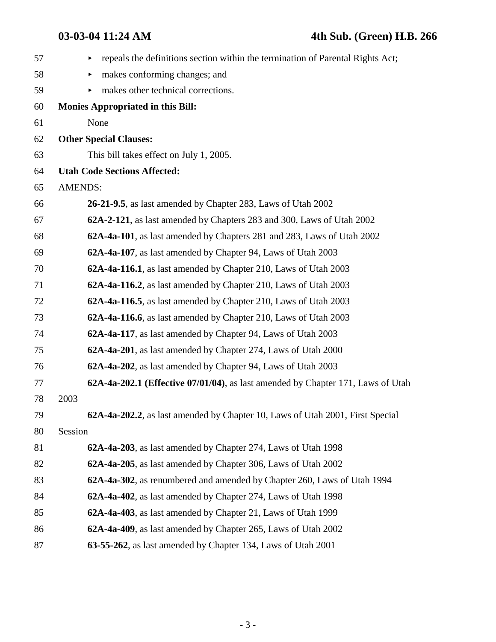| 57 | repeals the definitions section within the termination of Parental Rights Act;<br>▶ |
|----|-------------------------------------------------------------------------------------|
| 58 | makes conforming changes; and<br>▶                                                  |
| 59 | makes other technical corrections.<br>▶                                             |
| 60 | <b>Monies Appropriated in this Bill:</b>                                            |
| 61 | None                                                                                |
| 62 | <b>Other Special Clauses:</b>                                                       |
| 63 | This bill takes effect on July 1, 2005.                                             |
| 64 | <b>Utah Code Sections Affected:</b>                                                 |
| 65 | <b>AMENDS:</b>                                                                      |
| 66 | 26-21-9.5, as last amended by Chapter 283, Laws of Utah 2002                        |
| 67 | 62A-2-121, as last amended by Chapters 283 and 300, Laws of Utah 2002               |
| 68 | 62A-4a-101, as last amended by Chapters 281 and 283, Laws of Utah 2002              |
| 69 | 62A-4a-107, as last amended by Chapter 94, Laws of Utah 2003                        |
| 70 | 62A-4a-116.1, as last amended by Chapter 210, Laws of Utah 2003                     |
| 71 | 62A-4a-116.2, as last amended by Chapter 210, Laws of Utah 2003                     |
| 72 | 62A-4a-116.5, as last amended by Chapter 210, Laws of Utah 2003                     |
| 73 | 62A-4a-116.6, as last amended by Chapter 210, Laws of Utah 2003                     |
| 74 | 62A-4a-117, as last amended by Chapter 94, Laws of Utah 2003                        |
| 75 | 62A-4a-201, as last amended by Chapter 274, Laws of Utah 2000                       |
| 76 | 62A-4a-202, as last amended by Chapter 94, Laws of Utah 2003                        |
| 77 | 62A-4a-202.1 (Effective 07/01/04), as last amended by Chapter 171, Laws of Utah     |
| 78 | 2003                                                                                |
| 79 | 62A-4a-202.2, as last amended by Chapter 10, Laws of Utah 2001, First Special       |
| 80 | Session                                                                             |
| 81 | 62A-4a-203, as last amended by Chapter 274, Laws of Utah 1998                       |
| 82 | 62A-4a-205, as last amended by Chapter 306, Laws of Utah 2002                       |
| 83 | 62A-4a-302, as renumbered and amended by Chapter 260, Laws of Utah 1994             |
| 84 | 62A-4a-402, as last amended by Chapter 274, Laws of Utah 1998                       |
| 85 | 62A-4a-403, as last amended by Chapter 21, Laws of Utah 1999                        |
| 86 | 62A-4a-409, as last amended by Chapter 265, Laws of Utah 2002                       |
| 87 | 63-55-262, as last amended by Chapter 134, Laws of Utah 2001                        |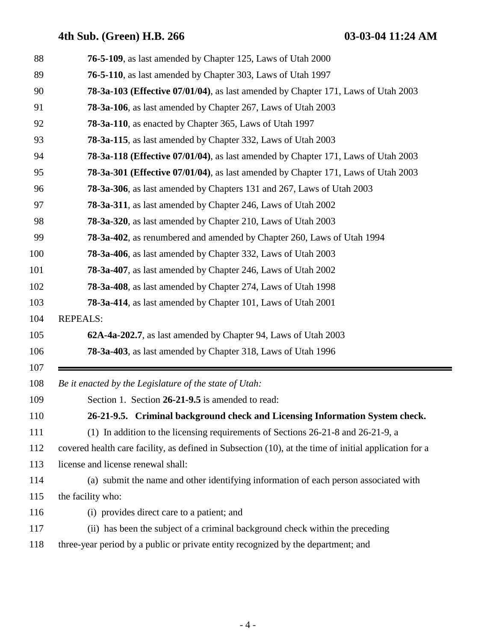| 88         | <b>76-5-109</b> , as last amended by Chapter 125, Laws of Utah 2000                                   |
|------------|-------------------------------------------------------------------------------------------------------|
| 89         | <b>76-5-110</b> , as last amended by Chapter 303, Laws of Utah 1997                                   |
| 90         | 78-3a-103 (Effective 07/01/04), as last amended by Chapter 171, Laws of Utah 2003                     |
| 91         | 78-3a-106, as last amended by Chapter 267, Laws of Utah 2003                                          |
| 92         | 78-3a-110, as enacted by Chapter 365, Laws of Utah 1997                                               |
| 93         | <b>78-3a-115</b> , as last amended by Chapter 332, Laws of Utah 2003                                  |
| 94         | 78-3a-118 (Effective 07/01/04), as last amended by Chapter 171, Laws of Utah 2003                     |
| 95         | 78-3a-301 (Effective 07/01/04), as last amended by Chapter 171, Laws of Utah 2003                     |
| 96         | 78-3a-306, as last amended by Chapters 131 and 267, Laws of Utah 2003                                 |
| 97         | <b>78-3a-311</b> , as last amended by Chapter 246, Laws of Utah 2002                                  |
| 98         | 78-3a-320, as last amended by Chapter 210, Laws of Utah 2003                                          |
| 99         | <b>78-3a-402</b> , as renumbered and amended by Chapter 260, Laws of Utah 1994                        |
| 100        | 78-3a-406, as last amended by Chapter 332, Laws of Utah 2003                                          |
| 101        | 78-3a-407, as last amended by Chapter 246, Laws of Utah 2002                                          |
| 102        | <b>78-3a-408</b> , as last amended by Chapter 274, Laws of Utah 1998                                  |
| 103        | 78-3a-414, as last amended by Chapter 101, Laws of Utah 2001                                          |
| 104        | <b>REPEALS:</b>                                                                                       |
| 105        | 62A-4a-202.7, as last amended by Chapter 94, Laws of Utah 2003                                        |
| 106        | 78-3a-403, as last amended by Chapter 318, Laws of Utah 1996                                          |
| 107<br>108 | Be it enacted by the Legislature of the state of Utah:                                                |
| 109        | Section 1. Section 26-21-9.5 is amended to read:                                                      |
| 110        | 26-21-9.5. Criminal background check and Licensing Information System check.                          |
| 111        | (1) In addition to the licensing requirements of Sections 26-21-8 and 26-21-9, a                      |
| 112        | covered health care facility, as defined in Subsection (10), at the time of initial application for a |
| 113        | license and license renewal shall:                                                                    |
| 114        | (a) submit the name and other identifying information of each person associated with                  |
| 115        | the facility who:                                                                                     |
| 116        | (i) provides direct care to a patient; and                                                            |
| 117        | (ii) has been the subject of a criminal background check within the preceding                         |
| 118        | three-year period by a public or private entity recognized by the department; and                     |
|            |                                                                                                       |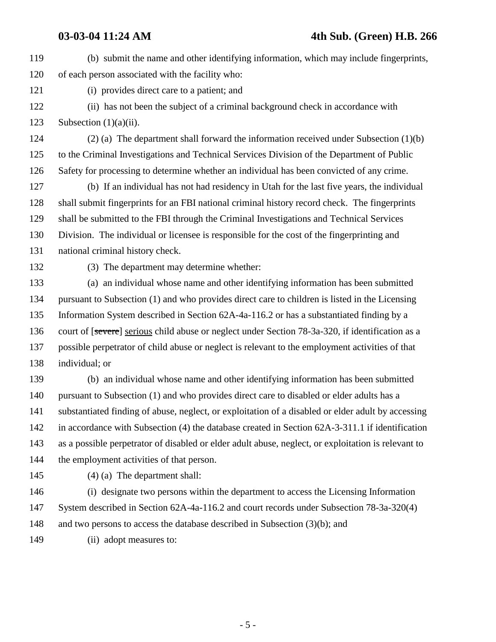119 (b) submit the name and other identifying information, which may include fingerprints, 120 of each person associated with the facility who: 121 (i) provides direct care to a patient; and 122 (ii) has not been the subject of a criminal background check in accordance with 123 Subsection  $(1)(a)(ii)$ . 124 (2) (a) The department shall forward the information received under Subsection (1)(b) 125 to the Criminal Investigations and Technical Services Division of the Department of Public 126 Safety for processing to determine whether an individual has been convicted of any crime. 127 (b) If an individual has not had residency in Utah for the last five years, the individual 128 shall submit fingerprints for an FBI national criminal history record check. The fingerprints 129 shall be submitted to the FBI through the Criminal Investigations and Technical Services 130 Division. The individual or licensee is responsible for the cost of the fingerprinting and 131 national criminal history check. 132 (3) The department may determine whether: 133 (a) an individual whose name and other identifying information has been submitted 134 pursuant to Subsection (1) and who provides direct care to children is listed in the Licensing 135 Information System described in Section 62A-4a-116.2 or has a substantiated finding by a 136 court of [severe] serious child abuse or neglect under Section 78-3a-320, if identification as a 137 possible perpetrator of child abuse or neglect is relevant to the employment activities of that 138 individual; or 139 (b) an individual whose name and other identifying information has been submitted 140 pursuant to Subsection (1) and who provides direct care to disabled or elder adults has a 141 substantiated finding of abuse, neglect, or exploitation of a disabled or elder adult by accessing 142 in accordance with Subsection (4) the database created in Section 62A-3-311.1 if identification

143 as a possible perpetrator of disabled or elder adult abuse, neglect, or exploitation is relevant to 144 the employment activities of that person.

145 (4) (a) The department shall:

146 (i) designate two persons within the department to access the Licensing Information 147 System described in Section 62A-4a-116.2 and court records under Subsection 78-3a-320(4) 148 and two persons to access the database described in Subsection (3)(b); and

149 (ii) adopt measures to:

- 5 -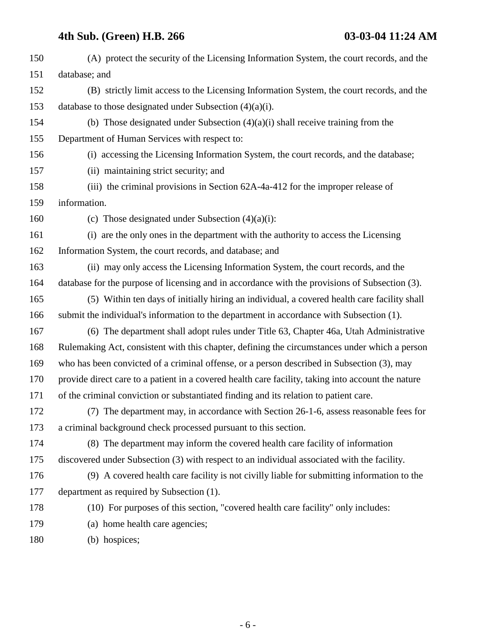| 150 | (A) protect the security of the Licensing Information System, the court records, and the           |
|-----|----------------------------------------------------------------------------------------------------|
| 151 | database; and                                                                                      |
| 152 | (B) strictly limit access to the Licensing Information System, the court records, and the          |
| 153 | database to those designated under Subsection $(4)(a)(i)$ .                                        |
| 154 | (b) Those designated under Subsection $(4)(a)(i)$ shall receive training from the                  |
| 155 | Department of Human Services with respect to:                                                      |
| 156 | (i) accessing the Licensing Information System, the court records, and the database;               |
| 157 | (ii) maintaining strict security; and                                                              |
| 158 | (iii) the criminal provisions in Section 62A-4a-412 for the improper release of                    |
| 159 | information.                                                                                       |
| 160 | (c) Those designated under Subsection $(4)(a)(i)$ :                                                |
| 161 | (i) are the only ones in the department with the authority to access the Licensing                 |
| 162 | Information System, the court records, and database; and                                           |
| 163 | (ii) may only access the Licensing Information System, the court records, and the                  |
| 164 | database for the purpose of licensing and in accordance with the provisions of Subsection (3).     |
| 165 | (5) Within ten days of initially hiring an individual, a covered health care facility shall        |
| 166 | submit the individual's information to the department in accordance with Subsection (1).           |
| 167 | (6) The department shall adopt rules under Title 63, Chapter 46a, Utah Administrative              |
| 168 | Rulemaking Act, consistent with this chapter, defining the circumstances under which a person      |
| 169 | who has been convicted of a criminal offense, or a person described in Subsection (3), may         |
| 170 | provide direct care to a patient in a covered health care facility, taking into account the nature |
| 171 | of the criminal conviction or substantiated finding and its relation to patient care.              |
| 172 | (7) The department may, in accordance with Section 26-1-6, assess reasonable fees for              |
| 173 | a criminal background check processed pursuant to this section.                                    |
| 174 | (8) The department may inform the covered health care facility of information                      |
| 175 | discovered under Subsection (3) with respect to an individual associated with the facility.        |
| 176 | (9) A covered health care facility is not civilly liable for submitting information to the         |
| 177 | department as required by Subsection (1).                                                          |
| 178 | (10) For purposes of this section, "covered health care facility" only includes:                   |
| 179 | (a) home health care agencies;                                                                     |
| 180 | (b) hospices;                                                                                      |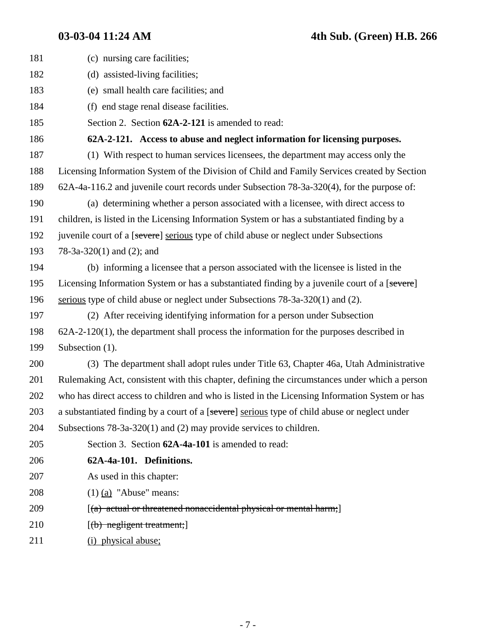| 181 | (c) nursing care facilities;                                                                   |
|-----|------------------------------------------------------------------------------------------------|
| 182 | (d) assisted-living facilities;                                                                |
| 183 | (e) small health care facilities; and                                                          |
| 184 | (f) end stage renal disease facilities.                                                        |
| 185 | Section 2. Section 62A-2-121 is amended to read:                                               |
| 186 | 62A-2-121. Access to abuse and neglect information for licensing purposes.                     |
| 187 | (1) With respect to human services licensees, the department may access only the               |
| 188 | Licensing Information System of the Division of Child and Family Services created by Section   |
| 189 | 62A-4a-116.2 and juvenile court records under Subsection 78-3a-320(4), for the purpose of:     |
| 190 | (a) determining whether a person associated with a licensee, with direct access to             |
| 191 | children, is listed in the Licensing Information System or has a substantiated finding by a    |
| 192 | juvenile court of a [severe] serious type of child abuse or neglect under Subsections          |
| 193 | $78-3a-320(1)$ and $(2)$ ; and                                                                 |
| 194 | (b) informing a licensee that a person associated with the licensee is listed in the           |
| 195 | Licensing Information System or has a substantiated finding by a juvenile court of a [severe]  |
| 196 | serious type of child abuse or neglect under Subsections $78-3a-320(1)$ and (2).               |
| 197 | (2) After receiving identifying information for a person under Subsection                      |
| 198 | $62A-2-120(1)$ , the department shall process the information for the purposes described in    |
| 199 | Subsection (1).                                                                                |
| 200 | (3) The department shall adopt rules under Title 63, Chapter 46a, Utah Administrative          |
| 201 | Rulemaking Act, consistent with this chapter, defining the circumstances under which a person  |
| 202 | who has direct access to children and who is listed in the Licensing Information System or has |
| 203 | a substantiated finding by a court of a [severe] serious type of child abuse or neglect under  |
| 204 | Subsections $78-3a-320(1)$ and (2) may provide services to children.                           |
| 205 | Section 3. Section 62A-4a-101 is amended to read:                                              |
| 206 | 62A-4a-101. Definitions.                                                                       |
| 207 | As used in this chapter:                                                                       |
| 208 | $(1)$ $(a)$ "Abuse" means:                                                                     |
| 209 | $[(a)$ actual or threatened nonaccidental physical or mental harm;                             |
| 210 | $[$ (b) negligent treatment;]                                                                  |
|     |                                                                                                |

211 (i) physical abuse;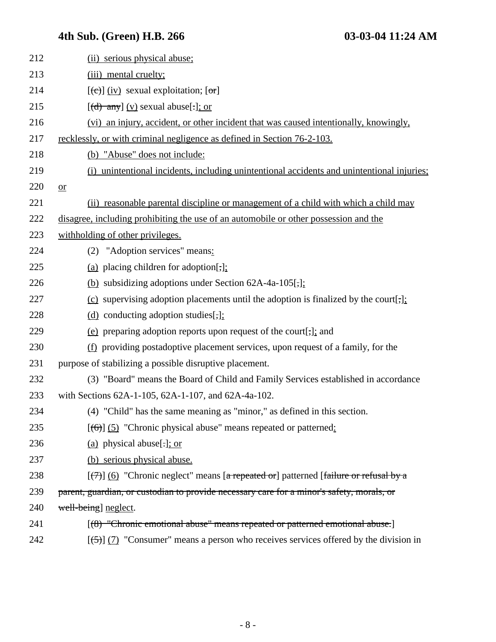| 212 | (ii) serious physical abuse;                                                                      |
|-----|---------------------------------------------------------------------------------------------------|
| 213 | (iii) mental cruelty;                                                                             |
| 214 | $[\text{e}(\text{e})]$ (iv) sexual exploitation; $[\text{or}]$                                    |
| 215 | $[(d)$ any] (v) sexual abuse[:]; or                                                               |
| 216 | (vi) an injury, accident, or other incident that was caused intentionally, knowingly,             |
| 217 | recklessly, or with criminal negligence as defined in Section 76-2-103.                           |
| 218 | (b) "Abuse" does not include:                                                                     |
| 219 | (i) unintentional incidents, including unintentional accidents and unintentional injuries;        |
| 220 | $or$                                                                                              |
| 221 | (ii) reasonable parental discipline or management of a child with which a child may               |
| 222 | disagree, including prohibiting the use of an automobile or other possession and the              |
| 223 | withholding of other privileges.                                                                  |
| 224 | (2) "Adoption services" means:                                                                    |
| 225 | (a) placing children for adoption[,];                                                             |
| 226 | (b) subsidizing adoptions under Section $62A-4a-105$ ,                                            |
| 227 | (c) supervising adoption placements until the adoption is finalized by the court[;]:              |
| 228 | (d) conducting adoption studies $[\, , ]$ ;                                                       |
| 229 | (e) preparing adoption reports upon request of the court[,]; and                                  |
| 230 | $(f)$ providing postadoptive placement services, upon request of a family, for the                |
| 231 | purpose of stabilizing a possible disruptive placement.                                           |
| 232 | (3) "Board" means the Board of Child and Family Services established in accordance                |
| 233 | with Sections 62A-1-105, 62A-1-107, and 62A-4a-102.                                               |
| 234 | (4) "Child" has the same meaning as "minor," as defined in this section.                          |
| 235 | $[(6)]$ (5) "Chronic physical abuse" means repeated or patterned:                                 |
| 236 | (a) physical abuse[ $:$ ]; or                                                                     |
| 237 | (b) serious physical abuse.                                                                       |
| 238 | $[\overline{(+)}]$ (6) "Chronic neglect" means [a repeated or] patterned [failure or refusal by a |
| 239 | parent, guardian, or custodian to provide necessary care for a minor's safety, morals, or         |
| 240 | well-being] neglect.                                                                              |
| 241 | [(8) "Chronic emotional abuse" means repeated or patterned emotional abuse.]                      |
| 242 | $[\frac{(-5)}{7}]$ (7) "Consumer" means a person who receives services offered by the division in |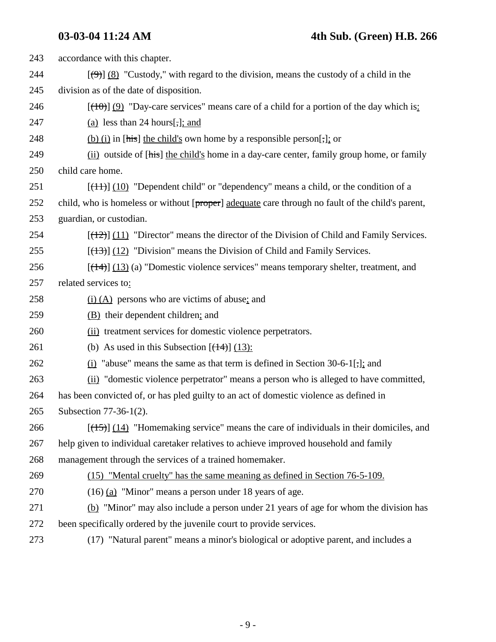| 243 | accordance with this chapter.                                                                               |
|-----|-------------------------------------------------------------------------------------------------------------|
| 244 | $[\frac{(\Theta)}{8}]$ (8) "Custody," with regard to the division, means the custody of a child in the      |
| 245 | division as of the date of disposition.                                                                     |
| 246 | $[(10)(9)$ "Day-care services" means care of a child for a portion of the day which is:                     |
| 247 | (a) less than 24 hours $\lbrack \cdot \rbrack$ ; and                                                        |
| 248 | (b) (i) in [his] the child's own home by a responsible person[;]; or                                        |
| 249 | (ii) outside of [his] the child's home in a day-care center, family group home, or family                   |
| 250 | child care home.                                                                                            |
| 251 | $[\frac{11}{1}]$ (10) "Dependent child" or "dependency" means a child, or the condition of a                |
| 252 | child, who is homeless or without [proper] adequate care through no fault of the child's parent,            |
| 253 | guardian, or custodian.                                                                                     |
| 254 | $[$ ( $\frac{12}{2}$ ) $]$ (11) "Director" means the director of the Division of Child and Family Services. |
| 255 | $[ (13) ] (12)$ "Division" means the Division of Child and Family Services.                                 |
| 256 | $[\frac{14}{3}]$ (13) (a) "Domestic violence services" means temporary shelter, treatment, and              |
| 257 | related services to:                                                                                        |
| 258 | $(i)$ (A) persons who are victims of abuse; and                                                             |
| 259 | (B) their dependent children; and                                                                           |
| 260 | (ii) treatment services for domestic violence perpetrators.                                                 |
| 261 | (b) As used in this Subsection $[$ ( $\frac{14}{13}$ ):                                                     |
| 262 | $(i)$ "abuse" means the same as that term is defined in Section 30-6-1[;]; and                              |
| 263 | (ii) "domestic violence perpetrator" means a person who is alleged to have committed,                       |
| 264 | has been convicted of, or has pled guilty to an act of domestic violence as defined in                      |
| 265 | Subsection 77-36-1(2).                                                                                      |
| 266 | $[ (15) ]$ (14) "Homemaking service" means the care of individuals in their domiciles, and                  |
| 267 | help given to individual caretaker relatives to achieve improved household and family                       |
| 268 | management through the services of a trained homemaker.                                                     |
| 269 | (15) "Mental cruelty" has the same meaning as defined in Section 76-5-109.                                  |
| 270 | $(16)$ (a) "Minor" means a person under 18 years of age.                                                    |
| 271 | (b) "Minor" may also include a person under 21 years of age for whom the division has                       |
| 272 | been specifically ordered by the juvenile court to provide services.                                        |
| 273 | (17) "Natural parent" means a minor's biological or adoptive parent, and includes a                         |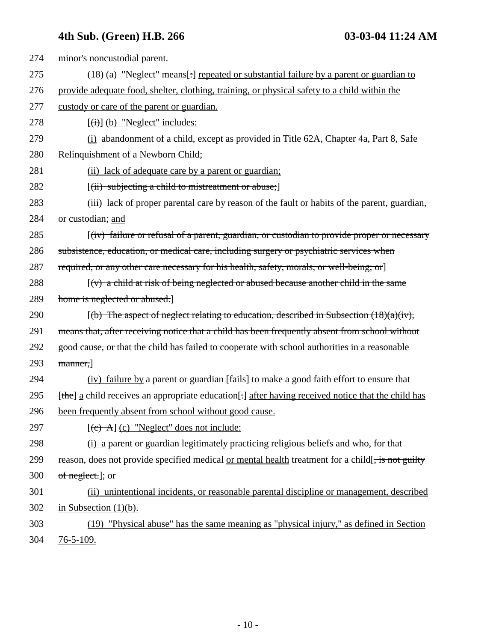| 274 | minor's noncustodial parent.                                                                             |
|-----|----------------------------------------------------------------------------------------------------------|
| 275 | (18) (a) "Neglect" means[:] repeated or substantial failure by a parent or guardian to                   |
| 276 | provide adequate food, shelter, clothing, training, or physical safety to a child within the             |
| 277 | custody or care of the parent or guardian.                                                               |
| 278 | $[\overrightarrow{(i)}]$ (b) "Neglect" includes:                                                         |
| 279 | (i) abandonment of a child, except as provided in Title 62A, Chapter 4a, Part 8, Safe                    |
| 280 | Relinquishment of a Newborn Child;                                                                       |
| 281 | (ii) lack of adequate care by a parent or guardian;                                                      |
| 282 | $[(ii)$ subjecting a child to mistreatment or abuse;                                                     |
| 283 | (iii) lack of proper parental care by reason of the fault or habits of the parent, guardian,             |
| 284 | or custodian; and                                                                                        |
| 285 | $(iv)$ failure or refusal of a parent, guardian, or custodian to provide proper or necessary             |
| 286 | subsistence, education, or medical care, including surgery or psychiatric services when                  |
| 287 | required, or any other care necessary for his health, safety, morals, or well-being; or                  |
| 288 | $(v)$ a child at risk of being neglected or abused because another child in the same                     |
| 289 | home is neglected or abused.]                                                                            |
| 290 | $[(b)$ The aspect of neglect relating to education, described in Subsection $(18)(a)(iv)$ ,              |
| 291 | means that, after receiving notice that a child has been frequently absent from school without           |
| 292 | good cause, or that the child has failed to cooperate with school authorities in a reasonable            |
| 293 | manner,                                                                                                  |
| 294 | (iv) failure by a parent or guardian [fails] to make a good faith effort to ensure that                  |
| 295 | [the] a child receives an appropriate education[-] after having received notice that the child has       |
| 296 | been frequently absent from school without good cause.                                                   |
| 297 | $[\text{c}^{\text{+}}]$ (c) "Neglect" does not include:                                                  |
| 298 | (i) a parent or guardian legitimately practicing religious beliefs and who, for that                     |
| 299 | reason, does not provide specified medical <u>or mental health</u> treatment for a child[, is not guilty |
| 300 | of neglect.]; or                                                                                         |
| 301 | (ii) unintentional incidents, or reasonable parental discipline or management, described                 |
| 302 | in Subsection $(1)(b)$ .                                                                                 |
| 303 | (19) "Physical abuse" has the same meaning as "physical injury," as defined in Section                   |
| 304 | $76 - 5 - 109.$                                                                                          |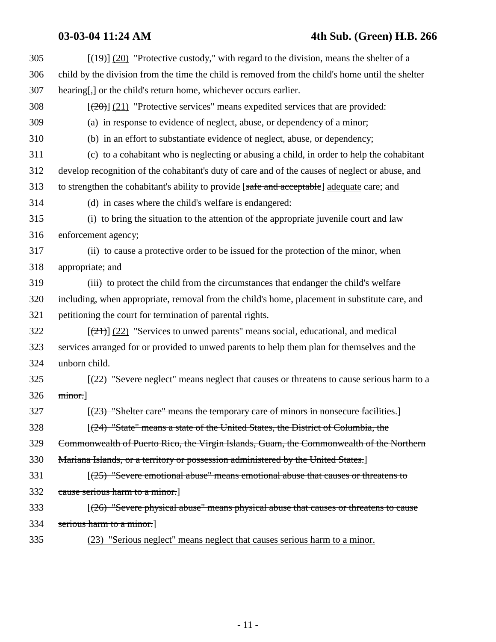### **03-03-04 11:24 AM 4th Sub. (Green) H.B. 266**

| 305 | $[$ ( $\frac{19}{20}$ ) $\frac{120}{20}$ "Protective custody," with regard to the division, means the shelter of a |
|-----|--------------------------------------------------------------------------------------------------------------------|
| 306 | child by the division from the time the child is removed from the child's home until the shelter                   |
| 307 | hearing[,] or the child's return home, whichever occurs earlier.                                                   |
| 308 | $[\frac{(20)}{(21)}]$ "Protective services" means expedited services that are provided:                            |
| 309 | (a) in response to evidence of neglect, abuse, or dependency of a minor;                                           |
| 310 | (b) in an effort to substantiate evidence of neglect, abuse, or dependency;                                        |
| 311 | (c) to a cohabitant who is neglecting or abusing a child, in order to help the cohabitant                          |
| 312 | develop recognition of the cohabitant's duty of care and of the causes of neglect or abuse, and                    |
| 313 | to strengthen the cohabitant's ability to provide [safe and acceptable] adequate care; and                         |
| 314 | (d) in cases where the child's welfare is endangered:                                                              |
| 315 | (i) to bring the situation to the attention of the appropriate juvenile court and law                              |
| 316 | enforcement agency;                                                                                                |
| 317 | (ii) to cause a protective order to be issued for the protection of the minor, when                                |
| 318 | appropriate; and                                                                                                   |
| 319 | (iii) to protect the child from the circumstances that endanger the child's welfare                                |
| 320 | including, when appropriate, removal from the child's home, placement in substitute care, and                      |
| 321 | petitioning the court for termination of parental rights.                                                          |
| 322 | $[\frac{(21)}{(22)}]$ "Services to unwed parents" means social, educational, and medical                           |
| 323 | services arranged for or provided to unwed parents to help them plan for themselves and the                        |
| 324 | unborn child.                                                                                                      |
| 325 | $[(22)$ "Severe neglect" means neglect that causes or threatens to cause serious harm to a                         |
| 326 | minor.]                                                                                                            |
| 327 | [(23) "Shelter care" means the temporary care of minors in nonsecure facilities.]                                  |
| 328 | $[(24)$ "State" means a state of the United States, the District of Columbia, the                                  |
| 329 | Commonwealth of Puerto Rico, the Virgin Islands, Guam, the Commonwealth of the Northern                            |
| 330 | Mariana Islands, or a territory or possession administered by the United States.]                                  |
| 331 | $(25)$ "Severe emotional abuse" means emotional abuse that causes or threatens to                                  |
| 332 | cause serious harm to a minor.                                                                                     |
| 333 | $(26)$ "Severe physical abuse" means physical abuse that causes or threatens to cause                              |
| 334 | serious harm to a minor.                                                                                           |
|     |                                                                                                                    |

335 (23) "Serious neglect" means neglect that causes serious harm to a minor.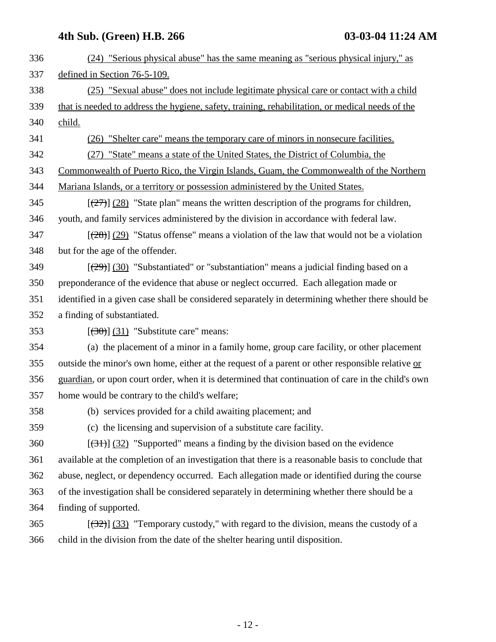| 336 | (24) "Serious physical abuse" has the same meaning as "serious physical injury," as               |
|-----|---------------------------------------------------------------------------------------------------|
| 337 | defined in Section 76-5-109.                                                                      |
| 338 | (25) "Sexual abuse" does not include legitimate physical care or contact with a child             |
| 339 | that is needed to address the hygiene, safety, training, rehabilitation, or medical needs of the  |
| 340 | child.                                                                                            |
| 341 | (26) "Shelter care" means the temporary care of minors in nonsecure facilities.                   |
| 342 | (27) "State" means a state of the United States, the District of Columbia, the                    |
| 343 | Commonwealth of Puerto Rico, the Virgin Islands, Guam, the Commonwealth of the Northern           |
| 344 | Mariana Islands, or a territory or possession administered by the United States.                  |
| 345 | $[\frac{27}{27}]$ (28) "State plan" means the written description of the programs for children,   |
| 346 | youth, and family services administered by the division in accordance with federal law.           |
| 347 | $[\frac{(28)}{(29)}]$ "Status offense" means a violation of the law that would not be a violation |
| 348 | but for the age of the offender.                                                                  |
| 349 | $[\frac{29}{30}]$ Substantiated" or "substantiation" means a judicial finding based on a          |
| 350 | preponderance of the evidence that abuse or neglect occurred. Each allegation made or             |
| 351 | identified in a given case shall be considered separately in determining whether there should be  |
| 352 | a finding of substantiated.                                                                       |
| 353 | $[\left(30\right)]$ (31) "Substitute care" means:                                                 |
| 354 | (a) the placement of a minor in a family home, group care facility, or other placement            |
| 355 | outside the minor's own home, either at the request of a parent or other responsible relative or  |
| 356 | guardian, or upon court order, when it is determined that continuation of care in the child's own |
| 357 | home would be contrary to the child's welfare;                                                    |
| 358 | (b) services provided for a child awaiting placement; and                                         |
| 359 | (c) the licensing and supervision of a substitute care facility.                                  |
| 360 | $[\frac{(31)}{(32)}]$ "Supported" means a finding by the division based on the evidence           |
| 361 | available at the completion of an investigation that there is a reasonable basis to conclude that |
| 362 | abuse, neglect, or dependency occurred. Each allegation made or identified during the course      |
| 363 | of the investigation shall be considered separately in determining whether there should be a      |
| 364 | finding of supported.                                                                             |
| 365 | $[322]$ (33) "Temporary custody," with regard to the division, means the custody of a             |
| 366 | child in the division from the date of the shelter hearing until disposition.                     |
|     |                                                                                                   |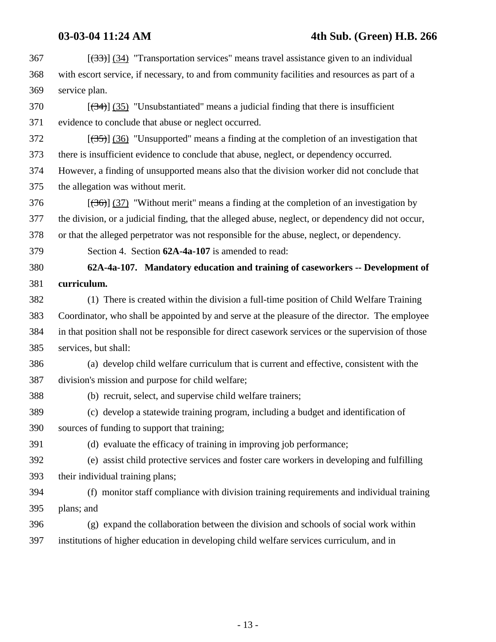### **03-03-04 11:24 AM 4th Sub. (Green) H.B. 266**

 $367$  [ $(33)$ ] (34) "Transportation services" means travel assistance given to an individual 368 with escort service, if necessary, to and from community facilities and resources as part of a 369 service plan.

 $370$  [ $(34)$ ]  $(35)$  "Unsubstantiated" means a judicial finding that there is insufficient 371 evidence to conclude that abuse or neglect occurred.

 $372$  [(35)] (36) "Unsupported" means a finding at the completion of an investigation that 373 there is insufficient evidence to conclude that abuse, neglect, or dependency occurred. 374 However, a finding of unsupported means also that the division worker did not conclude that

375 the allegation was without merit.

 $376$  [(36)] (37) "Without merit" means a finding at the completion of an investigation by 377 the division, or a judicial finding, that the alleged abuse, neglect, or dependency did not occur, 378 or that the alleged perpetrator was not responsible for the abuse, neglect, or dependency.

379 Section 4. Section **62A-4a-107** is amended to read:

380 **62A-4a-107. Mandatory education and training of caseworkers -- Development of** 381 **curriculum.**

382 (1) There is created within the division a full-time position of Child Welfare Training 383 Coordinator, who shall be appointed by and serve at the pleasure of the director. The employee 384 in that position shall not be responsible for direct casework services or the supervision of those 385 services, but shall:

386 (a) develop child welfare curriculum that is current and effective, consistent with the 387 division's mission and purpose for child welfare;

388 (b) recruit, select, and supervise child welfare trainers;

389 (c) develop a statewide training program, including a budget and identification of 390 sources of funding to support that training;

391 (d) evaluate the efficacy of training in improving job performance;

392 (e) assist child protective services and foster care workers in developing and fulfilling 393 their individual training plans;

394 (f) monitor staff compliance with division training requirements and individual training 395 plans; and

396 (g) expand the collaboration between the division and schools of social work within 397 institutions of higher education in developing child welfare services curriculum, and in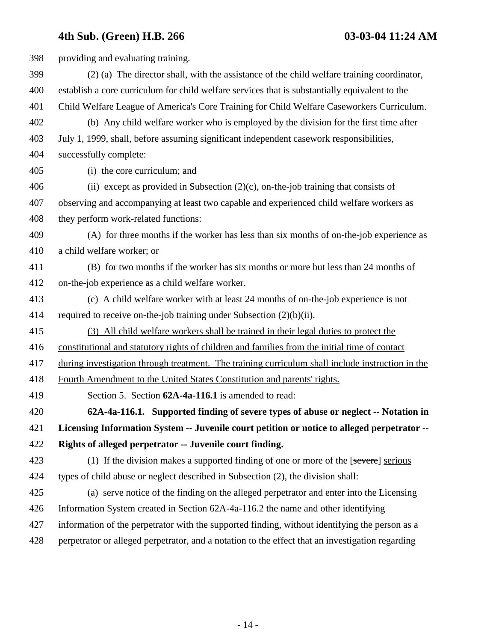| 398 | providing and evaluating training.                                                               |
|-----|--------------------------------------------------------------------------------------------------|
| 399 | (2) (a) The director shall, with the assistance of the child welfare training coordinator,       |
| 400 | establish a core curriculum for child welfare services that is substantially equivalent to the   |
| 401 | Child Welfare League of America's Core Training for Child Welfare Caseworkers Curriculum.        |
| 402 | (b) Any child welfare worker who is employed by the division for the first time after            |
| 403 | July 1, 1999, shall, before assuming significant independent casework responsibilities,          |
| 404 | successfully complete:                                                                           |
| 405 | (i) the core curriculum; and                                                                     |
| 406 | (ii) except as provided in Subsection $(2)(c)$ , on-the-job training that consists of            |
| 407 | observing and accompanying at least two capable and experienced child welfare workers as         |
| 408 | they perform work-related functions:                                                             |
| 409 | (A) for three months if the worker has less than six months of on-the-job experience as          |
| 410 | a child welfare worker; or                                                                       |
| 411 | (B) for two months if the worker has six months or more but less than 24 months of               |
| 412 | on-the-job experience as a child welfare worker.                                                 |
| 413 | (c) A child welfare worker with at least 24 months of on-the-job experience is not               |
| 414 | required to receive on-the-job training under Subsection $(2)(b)(ii)$ .                          |
| 415 | (3) All child welfare workers shall be trained in their legal duties to protect the              |
| 416 | constitutional and statutory rights of children and families from the initial time of contact    |
| 417 | during investigation through treatment. The training curriculum shall include instruction in the |
| 418 | Fourth Amendment to the United States Constitution and parents' rights.                          |
| 419 | Section 5. Section 62A-4a-116.1 is amended to read:                                              |
| 420 | 62A-4a-116.1. Supported finding of severe types of abuse or neglect -- Notation in               |
| 421 | Licensing Information System -- Juvenile court petition or notice to alleged perpetrator --      |
| 422 | Rights of alleged perpetrator -- Juvenile court finding.                                         |
| 423 | (1) If the division makes a supported finding of one or more of the [severe] serious             |
| 424 | types of child abuse or neglect described in Subsection (2), the division shall:                 |
| 425 | (a) serve notice of the finding on the alleged perpetrator and enter into the Licensing          |
| 426 | Information System created in Section 62A-4a-116.2 the name and other identifying                |
| 427 | information of the perpetrator with the supported finding, without identifying the person as a   |
| 428 | perpetrator or alleged perpetrator, and a notation to the effect that an investigation regarding |
|     |                                                                                                  |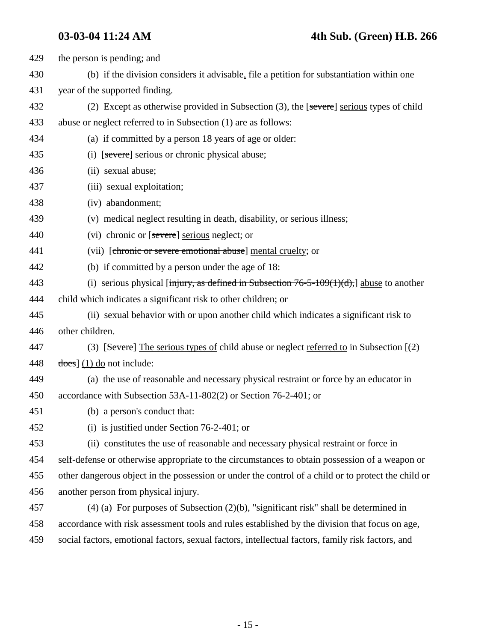| 429 | the person is pending; and                                                                          |
|-----|-----------------------------------------------------------------------------------------------------|
| 430 | (b) if the division considers it advisable, file a petition for substantiation within one           |
| 431 | year of the supported finding.                                                                      |
| 432 | (2) Except as otherwise provided in Subsection (3), the [severe] serious types of child             |
| 433 | abuse or neglect referred to in Subsection (1) are as follows:                                      |
| 434 | (a) if committed by a person 18 years of age or older:                                              |
| 435 | (i) [severe] serious or chronic physical abuse;                                                     |
| 436 | (ii) sexual abuse;                                                                                  |
| 437 | (iii) sexual exploitation;                                                                          |
| 438 | (iv) abandonment;                                                                                   |
| 439 | (v) medical neglect resulting in death, disability, or serious illness;                             |
| 440 | (vi) chronic or [severe] serious neglect; or                                                        |
| 441 | (vii) [chronic or severe emotional abuse] mental cruelty; or                                        |
| 442 | (b) if committed by a person under the age of 18:                                                   |
| 443 | (i) serious physical [injury, as defined in Subsection $76-5-109(1)(d)$ ,] abuse to another         |
| 444 | child which indicates a significant risk to other children; or                                      |
| 445 | (ii) sexual behavior with or upon another child which indicates a significant risk to               |
| 446 | other children.                                                                                     |
| 447 | (3) [Severe] The serious types of child abuse or neglect referred to in Subsection $(\frac{2}{2})$  |
| 448 | $\frac{1}{1}$ (1) do not include:                                                                   |
| 449 | (a) the use of reasonable and necessary physical restraint or force by an educator in               |
| 450 | accordance with Subsection 53A-11-802(2) or Section 76-2-401; or                                    |
| 451 | (b) a person's conduct that:                                                                        |
| 452 | (i) is justified under Section $76-2-401$ ; or                                                      |
| 453 | (ii) constitutes the use of reasonable and necessary physical restraint or force in                 |
| 454 | self-defense or otherwise appropriate to the circumstances to obtain possession of a weapon or      |
| 455 | other dangerous object in the possession or under the control of a child or to protect the child or |
| 456 | another person from physical injury.                                                                |
| 457 | $(4)$ (a) For purposes of Subsection (2)(b), "significant risk" shall be determined in              |
| 458 | accordance with risk assessment tools and rules established by the division that focus on age,      |
| 459 | social factors, emotional factors, sexual factors, intellectual factors, family risk factors, and   |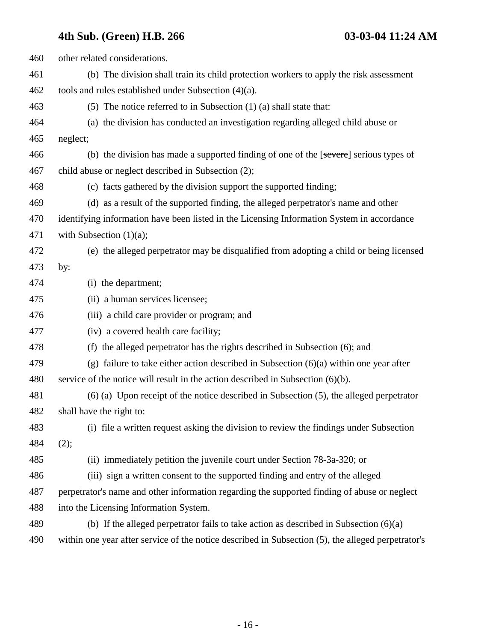| 460 | other related considerations.                                                                      |
|-----|----------------------------------------------------------------------------------------------------|
| 461 | (b) The division shall train its child protection workers to apply the risk assessment             |
| 462 | tools and rules established under Subsection $(4)(a)$ .                                            |
| 463 | (5) The notice referred to in Subsection $(1)$ (a) shall state that:                               |
| 464 | (a) the division has conducted an investigation regarding alleged child abuse or                   |
| 465 | neglect;                                                                                           |
| 466 | (b) the division has made a supported finding of one of the [severe] serious types of              |
| 467 | child abuse or neglect described in Subsection (2);                                                |
| 468 | (c) facts gathered by the division support the supported finding;                                  |
| 469 | (d) as a result of the supported finding, the alleged perpetrator's name and other                 |
| 470 | identifying information have been listed in the Licensing Information System in accordance         |
| 471 | with Subsection $(1)(a)$ ;                                                                         |
| 472 | (e) the alleged perpetrator may be disqualified from adopting a child or being licensed            |
| 473 | by:                                                                                                |
| 474 | (i) the department;                                                                                |
| 475 | (ii) a human services licensee;                                                                    |
| 476 | (iii) a child care provider or program; and                                                        |
| 477 | (iv) a covered health care facility;                                                               |
| 478 | (f) the alleged perpetrator has the rights described in Subsection (6); and                        |
| 479 | (g) failure to take either action described in Subsection $(6)(a)$ within one year after           |
| 480 | service of the notice will result in the action described in Subsection $(6)(b)$ .                 |
| 481 | $(6)$ (a) Upon receipt of the notice described in Subsection $(5)$ , the alleged perpetrator       |
| 482 | shall have the right to:                                                                           |
| 483 | (i) file a written request asking the division to review the findings under Subsection             |
| 484 | (2);                                                                                               |
| 485 | (ii) immediately petition the juvenile court under Section 78-3a-320; or                           |
| 486 | (iii) sign a written consent to the supported finding and entry of the alleged                     |
| 487 | perpetrator's name and other information regarding the supported finding of abuse or neglect       |
| 488 | into the Licensing Information System.                                                             |
| 489 | (b) If the alleged perpetrator fails to take action as described in Subsection $(6)(a)$            |
| 490 | within one year after service of the notice described in Subsection (5), the alleged perpetrator's |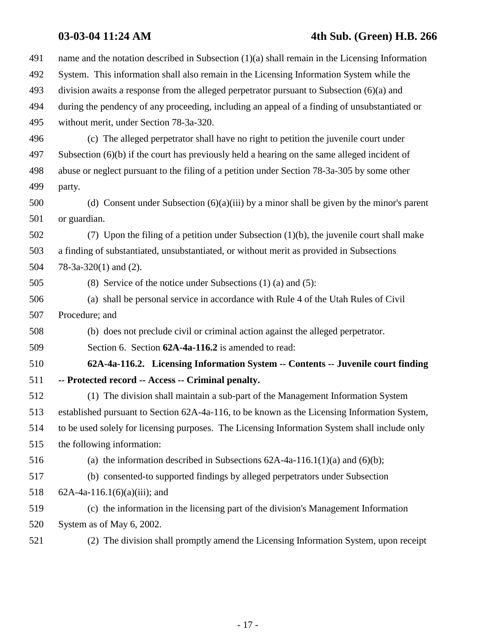## **03-03-04 11:24 AM 4th Sub. (Green) H.B. 266**

| 491 | name and the notation described in Subsection $(1)(a)$ shall remain in the Licensing Information |
|-----|--------------------------------------------------------------------------------------------------|
| 492 | System. This information shall also remain in the Licensing Information System while the         |
| 493 | division awaits a response from the alleged perpetrator pursuant to Subsection $(6)(a)$ and      |
| 494 | during the pendency of any proceeding, including an appeal of a finding of unsubstantiated or    |
| 495 | without merit, under Section 78-3a-320.                                                          |
| 496 | (c) The alleged perpetrator shall have no right to petition the juvenile court under             |
| 497 | Subsection $(6)(b)$ if the court has previously held a hearing on the same alleged incident of   |
| 498 | abuse or neglect pursuant to the filing of a petition under Section 78-3a-305 by some other      |
| 499 | party.                                                                                           |
| 500 | (d) Consent under Subsection $(6)(a)(iii)$ by a minor shall be given by the minor's parent       |
| 501 | or guardian.                                                                                     |
| 502 | (7) Upon the filing of a petition under Subsection $(1)(b)$ , the juvenile court shall make      |
| 503 | a finding of substantiated, unsubstantiated, or without merit as provided in Subsections         |
| 504 | $78-3a-320(1)$ and $(2)$ .                                                                       |
| 505 | (8) Service of the notice under Subsections $(1)$ $(a)$ and $(5)$ :                              |
| 506 | (a) shall be personal service in accordance with Rule 4 of the Utah Rules of Civil               |
| 507 | Procedure; and                                                                                   |
| 508 | (b) does not preclude civil or criminal action against the alleged perpetrator.                  |
| 509 | Section 6. Section 62A-4a-116.2 is amended to read:                                              |
| 510 | 62A-4a-116.2. Licensing Information System -- Contents -- Juvenile court finding                 |
| 511 | -- Protected record -- Access -- Criminal penalty.                                               |
| 512 | (1) The division shall maintain a sub-part of the Management Information System                  |
| 513 | established pursuant to Section 62A-4a-116, to be known as the Licensing Information System,     |
| 514 | to be used solely for licensing purposes. The Licensing Information System shall include only    |
| 515 | the following information:                                                                       |
| 516 | (a) the information described in Subsections $62A-4a-116.1(1)(a)$ and $(6)(b)$ ;                 |
| 517 | (b) consented-to supported findings by alleged perpetrators under Subsection                     |
| 518 | $62A-4a-116.1(6)(a)(iii)$ ; and                                                                  |
| 519 | (c) the information in the licensing part of the division's Management Information               |
| 520 | System as of May 6, 2002.                                                                        |
| 521 | (2) The division shall promptly amend the Licensing Information System, upon receipt             |
|     |                                                                                                  |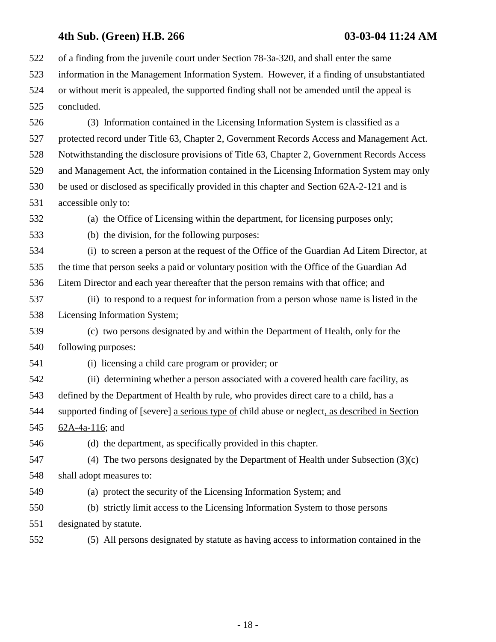522 of a finding from the juvenile court under Section 78-3a-320, and shall enter the same 523 information in the Management Information System. However, if a finding of unsubstantiated 524 or without merit is appealed, the supported finding shall not be amended until the appeal is 525 concluded.

526 (3) Information contained in the Licensing Information System is classified as a 527 protected record under Title 63, Chapter 2, Government Records Access and Management Act. 528 Notwithstanding the disclosure provisions of Title 63, Chapter 2, Government Records Access 529 and Management Act, the information contained in the Licensing Information System may only 530 be used or disclosed as specifically provided in this chapter and Section 62A-2-121 and is 531 accessible only to:

532 (a) the Office of Licensing within the department, for licensing purposes only;

533 (b) the division, for the following purposes:

534 (i) to screen a person at the request of the Office of the Guardian Ad Litem Director, at 535 the time that person seeks a paid or voluntary position with the Office of the Guardian Ad 536 Litem Director and each year thereafter that the person remains with that office; and

537 (ii) to respond to a request for information from a person whose name is listed in the 538 Licensing Information System;

539 (c) two persons designated by and within the Department of Health, only for the 540 following purposes:

541 (i) licensing a child care program or provider; or

542 (ii) determining whether a person associated with a covered health care facility, as 543 defined by the Department of Health by rule, who provides direct care to a child, has a 544 supported finding of [severe] a serious type of child abuse or neglect, as described in Section 545 62A-4a-116; and

546 (d) the department, as specifically provided in this chapter.

547 (4) The two persons designated by the Department of Health under Subsection (3)(c) 548 shall adopt measures to:

549 (a) protect the security of the Licensing Information System; and

550 (b) strictly limit access to the Licensing Information System to those persons 551 designated by statute.

552 (5) All persons designated by statute as having access to information contained in the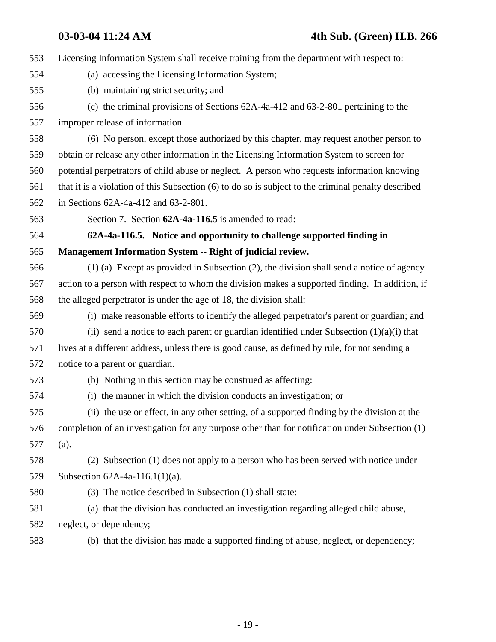553 Licensing Information System shall receive training from the department with respect to: 554 (a) accessing the Licensing Information System; 555 (b) maintaining strict security; and 556 (c) the criminal provisions of Sections 62A-4a-412 and 63-2-801 pertaining to the 557 improper release of information. 558 (6) No person, except those authorized by this chapter, may request another person to 559 obtain or release any other information in the Licensing Information System to screen for 560 potential perpetrators of child abuse or neglect. A person who requests information knowing 561 that it is a violation of this Subsection (6) to do so is subject to the criminal penalty described 562 in Sections 62A-4a-412 and 63-2-801. 563 Section 7. Section **62A-4a-116.5** is amended to read: 564 **62A-4a-116.5. Notice and opportunity to challenge supported finding in** 565 **Management Information System -- Right of judicial review.** 566 (1) (a) Except as provided in Subsection (2), the division shall send a notice of agency 567 action to a person with respect to whom the division makes a supported finding. In addition, if 568 the alleged perpetrator is under the age of 18, the division shall: 569 (i) make reasonable efforts to identify the alleged perpetrator's parent or guardian; and 570 (ii) send a notice to each parent or guardian identified under Subsection  $(1)(a)(i)$  that 571 lives at a different address, unless there is good cause, as defined by rule, for not sending a 572 notice to a parent or guardian. 573 (b) Nothing in this section may be construed as affecting: 574 (i) the manner in which the division conducts an investigation; or 575 (ii) the use or effect, in any other setting, of a supported finding by the division at the 576 completion of an investigation for any purpose other than for notification under Subsection (1) 577 (a). 578 (2) Subsection (1) does not apply to a person who has been served with notice under 579 Subsection 62A-4a-116.1(1)(a). 580 (3) The notice described in Subsection (1) shall state: 581 (a) that the division has conducted an investigation regarding alleged child abuse, 582 neglect, or dependency; 583 (b) that the division has made a supported finding of abuse, neglect, or dependency;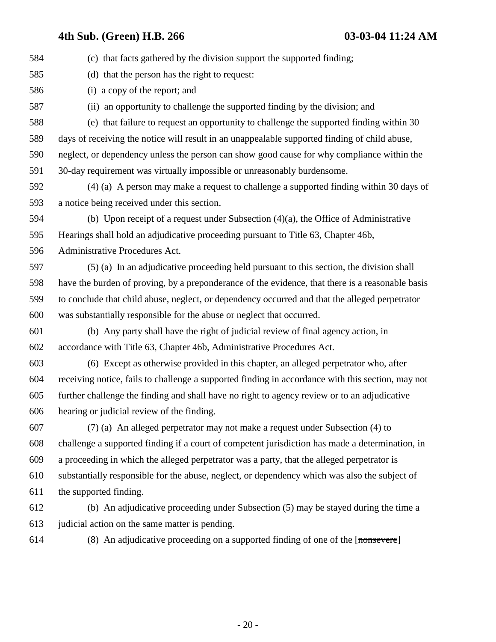584 (c) that facts gathered by the division support the supported finding; 585 (d) that the person has the right to request: 586 (i) a copy of the report; and 587 (ii) an opportunity to challenge the supported finding by the division; and 588 (e) that failure to request an opportunity to challenge the supported finding within 30 589 days of receiving the notice will result in an unappealable supported finding of child abuse, 590 neglect, or dependency unless the person can show good cause for why compliance within the 591 30-day requirement was virtually impossible or unreasonably burdensome. 592 (4) (a) A person may make a request to challenge a supported finding within 30 days of 593 a notice being received under this section. 594 (b) Upon receipt of a request under Subsection (4)(a), the Office of Administrative 595 Hearings shall hold an adjudicative proceeding pursuant to Title 63, Chapter 46b, 596 Administrative Procedures Act. 597 (5) (a) In an adjudicative proceeding held pursuant to this section, the division shall 598 have the burden of proving, by a preponderance of the evidence, that there is a reasonable basis 599 to conclude that child abuse, neglect, or dependency occurred and that the alleged perpetrator 600 was substantially responsible for the abuse or neglect that occurred. 601 (b) Any party shall have the right of judicial review of final agency action, in 602 accordance with Title 63, Chapter 46b, Administrative Procedures Act. 603 (6) Except as otherwise provided in this chapter, an alleged perpetrator who, after 604 receiving notice, fails to challenge a supported finding in accordance with this section, may not 605 further challenge the finding and shall have no right to agency review or to an adjudicative 606 hearing or judicial review of the finding. 607 (7) (a) An alleged perpetrator may not make a request under Subsection (4) to 608 challenge a supported finding if a court of competent jurisdiction has made a determination, in 609 a proceeding in which the alleged perpetrator was a party, that the alleged perpetrator is 610 substantially responsible for the abuse, neglect, or dependency which was also the subject of 611 the supported finding. 612 (b) An adjudicative proceeding under Subsection (5) may be stayed during the time a

613 judicial action on the same matter is pending.

614 (8) An adjudicative proceeding on a supported finding of one of the [nonsevere]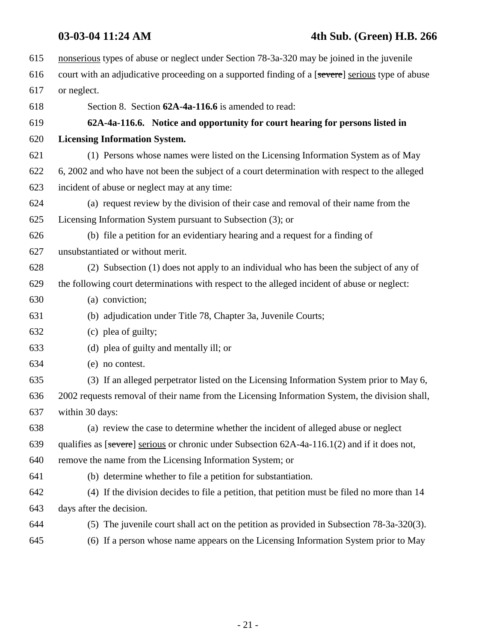## **03-03-04 11:24 AM 4th Sub. (Green) H.B. 266**

| 615 | nonserious types of abuse or neglect under Section 78-3a-320 may be joined in the juvenile       |
|-----|--------------------------------------------------------------------------------------------------|
| 616 | court with an adjudicative proceeding on a supported finding of a [severe] serious type of abuse |
| 617 | or neglect.                                                                                      |
| 618 | Section 8. Section 62A-4a-116.6 is amended to read:                                              |
| 619 | 62A-4a-116.6. Notice and opportunity for court hearing for persons listed in                     |
| 620 | <b>Licensing Information System.</b>                                                             |
| 621 | (1) Persons whose names were listed on the Licensing Information System as of May                |
| 622 | 6, 2002 and who have not been the subject of a court determination with respect to the alleged   |
| 623 | incident of abuse or neglect may at any time:                                                    |
| 624 | (a) request review by the division of their case and removal of their name from the              |
| 625 | Licensing Information System pursuant to Subsection (3); or                                      |
| 626 | (b) file a petition for an evidentiary hearing and a request for a finding of                    |
| 627 | unsubstantiated or without merit.                                                                |
| 628 | (2) Subsection (1) does not apply to an individual who has been the subject of any of            |
| 629 | the following court determinations with respect to the alleged incident of abuse or neglect:     |
| 630 | (a) conviction;                                                                                  |
| 631 | (b) adjudication under Title 78, Chapter 3a, Juvenile Courts;                                    |
| 632 | (c) plea of guilty;                                                                              |
| 633 | (d) plea of guilty and mentally ill; or                                                          |
| 634 | (e) no contest.                                                                                  |
| 635 | (3) If an alleged perpetrator listed on the Licensing Information System prior to May 6,         |
| 636 | 2002 requests removal of their name from the Licensing Information System, the division shall,   |
| 637 | within 30 days:                                                                                  |
| 638 | (a) review the case to determine whether the incident of alleged abuse or neglect                |
| 639 | qualifies as [severe] serious or chronic under Subsection $62A-4a-116.1(2)$ and if it does not,  |
| 640 | remove the name from the Licensing Information System; or                                        |
| 641 | (b) determine whether to file a petition for substantiation.                                     |
| 642 | (4) If the division decides to file a petition, that petition must be filed no more than 14      |
| 643 | days after the decision.                                                                         |
| 644 | (5) The juvenile court shall act on the petition as provided in Subsection 78-3a-320(3).         |
| 645 | (6) If a person whose name appears on the Licensing Information System prior to May              |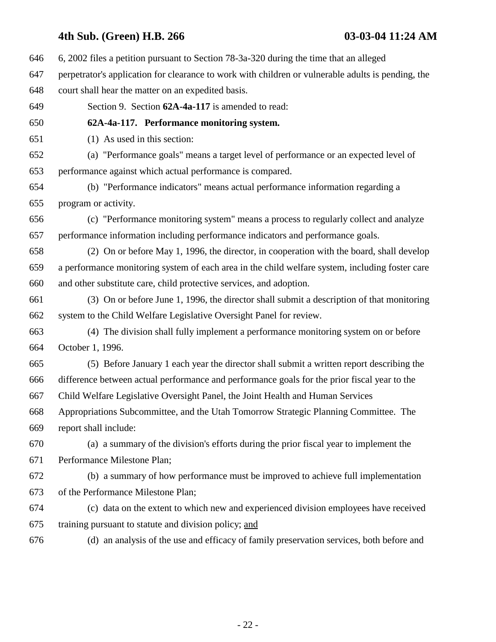646 6, 2002 files a petition pursuant to Section 78-3a-320 during the time that an alleged 647 perpetrator's application for clearance to work with children or vulnerable adults is pending, the 648 court shall hear the matter on an expedited basis. 649 Section 9. Section **62A-4a-117** is amended to read: 650 **62A-4a-117. Performance monitoring system.** 651 (1) As used in this section: 652 (a) "Performance goals" means a target level of performance or an expected level of 653 performance against which actual performance is compared. 654 (b) "Performance indicators" means actual performance information regarding a 655 program or activity. 656 (c) "Performance monitoring system" means a process to regularly collect and analyze 657 performance information including performance indicators and performance goals. 658 (2) On or before May 1, 1996, the director, in cooperation with the board, shall develop 659 a performance monitoring system of each area in the child welfare system, including foster care 660 and other substitute care, child protective services, and adoption. 661 (3) On or before June 1, 1996, the director shall submit a description of that monitoring 662 system to the Child Welfare Legislative Oversight Panel for review. 663 (4) The division shall fully implement a performance monitoring system on or before 664 October 1, 1996. 665 (5) Before January 1 each year the director shall submit a written report describing the 666 difference between actual performance and performance goals for the prior fiscal year to the 667 Child Welfare Legislative Oversight Panel, the Joint Health and Human Services 668 Appropriations Subcommittee, and the Utah Tomorrow Strategic Planning Committee. The 669 report shall include: 670 (a) a summary of the division's efforts during the prior fiscal year to implement the 671 Performance Milestone Plan; 672 (b) a summary of how performance must be improved to achieve full implementation 673 of the Performance Milestone Plan; 674 (c) data on the extent to which new and experienced division employees have received 675 training pursuant to statute and division policy; and 676 (d) an analysis of the use and efficacy of family preservation services, both before and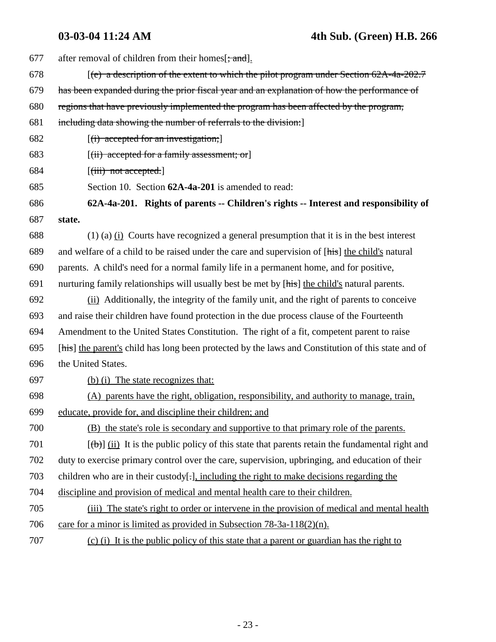| 677 | after removal of children from their homes [; and].                                                |
|-----|----------------------------------------------------------------------------------------------------|
| 678 | $[$ (e) a description of the extent to which the pilot program under Section 62A-4a-202.7          |
| 679 | has been expanded during the prior fiscal year and an explanation of how the performance of        |
| 680 | regions that have previously implemented the program has been affected by the program,             |
| 681 | including data showing the number of referrals to the division:                                    |
| 682 | $[(i)$ accepted for an investigation;                                                              |
| 683 | $[(ii)$ accepted for a family assessment; or                                                       |
| 684 | $[\overrightarrow{(\text{iii})}$ not accepted.                                                     |
| 685 | Section 10. Section 62A-4a-201 is amended to read:                                                 |
| 686 | 62A-4a-201. Rights of parents -- Children's rights -- Interest and responsibility of               |
| 687 | state.                                                                                             |
| 688 | $(1)$ (a) $(i)$ Courts have recognized a general presumption that it is in the best interest       |
| 689 | and welfare of a child to be raised under the care and supervision of [his] the child's natural    |
| 690 | parents. A child's need for a normal family life in a permanent home, and for positive,            |
| 691 | nurturing family relationships will usually best be met by [his] the child's natural parents.      |
| 692 | (ii) Additionally, the integrity of the family unit, and the right of parents to conceive          |
| 693 | and raise their children have found protection in the due process clause of the Fourteenth         |
| 694 | Amendment to the United States Constitution. The right of a fit, competent parent to raise         |
| 695 | [his] the parent's child has long been protected by the laws and Constitution of this state and of |
| 696 | the United States.                                                                                 |
| 697 | (b) (i) The state recognizes that:                                                                 |
| 698 | (A) parents have the right, obligation, responsibility, and authority to manage, train,            |
| 699 | educate, provide for, and discipline their children; and                                           |
| 700 | (B) the state's role is secondary and supportive to that primary role of the parents.              |
| 701 | $[\phi]$ (ii) It is the public policy of this state that parents retain the fundamental right and  |
| 702 | duty to exercise primary control over the care, supervision, upbringing, and education of their    |
| 703 | children who are in their custody[-], including the right to make decisions regarding the          |
| 704 | discipline and provision of medical and mental health care to their children.                      |
| 705 | (iii) The state's right to order or intervene in the provision of medical and mental health        |
| 706 | care for a minor is limited as provided in Subsection $78-3a-118(2)(n)$ .                          |
| 707 | (c) (i) It is the public policy of this state that a parent or guardian has the right to           |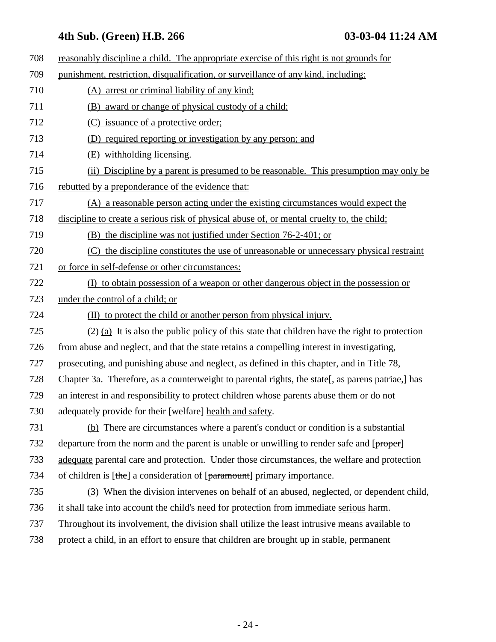| 708 | reasonably discipline a child. The appropriate exercise of this right is not grounds for           |
|-----|----------------------------------------------------------------------------------------------------|
| 709 | punishment, restriction, disqualification, or surveillance of any kind, including:                 |
| 710 | (A) arrest or criminal liability of any kind;                                                      |
| 711 | (B) award or change of physical custody of a child;                                                |
| 712 | (C) issuance of a protective order;                                                                |
| 713 | (D) required reporting or investigation by any person; and                                         |
| 714 | (E) withholding licensing.                                                                         |
| 715 | (ii) Discipline by a parent is presumed to be reasonable. This presumption may only be             |
| 716 | rebutted by a preponderance of the evidence that:                                                  |
| 717 | (A) a reasonable person acting under the existing circumstances would expect the                   |
| 718 | discipline to create a serious risk of physical abuse of, or mental cruelty to, the child;         |
| 719 | (B) the discipline was not justified under Section 76-2-401; or                                    |
| 720 | (C) the discipline constitutes the use of unreasonable or unnecessary physical restraint           |
| 721 | or force in self-defense or other circumstances:                                                   |
| 722 | (I) to obtain possession of a weapon or other dangerous object in the possession or                |
| 723 | under the control of a child; or                                                                   |
| 724 | (II) to protect the child or another person from physical injury.                                  |
| 725 | $(2)$ (a) It is also the public policy of this state that children have the right to protection    |
| 726 | from abuse and neglect, and that the state retains a compelling interest in investigating,         |
| 727 | prosecuting, and punishing abuse and neglect, as defined in this chapter, and in Title 78,         |
| 728 | Chapter 3a. Therefore, as a counterweight to parental rights, the state [, as parens patriae,] has |
| 729 | an interest in and responsibility to protect children whose parents abuse them or do not           |
| 730 | adequately provide for their [welfare] health and safety.                                          |
| 731 | (b) There are circumstances where a parent's conduct or condition is a substantial                 |
| 732 | departure from the norm and the parent is unable or unwilling to render safe and [proper]          |
| 733 | adequate parental care and protection. Under those circumstances, the welfare and protection       |
| 734 | of children is [the] a consideration of [paramount] primary importance.                            |
| 735 | (3) When the division intervenes on behalf of an abused, neglected, or dependent child,            |
| 736 | it shall take into account the child's need for protection from immediate serious harm.            |
| 737 | Throughout its involvement, the division shall utilize the least intrusive means available to      |
| 738 | protect a child, in an effort to ensure that children are brought up in stable, permanent          |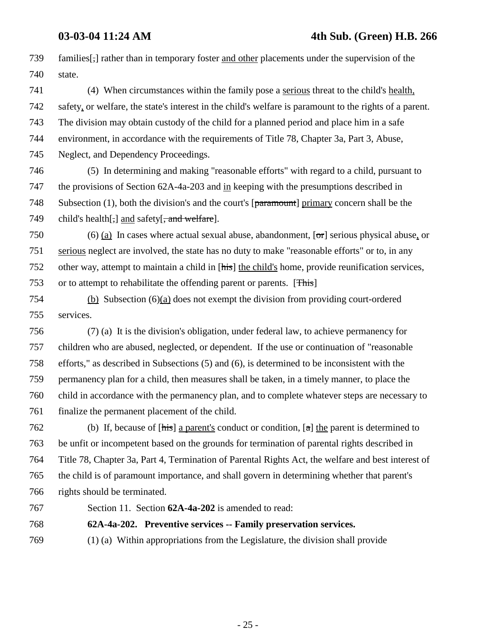739 families[,] rather than in temporary foster and other placements under the supervision of the 740 state.

741 (4) When circumstances within the family pose a serious threat to the child's health, 742 safety, or welfare, the state's interest in the child's welfare is paramount to the rights of a parent. 743 The division may obtain custody of the child for a planned period and place him in a safe 744 environment, in accordance with the requirements of Title 78, Chapter 3a, Part 3, Abuse, 745 Neglect, and Dependency Proceedings.

746 (5) In determining and making "reasonable efforts" with regard to a child, pursuant to 747 the provisions of Section 62A-4a-203 and in keeping with the presumptions described in 748 Subsection (1), both the division's and the court's  $[paramount]$  primary concern shall be the 749 child's health $\left[\frac{1}{2}\right]$  and safety $\left[\frac{1}{2}$  and welfare].

750 (6) (a) In cases where actual sexual abuse, abandonment, [or] serious physical abuse, or 751 serious neglect are involved, the state has no duty to make "reasonable efforts" or to, in any 752 other way, attempt to maintain a child in [his] the child's home, provide reunification services, 753 or to attempt to rehabilitate the offending parent or parents. [This]

754 (b) Subsection (6)(a) does not exempt the division from providing court-ordered 755 services.

756 (7) (a) It is the division's obligation, under federal law, to achieve permanency for 757 children who are abused, neglected, or dependent. If the use or continuation of "reasonable 758 efforts," as described in Subsections (5) and (6), is determined to be inconsistent with the 759 permanency plan for a child, then measures shall be taken, in a timely manner, to place the 760 child in accordance with the permanency plan, and to complete whatever steps are necessary to 761 finalize the permanent placement of the child.

762 (b) If, because of  $[\overline{\text{his}}]$  a parent's conduct or condition,  $[\overline{\text{a}}]$  the parent is determined to 763 be unfit or incompetent based on the grounds for termination of parental rights described in 764 Title 78, Chapter 3a, Part 4, Termination of Parental Rights Act, the welfare and best interest of 765 the child is of paramount importance, and shall govern in determining whether that parent's 766 rights should be terminated.

767 Section 11. Section **62A-4a-202** is amended to read:

768 **62A-4a-202. Preventive services -- Family preservation services.**

769 (1) (a) Within appropriations from the Legislature, the division shall provide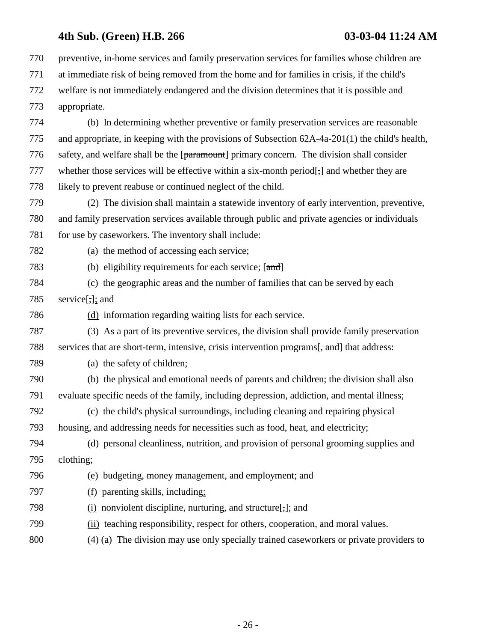770 preventive, in-home services and family preservation services for families whose children are 771 at immediate risk of being removed from the home and for families in crisis, if the child's 772 welfare is not immediately endangered and the division determines that it is possible and 773 appropriate. 774 (b) In determining whether preventive or family preservation services are reasonable 775 and appropriate, in keeping with the provisions of Subsection 62A-4a-201(1) the child's health, 776 safety, and welfare shall be the [paramount] primary concern. The division shall consider 777 whether those services will be effective within a six-month period[-] and whether they are 778 likely to prevent reabuse or continued neglect of the child. 779 (2) The division shall maintain a statewide inventory of early intervention, preventive, 780 and family preservation services available through public and private agencies or individuals 781 for use by caseworkers. The inventory shall include: 782 (a) the method of accessing each service; 783 (b) eligibility requirements for each service; [and] 784 (c) the geographic areas and the number of families that can be served by each 785 service[,]; and 786 (d) information regarding waiting lists for each service. 787 (3) As a part of its preventive services, the division shall provide family preservation 788 services that are short-term, intensive, crisis intervention programs[ $\frac{1}{2}$  and] that address: 789 (a) the safety of children; 790 (b) the physical and emotional needs of parents and children; the division shall also 791 evaluate specific needs of the family, including depression, addiction, and mental illness; 792 (c) the child's physical surroundings, including cleaning and repairing physical 793 housing, and addressing needs for necessities such as food, heat, and electricity; 794 (d) personal cleanliness, nutrition, and provision of personal grooming supplies and 795 clothing; 796 (e) budgeting, money management, and employment; and 797 (f) parenting skills, including: 798 (i) nonviolent discipline, nurturing, and structure[,]; and 799 (ii) teaching responsibility, respect for others, cooperation, and moral values. 800 (4) (a) The division may use only specially trained caseworkers or private providers to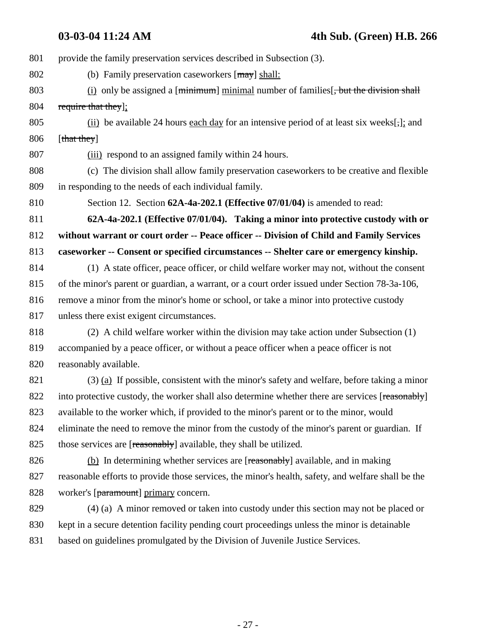801 provide the family preservation services described in Subsection (3). 802 (b) Family preservation caseworkers  $[may]$  shall: 803 (i) only be assigned a [minimum] minimal number of families [, but the division shall 804 require that they]; 805 (ii) be available 24 hours each day for an intensive period of at least six weeks[;]; and 806 [that they] 807 (iii) respond to an assigned family within 24 hours. 808 (c) The division shall allow family preservation caseworkers to be creative and flexible 809 in responding to the needs of each individual family. 810 Section 12. Section **62A-4a-202.1 (Effective 07/01/04)** is amended to read: 811 **62A-4a-202.1 (Effective 07/01/04). Taking a minor into protective custody with or** 812 **without warrant or court order -- Peace officer -- Division of Child and Family Services** 813 **caseworker -- Consent or specified circumstances -- Shelter care or emergency kinship.** 814 (1) A state officer, peace officer, or child welfare worker may not, without the consent 815 of the minor's parent or guardian, a warrant, or a court order issued under Section 78-3a-106, 816 remove a minor from the minor's home or school, or take a minor into protective custody 817 unless there exist exigent circumstances. 818 (2) A child welfare worker within the division may take action under Subsection (1) 819 accompanied by a peace officer, or without a peace officer when a peace officer is not 820 reasonably available. 821 (3) (a) If possible, consistent with the minor's safety and welfare, before taking a minor 822 into protective custody, the worker shall also determine whether there are services [reasonably] 823 available to the worker which, if provided to the minor's parent or to the minor, would 824 eliminate the need to remove the minor from the custody of the minor's parent or guardian. If 825 those services are [reasonably] available, they shall be utilized.

826 (b) In determining whether services are [reasonably] available, and in making 827 reasonable efforts to provide those services, the minor's health, safety, and welfare shall be the 828 worker's [paramount] primary concern.

829 (4) (a) A minor removed or taken into custody under this section may not be placed or 830 kept in a secure detention facility pending court proceedings unless the minor is detainable 831 based on guidelines promulgated by the Division of Juvenile Justice Services.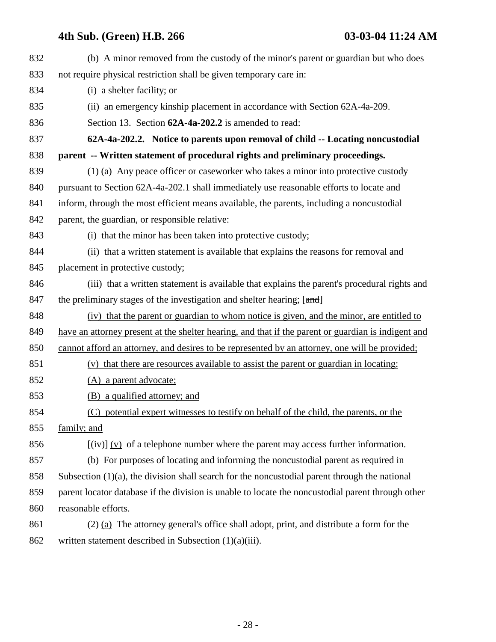| 832 | (b) A minor removed from the custody of the minor's parent or guardian but who does                 |
|-----|-----------------------------------------------------------------------------------------------------|
| 833 | not require physical restriction shall be given temporary care in:                                  |
| 834 | (i) a shelter facility; or                                                                          |
| 835 | (ii) an emergency kinship placement in accordance with Section 62A-4a-209.                          |
| 836 | Section 13. Section 62A-4a-202.2 is amended to read:                                                |
| 837 | 62A-4a-202.2. Notice to parents upon removal of child -- Locating noncustodial                      |
| 838 | parent -- Written statement of procedural rights and preliminary proceedings.                       |
| 839 | (1) (a) Any peace officer or caseworker who takes a minor into protective custody                   |
| 840 | pursuant to Section 62A-4a-202.1 shall immediately use reasonable efforts to locate and             |
| 841 | inform, through the most efficient means available, the parents, including a noncustodial           |
| 842 | parent, the guardian, or responsible relative:                                                      |
| 843 | (i) that the minor has been taken into protective custody;                                          |
| 844 | (ii) that a written statement is available that explains the reasons for removal and                |
| 845 | placement in protective custody;                                                                    |
| 846 | (iii) that a written statement is available that explains the parent's procedural rights and        |
| 847 | the preliminary stages of the investigation and shelter hearing; [and]                              |
| 848 | (iv) that the parent or guardian to whom notice is given, and the minor, are entitled to            |
| 849 | have an attorney present at the shelter hearing, and that if the parent or guardian is indigent and |
| 850 | cannot afford an attorney, and desires to be represented by an attorney, one will be provided;      |
| 851 | (v) that there are resources available to assist the parent or guardian in locating:                |
| 852 | (A) a parent advocate;                                                                              |
| 853 | (B) a qualified attorney; and                                                                       |
| 854 | (C) potential expert witnesses to testify on behalf of the child, the parents, or the               |
| 855 | family; and                                                                                         |
| 856 | $[\overrightarrow{tv}] (v)$ of a telephone number where the parent may access further information.  |
| 857 | (b) For purposes of locating and informing the noncustodial parent as required in                   |
| 858 | Subsection $(1)(a)$ , the division shall search for the noncustodial parent through the national    |
| 859 | parent locator database if the division is unable to locate the noncustodial parent through other   |
| 860 | reasonable efforts.                                                                                 |
| 861 | $(2)$ (a) The attorney general's office shall adopt, print, and distribute a form for the           |
| 862 | written statement described in Subsection $(1)(a)(iii)$ .                                           |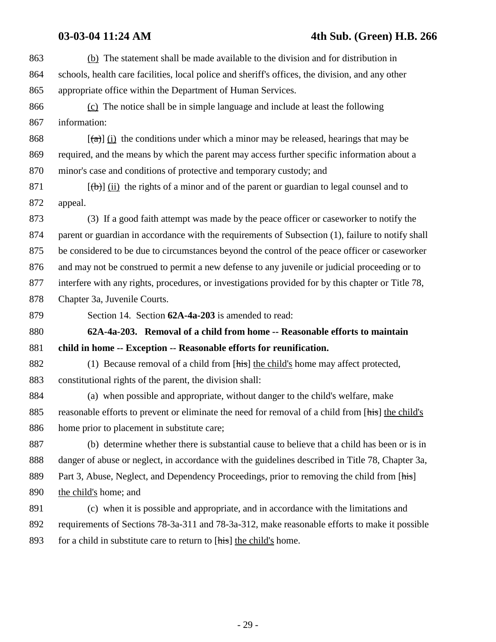863 (b) The statement shall be made available to the division and for distribution in 864 schools, health care facilities, local police and sheriff's offices, the division, and any other 865 appropriate office within the Department of Human Services.

866 (c) The notice shall be in simple language and include at least the following 867 information:

868  $[(a)]$  (i) the conditions under which a minor may be released, hearings that may be 869 required, and the means by which the parent may access further specific information about a 870 minor's case and conditions of protective and temporary custody; and

871  $[(\theta)]$  (ii) the rights of a minor and of the parent or guardian to legal counsel and to 872 appeal.

873 (3) If a good faith attempt was made by the peace officer or caseworker to notify the 874 parent or guardian in accordance with the requirements of Subsection (1), failure to notify shall 875 be considered to be due to circumstances beyond the control of the peace officer or caseworker 876 and may not be construed to permit a new defense to any juvenile or judicial proceeding or to 877 interfere with any rights, procedures, or investigations provided for by this chapter or Title 78, 878 Chapter 3a, Juvenile Courts.

879 Section 14. Section **62A-4a-203** is amended to read:

880 **62A-4a-203. Removal of a child from home -- Reasonable efforts to maintain** 881 **child in home -- Exception -- Reasonable efforts for reunification.**

882 (1) Because removal of a child from [his] the child's home may affect protected, 883 constitutional rights of the parent, the division shall:

884 (a) when possible and appropriate, without danger to the child's welfare, make 885 reasonable efforts to prevent or eliminate the need for removal of a child from [his] the child's 886 home prior to placement in substitute care;

887 (b) determine whether there is substantial cause to believe that a child has been or is in 888 danger of abuse or neglect, in accordance with the guidelines described in Title 78, Chapter 3a, 889 Part 3, Abuse, Neglect, and Dependency Proceedings, prior to removing the child from [his] 890 the child's home; and

891 (c) when it is possible and appropriate, and in accordance with the limitations and 892 requirements of Sections 78-3a-311 and 78-3a-312, make reasonable efforts to make it possible 893 for a child in substitute care to return to [his] the child's home.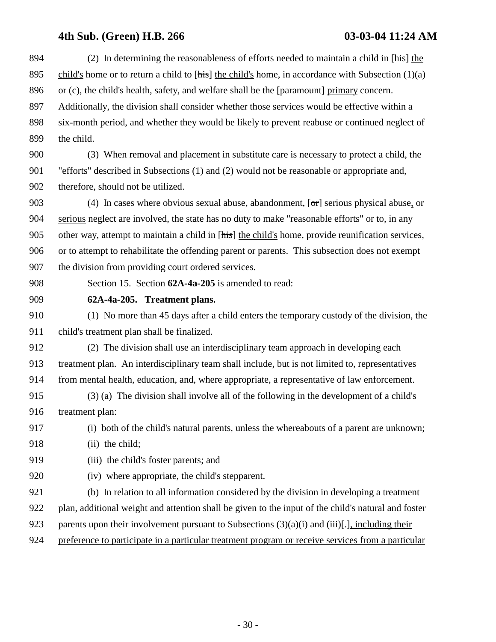| 894 | (2) In determining the reasonableness of efforts needed to maintain a child in $[\overline{\text{his}}]$ the |
|-----|--------------------------------------------------------------------------------------------------------------|
| 895 | child's home or to return a child to [his] the child's home, in accordance with Subsection $(1)(a)$          |
| 896 | or (c), the child's health, safety, and welfare shall be the [paramount] primary concern.                    |
| 897 | Additionally, the division shall consider whether those services would be effective within a                 |
| 898 | six-month period, and whether they would be likely to prevent reabuse or continued neglect of                |
| 899 | the child.                                                                                                   |
| 900 | (3) When removal and placement in substitute care is necessary to protect a child, the                       |
| 901 | "efforts" described in Subsections (1) and (2) would not be reasonable or appropriate and,                   |
| 902 | therefore, should not be utilized.                                                                           |
| 903 | (4) In cases where obvious sexual abuse, abandonment, $[\sigma r]$ serious physical abuse, or                |
| 904 | serious neglect are involved, the state has no duty to make "reasonable efforts" or to, in any               |
| 905 | other way, attempt to maintain a child in [his] the child's home, provide reunification services,            |
| 906 | or to attempt to rehabilitate the offending parent or parents. This subsection does not exempt               |
| 907 | the division from providing court ordered services.                                                          |
| 908 | Section 15. Section 62A-4a-205 is amended to read:                                                           |
| 909 | 62A-4a-205. Treatment plans.                                                                                 |
| 910 | (1) No more than 45 days after a child enters the temporary custody of the division, the                     |
| 911 | child's treatment plan shall be finalized.                                                                   |
| 912 | (2) The division shall use an interdisciplinary team approach in developing each                             |
| 913 | treatment plan. An interdisciplinary team shall include, but is not limited to, representatives              |
| 914 | from mental health, education, and, where appropriate, a representative of law enforcement.                  |
| 915 | (3) (a) The division shall involve all of the following in the development of a child's                      |
| 916 | treatment plan:                                                                                              |
| 917 | (i) both of the child's natural parents, unless the whereabouts of a parent are unknown;                     |
| 918 | (ii) the child;                                                                                              |
| 919 | (iii) the child's foster parents; and                                                                        |
| 920 | (iv) where appropriate, the child's stepparent.                                                              |
| 921 | (b) In relation to all information considered by the division in developing a treatment                      |
| 922 | plan, additional weight and attention shall be given to the input of the child's natural and foster          |
| 923 | parents upon their involvement pursuant to Subsections $(3)(a)(i)$ and $(iii)[\cdot]$ , including their      |
| 924 | preference to participate in a particular treatment program or receive services from a particular            |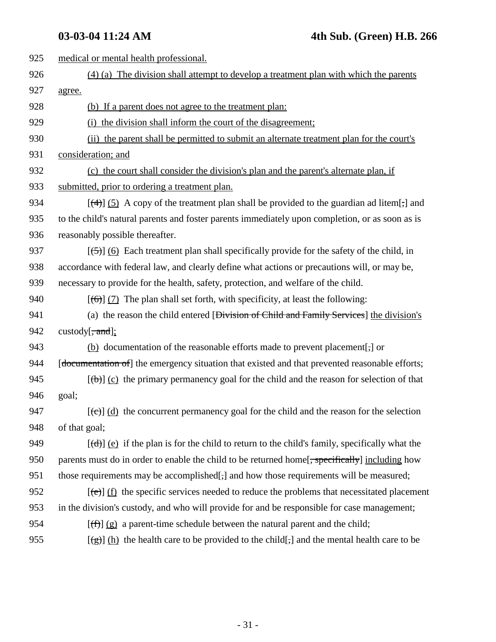| 925 | medical or mental health professional.                                                                         |
|-----|----------------------------------------------------------------------------------------------------------------|
| 926 | $(4)$ (a) The division shall attempt to develop a treatment plan with which the parents                        |
| 927 | agree.                                                                                                         |
| 928 | (b) If a parent does not agree to the treatment plan:                                                          |
| 929 | (i) the division shall inform the court of the disagreement;                                                   |
| 930 | (ii) the parent shall be permitted to submit an alternate treatment plan for the court's                       |
| 931 | consideration; and                                                                                             |
| 932 | (c) the court shall consider the division's plan and the parent's alternate plan, if                           |
| 933 | submitted, prior to ordering a treatment plan.                                                                 |
| 934 | $[\frac{4}{3}]$ (5) A copy of the treatment plan shall be provided to the guardian ad litem[;] and             |
| 935 | to the child's natural parents and foster parents immediately upon completion, or as soon as is                |
| 936 | reasonably possible thereafter.                                                                                |
| 937 | $[56]$ (6) Each treatment plan shall specifically provide for the safety of the child, in                      |
| 938 | accordance with federal law, and clearly define what actions or precautions will, or may be,                   |
| 939 | necessary to provide for the health, safety, protection, and welfare of the child.                             |
| 940 | $[\left(\overline{\Theta}\right)]$ (7) The plan shall set forth, with specificity, at least the following:     |
| 941 | (a) the reason the child entered [Division of Child and Family Services] the division's                        |
| 942 | custody $\overline{z}$ , and];                                                                                 |
| 943 | (b) documentation of the reasonable efforts made to prevent placement[-] or                                    |
| 944 | [documentation of] the emergency situation that existed and that prevented reasonable efforts;                 |
| 945 | $[\langle \theta \rangle]$ (c) the primary permanency goal for the child and the reason for selection of that  |
| 946 | goal;                                                                                                          |
| 947 | $[\text{(-c)}]$ (d) the concurrent permanency goal for the child and the reason for the selection              |
| 948 | of that goal;                                                                                                  |
| 949 | $[\text{(\text{d})}]$ (e) if the plan is for the child to return to the child's family, specifically what the  |
| 950 | parents must do in order to enable the child to be returned home[, specifically] including how                 |
| 951 | those requirements may be accomplished[,] and how those requirements will be measured;                         |
| 952 | $[\text{e}\text{e}]$ (f) the specific services needed to reduce the problems that necessitated placement       |
| 953 | in the division's custody, and who will provide for and be responsible for case management;                    |
| 954 | $[\text{f}(\hat{f})]$ (g) a parent-time schedule between the natural parent and the child;                     |
| 955 | $\left[\frac{1}{2}\right]$ (h) the health care to be provided to the child[;] and the mental health care to be |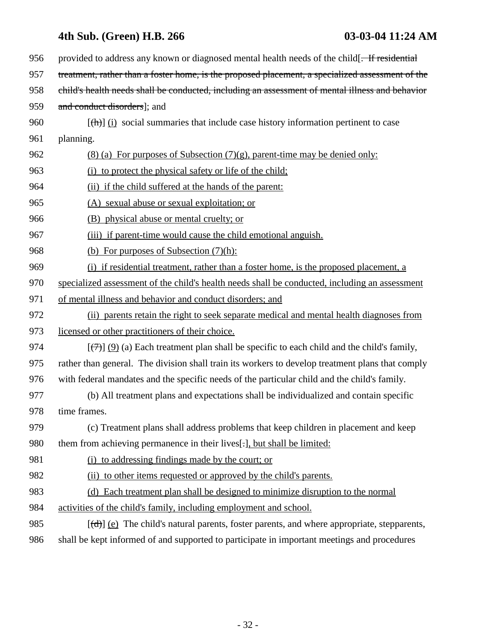| 956 | provided to address any known or diagnosed mental health needs of the child. If residential                |
|-----|------------------------------------------------------------------------------------------------------------|
| 957 | treatment, rather than a foster home, is the proposed placement, a specialized assessment of the           |
| 958 | child's health needs shall be conducted, including an assessment of mental illness and behavior            |
| 959 | and conduct disorders]; and                                                                                |
| 960 | $[\frac{h}{\ln}]$ (i) social summaries that include case history information pertinent to case             |
| 961 | planning.                                                                                                  |
| 962 | $(8)$ (a) For purposes of Subsection $(7)(g)$ , parent-time may be denied only:                            |
| 963 | (i) to protect the physical safety or life of the child;                                                   |
| 964 | (ii) if the child suffered at the hands of the parent:                                                     |
| 965 | (A) sexual abuse or sexual exploitation; or                                                                |
| 966 | (B) physical abuse or mental cruelty; or                                                                   |
| 967 | (iii) if parent-time would cause the child emotional anguish.                                              |
| 968 | (b) For purposes of Subsection $(7)(h)$ :                                                                  |
| 969 | (i) if residential treatment, rather than a foster home, is the proposed placement, a                      |
| 970 | specialized assessment of the child's health needs shall be conducted, including an assessment             |
| 971 | of mental illness and behavior and conduct disorders; and                                                  |
| 972 | (ii) parents retain the right to seek separate medical and mental health diagnoses from                    |
| 973 | licensed or other practitioners of their choice.                                                           |
| 974 | $[\overline{(\tau)}]$ (9) (a) Each treatment plan shall be specific to each child and the child's family,  |
| 975 | rather than general. The division shall train its workers to develop treatment plans that comply           |
| 976 | with federal mandates and the specific needs of the particular child and the child's family.               |
| 977 | (b) All treatment plans and expectations shall be individualized and contain specific                      |
| 978 | time frames.                                                                                               |
| 979 | (c) Treatment plans shall address problems that keep children in placement and keep                        |
| 980 | them from achieving permanence in their lives[.], but shall be limited:                                    |
| 981 | (i) to addressing findings made by the court; or                                                           |
| 982 | (ii) to other items requested or approved by the child's parents.                                          |
| 983 | (d) Each treatment plan shall be designed to minimize disruption to the normal                             |
| 984 | activities of the child's family, including employment and school.                                         |
| 985 | $[\text{(\text{d})}]$ (e) The child's natural parents, foster parents, and where appropriate, stepparents, |
| 986 | shall be kept informed of and supported to participate in important meetings and procedures                |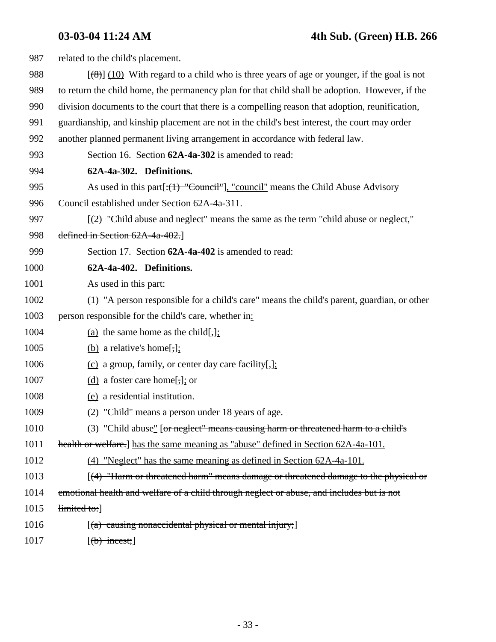| 987  | related to the child's placement.                                                                  |
|------|----------------------------------------------------------------------------------------------------|
| 988  | $[\frac{100}{10}]$ With regard to a child who is three years of age or younger, if the goal is not |
| 989  | to return the child home, the permanency plan for that child shall be adoption. However, if the    |
| 990  | division documents to the court that there is a compelling reason that adoption, reunification,    |
| 991  | guardianship, and kinship placement are not in the child's best interest, the court may order      |
| 992  | another planned permanent living arrangement in accordance with federal law.                       |
| 993  | Section 16. Section 62A-4a-302 is amended to read:                                                 |
| 994  | 62A-4a-302. Definitions.                                                                           |
| 995  | As used in this part $[\cdot(1)$ "Council"], "council" means the Child Abuse Advisory              |
| 996  | Council established under Section 62A-4a-311.                                                      |
| 997  | [(2) "Child abuse and neglect" means the same as the term "child abuse or neglect,"                |
| 998  | defined in Section 62A-4a-402.]                                                                    |
| 999  | Section 17. Section 62A-4a-402 is amended to read:                                                 |
| 1000 | 62A-4a-402. Definitions.                                                                           |
| 1001 | As used in this part:                                                                              |
| 1002 | (1) "A person responsible for a child's care" means the child's parent, guardian, or other         |
| 1003 | person responsible for the child's care, whether in:                                               |
| 1004 | (a) the same home as the child[,];                                                                 |
| 1005 | (b) a relative's home[;];                                                                          |
| 1006 | $(c)$ a group, family, or center day care facility[,]:                                             |
| 1007 | (d) a foster care home[ $\frac{1}{2}$ ]; or                                                        |
| 1008 | (e) a residential institution.                                                                     |
| 1009 | (2) "Child" means a person under 18 years of age.                                                  |
| 1010 | (3) "Child abuse" [or neglect" means causing harm or threatened harm to a child's                  |
| 1011 | health or welfare. [ has the same meaning as "abuse" defined in Section 62A-4a-101.                |
| 1012 | $(4)$ "Neglect" has the same meaning as defined in Section 62A-4a-101.                             |
| 1013 | $[(4)$ "Harm or threatened harm" means damage or threatened damage to the physical or              |
| 1014 | emotional health and welfare of a child through neglect or abuse, and includes but is not          |
| 1015 | limited to:                                                                                        |
| 1016 | $[(a)$ causing nonaccidental physical or mental injury;                                            |
| 1017 | $[\text{(b)$ incest;]                                                                              |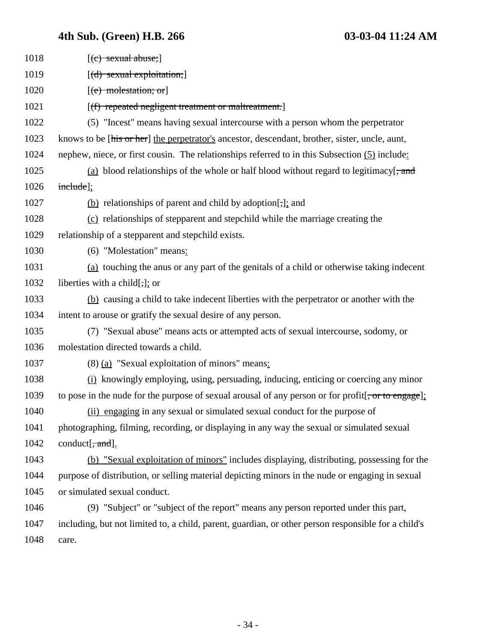| 1018 | $[$ (c) sexual abuse; $]$                                                                                               |
|------|-------------------------------------------------------------------------------------------------------------------------|
| 1019 | $[(d)$ sexual exploitation;                                                                                             |
| 1020 | $[$ (e) molestation; or                                                                                                 |
| 1021 | [(f) repeated negligent treatment or maltreatment.]                                                                     |
| 1022 | (5) "Incest" means having sexual intercourse with a person whom the perpetrator                                         |
| 1023 | knows to be [his or her] the perpetrator's ancestor, descendant, brother, sister, uncle, aunt,                          |
| 1024 | nephew, niece, or first cousin. The relationships referred to in this Subsection (5) include:                           |
| 1025 | (a) blood relationships of the whole or half blood without regard to legitimacy $\left[\frac{1}{2}, \frac{1}{2}\right]$ |
| 1026 | include];                                                                                                               |
| 1027 | $(b)$ relationships of parent and child by adoption[ $\frac{1}{2}$ ]; and                                               |
| 1028 | (c) relationships of stepparent and stepchild while the marriage creating the                                           |
| 1029 | relationship of a stepparent and stepchild exists.                                                                      |
| 1030 | (6) "Molestation" means:                                                                                                |
| 1031 | (a) touching the anus or any part of the genitals of a child or otherwise taking indecent                               |
| 1032 | liberties with a child[ $\frac{1}{2}$ ]; or                                                                             |
| 1033 | (b) causing a child to take indecent liberties with the perpetrator or another with the                                 |
| 1034 | intent to arouse or gratify the sexual desire of any person.                                                            |
| 1035 | (7) "Sexual abuse" means acts or attempted acts of sexual intercourse, sodomy, or                                       |
| 1036 | molestation directed towards a child.                                                                                   |
| 1037 | (8) (a) "Sexual exploitation of minors" means:                                                                          |
| 1038 | (i) knowingly employing, using, persuading, inducing, enticing or coercing any minor                                    |
| 1039 | to pose in the nude for the purpose of sexual arousal of any person or for profit $[\frac{1}{2}, \frac{1}{2}]$          |
| 1040 | (ii) engaging in any sexual or simulated sexual conduct for the purpose of                                              |
| 1041 | photographing, filming, recording, or displaying in any way the sexual or simulated sexual                              |
| 1042 | conduct[ $\frac{1}{2}$ and].                                                                                            |
| 1043 | (b) "Sexual exploitation of minors" includes displaying, distributing, possessing for the                               |
| 1044 | purpose of distribution, or selling material depicting minors in the nude or engaging in sexual                         |
| 1045 | or simulated sexual conduct.                                                                                            |
| 1046 | (9) "Subject" or "subject of the report" means any person reported under this part,                                     |
| 1047 | including, but not limited to, a child, parent, guardian, or other person responsible for a child's                     |
| 1048 | care.                                                                                                                   |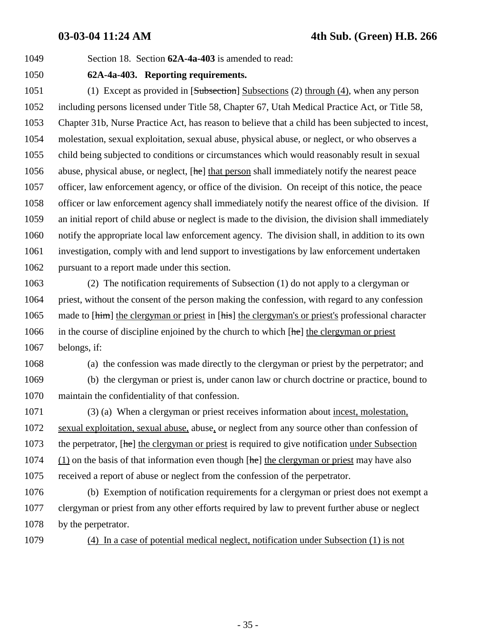1049 Section 18. Section **62A-4a-403** is amended to read:

### 1050 **62A-4a-403. Reporting requirements.**

1051 (1) Except as provided in [Subsection] Subsections (2) through (4), when any person 1052 including persons licensed under Title 58, Chapter 67, Utah Medical Practice Act, or Title 58, 1053 Chapter 31b, Nurse Practice Act, has reason to believe that a child has been subjected to incest, 1054 molestation, sexual exploitation, sexual abuse, physical abuse, or neglect, or who observes a 1055 child being subjected to conditions or circumstances which would reasonably result in sexual 1056 abuse, physical abuse, or neglect,  $[\text{he}]$  that person shall immediately notify the nearest peace 1057 officer, law enforcement agency, or office of the division. On receipt of this notice, the peace 1058 officer or law enforcement agency shall immediately notify the nearest office of the division. If 1059 an initial report of child abuse or neglect is made to the division, the division shall immediately 1060 notify the appropriate local law enforcement agency. The division shall, in addition to its own 1061 investigation, comply with and lend support to investigations by law enforcement undertaken 1062 pursuant to a report made under this section.

1063 (2) The notification requirements of Subsection (1) do not apply to a clergyman or 1064 priest, without the consent of the person making the confession, with regard to any confession 1065 made to [him] the clergyman or priest in [his] the clergyman's or priest's professional character 1066 in the course of discipline enjoined by the church to which  $[he]$  the clergyman or priest 1067 belongs, if:

1068 (a) the confession was made directly to the clergyman or priest by the perpetrator; and

1069 (b) the clergyman or priest is, under canon law or church doctrine or practice, bound to 1070 maintain the confidentiality of that confession.

1071 (3) (a) When a clergyman or priest receives information about incest, molestation, 1072 sexual exploitation, sexual abuse, abuse, or neglect from any source other than confession of 1073 the perpetrator,  $[he]$  the clergyman or priest is required to give notification under Subsection  $1074$  (1) on the basis of that information even though  $[he]$  the clergyman or priest may have also 1075 received a report of abuse or neglect from the confession of the perpetrator.

1076 (b) Exemption of notification requirements for a clergyman or priest does not exempt a 1077 clergyman or priest from any other efforts required by law to prevent further abuse or neglect 1078 by the perpetrator.

1079 (4) In a case of potential medical neglect, notification under Subsection (1) is not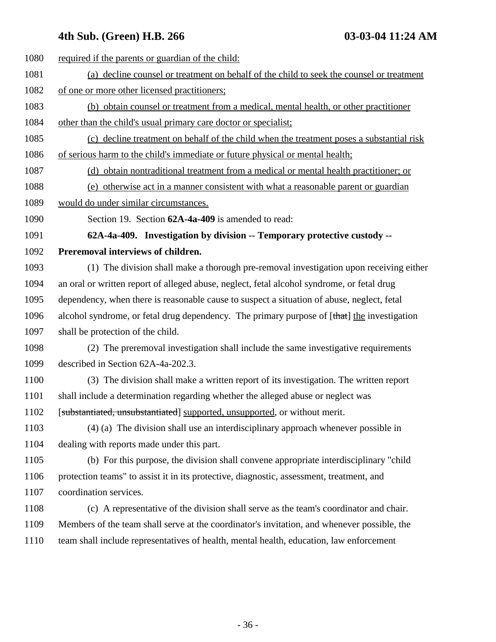1080 required if the parents or guardian of the child: 1081 (a) decline counsel or treatment on behalf of the child to seek the counsel or treatment 1082 of one or more other licensed practitioners; 1083 (b) obtain counsel or treatment from a medical, mental health, or other practitioner 1084 other than the child's usual primary care doctor or specialist; 1085 (c) decline treatment on behalf of the child when the treatment poses a substantial risk 1086 of serious harm to the child's immediate or future physical or mental health; 1087 (d) obtain nontraditional treatment from a medical or mental health practitioner; or 1088 (e) otherwise act in a manner consistent with what a reasonable parent or guardian 1089 would do under similar circumstances. 1090 Section 19. Section **62A-4a-409** is amended to read: 1091 **62A-4a-409. Investigation by division -- Temporary protective custody --** 1092 **Preremoval interviews of children.** 1093 (1) The division shall make a thorough pre-removal investigation upon receiving either 1094 an oral or written report of alleged abuse, neglect, fetal alcohol syndrome, or fetal drug 1095 dependency, when there is reasonable cause to suspect a situation of abuse, neglect, fetal 1096 alcohol syndrome, or fetal drug dependency. The primary purpose of [that] the investigation 1097 shall be protection of the child. 1098 (2) The preremoval investigation shall include the same investigative requirements 1099 described in Section 62A-4a-202.3. 1100 (3) The division shall make a written report of its investigation. The written report 1101 shall include a determination regarding whether the alleged abuse or neglect was 1102 [substantiated, unsubstantiated] supported, unsupported, or without merit. 1103 (4) (a) The division shall use an interdisciplinary approach whenever possible in 1104 dealing with reports made under this part. 1105 (b) For this purpose, the division shall convene appropriate interdisciplinary "child 1106 protection teams" to assist it in its protective, diagnostic, assessment, treatment, and 1107 coordination services. 1108 (c) A representative of the division shall serve as the team's coordinator and chair. 1109 Members of the team shall serve at the coordinator's invitation, and whenever possible, the 1110 team shall include representatives of health, mental health, education, law enforcement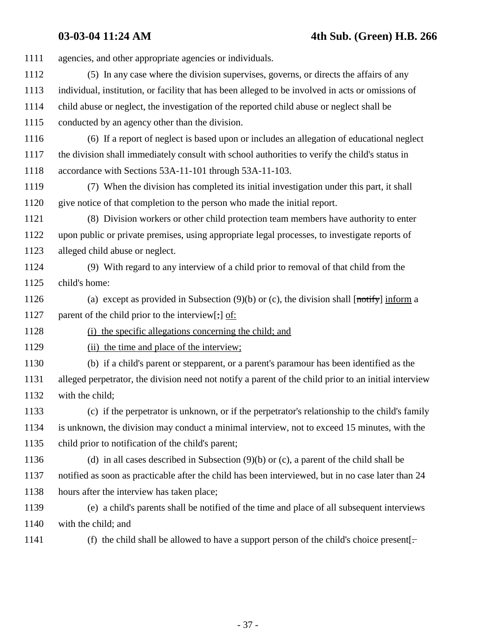**03-03-04 11:24 AM 4th Sub. (Green) H.B. 266**

| 1111 | agencies, and other appropriate agencies or individuals.                                              |
|------|-------------------------------------------------------------------------------------------------------|
| 1112 | (5) In any case where the division supervises, governs, or directs the affairs of any                 |
| 1113 | individual, institution, or facility that has been alleged to be involved in acts or omissions of     |
| 1114 | child abuse or neglect, the investigation of the reported child abuse or neglect shall be             |
| 1115 | conducted by an agency other than the division.                                                       |
| 1116 | (6) If a report of neglect is based upon or includes an allegation of educational neglect             |
| 1117 | the division shall immediately consult with school authorities to verify the child's status in        |
| 1118 | accordance with Sections 53A-11-101 through 53A-11-103.                                               |
| 1119 | (7) When the division has completed its initial investigation under this part, it shall               |
| 1120 | give notice of that completion to the person who made the initial report.                             |
| 1121 | (8) Division workers or other child protection team members have authority to enter                   |
| 1122 | upon public or private premises, using appropriate legal processes, to investigate reports of         |
| 1123 | alleged child abuse or neglect.                                                                       |
| 1124 | (9) With regard to any interview of a child prior to removal of that child from the                   |
| 1125 | child's home:                                                                                         |
| 1126 | (a) except as provided in Subsection $(9)(b)$ or (c), the division shall [notify] inform a            |
| 1127 | parent of the child prior to the interview[;] of:                                                     |
| 1128 | (i) the specific allegations concerning the child; and                                                |
| 1129 | (ii) the time and place of the interview;                                                             |
| 1130 | (b) if a child's parent or stepparent, or a parent's paramour has been identified as the              |
| 1131 | alleged perpetrator, the division need not notify a parent of the child prior to an initial interview |
| 1132 | with the child;                                                                                       |
| 1133 | (c) if the perpetrator is unknown, or if the perpetrator's relationship to the child's family         |
| 1134 | is unknown, the division may conduct a minimal interview, not to exceed 15 minutes, with the          |
| 1135 | child prior to notification of the child's parent;                                                    |
| 1136 | (d) in all cases described in Subsection $(9)(b)$ or (c), a parent of the child shall be              |
| 1137 | notified as soon as practicable after the child has been interviewed, but in no case later than 24    |
| 1138 | hours after the interview has taken place;                                                            |
| 1139 | (e) a child's parents shall be notified of the time and place of all subsequent interviews            |
| 1140 | with the child; and                                                                                   |
| 1141 | (f) the child shall be allowed to have a support person of the child's choice present[ $-$            |
|      |                                                                                                       |

- 37 -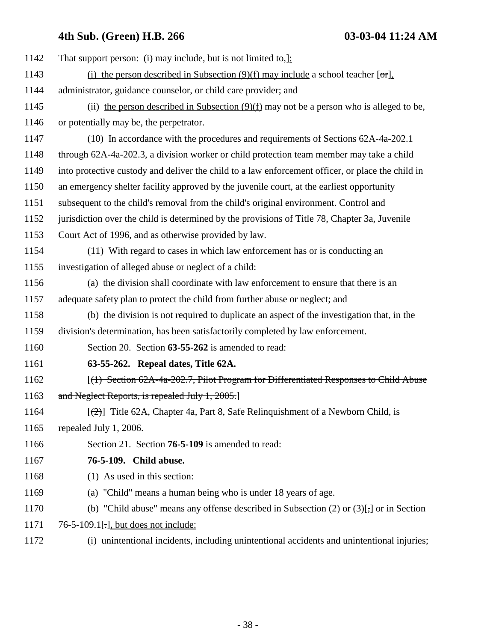| 1142 | That support person: (i) may include, but is not limited to,  :                                    |
|------|----------------------------------------------------------------------------------------------------|
| 1143 | (i) the person described in Subsection (9)(f) may include a school teacher $[\sigma_{\text{r}}]$ , |
| 1144 | administrator, guidance counselor, or child care provider; and                                     |
| 1145 | (ii) the person described in Subsection $(9)(f)$ may not be a person who is alleged to be,         |
| 1146 | or potentially may be, the perpetrator.                                                            |
| 1147 | (10) In accordance with the procedures and requirements of Sections 62A-4a-202.1                   |
| 1148 | through 62A-4a-202.3, a division worker or child protection team member may take a child           |
| 1149 | into protective custody and deliver the child to a law enforcement officer, or place the child in  |
| 1150 | an emergency shelter facility approved by the juvenile court, at the earliest opportunity          |
| 1151 | subsequent to the child's removal from the child's original environment. Control and               |
| 1152 | jurisdiction over the child is determined by the provisions of Title 78, Chapter 3a, Juvenile      |
| 1153 | Court Act of 1996, and as otherwise provided by law.                                               |
| 1154 | (11) With regard to cases in which law enforcement has or is conducting an                         |
| 1155 | investigation of alleged abuse or neglect of a child:                                              |
| 1156 | (a) the division shall coordinate with law enforcement to ensure that there is an                  |
| 1157 | adequate safety plan to protect the child from further abuse or neglect; and                       |
| 1158 | (b) the division is not required to duplicate an aspect of the investigation that, in the          |
| 1159 | division's determination, has been satisfactorily completed by law enforcement.                    |
| 1160 | Section 20. Section 63-55-262 is amended to read:                                                  |
| 1161 | 63-55-262. Repeal dates, Title 62A.                                                                |
| 1162 | $[(1)$ Section 62A-4a-202.7, Pilot Program for Differentiated Responses to Child Abuse             |
| 1163 | and Neglect Reports, is repealed July 1, 2005.                                                     |
| 1164 | $[\frac{1}{2}]$ Title 62A, Chapter 4a, Part 8, Safe Relinquishment of a Newborn Child, is          |
| 1165 | repealed July 1, 2006.                                                                             |
| 1166 | Section 21. Section 76-5-109 is amended to read:                                                   |
| 1167 | 76-5-109. Child abuse.                                                                             |
| 1168 | (1) As used in this section:                                                                       |
| 1169 | (a) "Child" means a human being who is under 18 years of age.                                      |
| 1170 | (b) "Child abuse" means any offense described in Subsection $(2)$ or $(3)$ [ $,$ ] or in Section   |
| 1171 | 76-5-109.1[.], but does not include:                                                               |
| 1172 | (i) unintentional incidents, including unintentional accidents and unintentional injuries;         |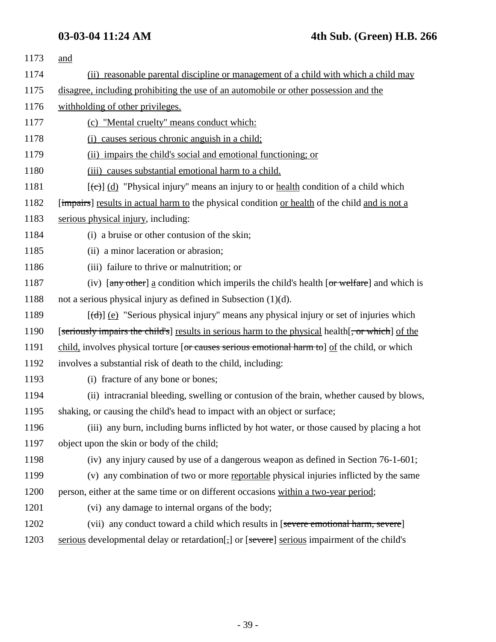| 1173 | and                                                                                                                                                      |
|------|----------------------------------------------------------------------------------------------------------------------------------------------------------|
| 1174 | (ii) reasonable parental discipline or management of a child with which a child may                                                                      |
| 1175 | disagree, including prohibiting the use of an automobile or other possession and the                                                                     |
| 1176 | withholding of other privileges.                                                                                                                         |
| 1177 | (c) "Mental cruelty" means conduct which:                                                                                                                |
| 1178 | (i) causes serious chronic anguish in a child;                                                                                                           |
| 1179 | (ii) impairs the child's social and emotional functioning; or                                                                                            |
| 1180 | (iii) causes substantial emotional harm to a child.                                                                                                      |
| 1181 | $[\text{(-c)}]$ (d) "Physical injury" means an injury to or <u>health</u> condition of a child which                                                     |
| 1182 | [ <i>impairs</i> ] results in actual harm to the physical condition or health of the child and is not a                                                  |
| 1183 | serious physical injury, including:                                                                                                                      |
| 1184 | (i) a bruise or other contusion of the skin;                                                                                                             |
| 1185 | (ii) a minor laceration or abrasion;                                                                                                                     |
| 1186 | (iii) failure to thrive or malnutrition; or                                                                                                              |
| 1187 | (iv) $\left[\frac{any \text{ other}}{a}\right]$ a condition which imperils the child's health $\left[\frac{or \text{ welfare}}{or} \right]$ and which is |
| 1188 | not a serious physical injury as defined in Subsection $(1)(d)$ .                                                                                        |
| 1189 | $[\text{d} \cdot \text{d}]$ (e) "Serious physical injury" means any physical injury or set of injuries which                                             |
| 1190 | [seriously impairs the child's] results in serious harm to the physical health [, or which] of the                                                       |
| 1191 | child, involves physical torture [or causes serious emotional harm to] of the child, or which                                                            |
| 1192 | involves a substantial risk of death to the child, including:                                                                                            |
| 1193 | (i) fracture of any bone or bones;                                                                                                                       |
| 1194 | (ii) intracranial bleeding, swelling or contusion of the brain, whether caused by blows,                                                                 |
| 1195 | shaking, or causing the child's head to impact with an object or surface;                                                                                |
| 1196 | (iii) any burn, including burns inflicted by hot water, or those caused by placing a hot                                                                 |
| 1197 | object upon the skin or body of the child;                                                                                                               |
| 1198 | (iv) any injury caused by use of a dangerous weapon as defined in Section 76-1-601;                                                                      |
| 1199 | (v) any combination of two or more reportable physical injuries inflicted by the same                                                                    |
| 1200 | person, either at the same time or on different occasions within a two-year period;                                                                      |
| 1201 | (vi) any damage to internal organs of the body;                                                                                                          |
| 1202 | (vii) any conduct toward a child which results in [severe emotional harm, severe]                                                                        |
| 1203 | serious developmental delay or retardation[;] or [severe] serious impairment of the child's                                                              |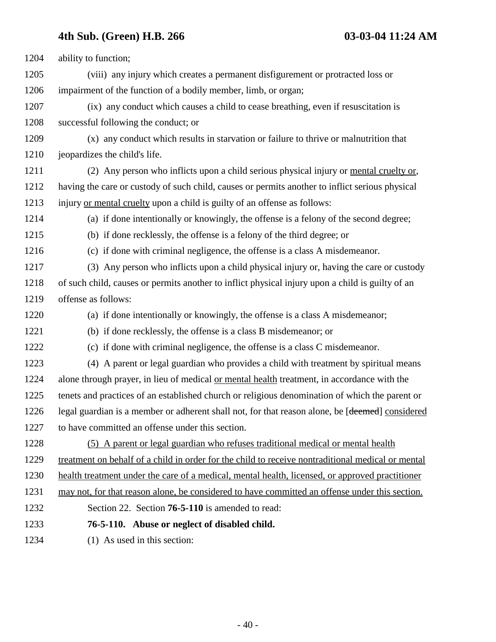| 1204 | ability to function;                                                                                         |
|------|--------------------------------------------------------------------------------------------------------------|
| 1205 | (viii) any injury which creates a permanent disfigurement or protracted loss or                              |
| 1206 | impairment of the function of a bodily member, limb, or organ;                                               |
| 1207 | (ix) any conduct which causes a child to cease breathing, even if resuscitation is                           |
| 1208 | successful following the conduct; or                                                                         |
| 1209 | (x) any conduct which results in starvation or failure to thrive or malnutrition that                        |
| 1210 | jeopardizes the child's life.                                                                                |
| 1211 | (2) Any person who inflicts upon a child serious physical injury or mental cruelty or,                       |
| 1212 | having the care or custody of such child, causes or permits another to inflict serious physical              |
| 1213 | injury or mental cruelty upon a child is guilty of an offense as follows:                                    |
| 1214 | (a) if done intentionally or knowingly, the offense is a felony of the second degree;                        |
| 1215 | (b) if done recklessly, the offense is a felony of the third degree; or                                      |
| 1216 | (c) if done with criminal negligence, the offense is a class A misdemeanor.                                  |
| 1217 | (3) Any person who inflicts upon a child physical injury or, having the care or custody                      |
| 1218 | of such child, causes or permits another to inflict physical injury upon a child is guilty of an             |
| 1219 | offense as follows:                                                                                          |
| 1220 | (a) if done intentionally or knowingly, the offense is a class A misdemeanor;                                |
| 1221 | (b) if done recklessly, the offense is a class B misdemeanor; or                                             |
| 1222 | (c) if done with criminal negligence, the offense is a class C misdemeanor.                                  |
| 1223 | (4) A parent or legal guardian who provides a child with treatment by spiritual means                        |
| 1224 | alone through prayer, in lieu of medical or mental health treatment, in accordance with the                  |
| 1225 | tenets and practices of an established church or religious denomination of which the parent or               |
| 1226 | legal guardian is a member or adherent shall not, for that reason alone, be [ <del>deemed</del> ] considered |
| 1227 | to have committed an offense under this section.                                                             |
| 1228 | (5) A parent or legal guardian who refuses traditional medical or mental health                              |
| 1229 | treatment on behalf of a child in order for the child to receive nontraditional medical or mental            |
| 1230 | health treatment under the care of a medical, mental health, licensed, or approved practitioner              |
| 1231 | may not, for that reason alone, be considered to have committed an offense under this section.               |
| 1232 | Section 22. Section <b>76-5-110</b> is amended to read:                                                      |
| 1233 | 76-5-110. Abuse or neglect of disabled child.                                                                |
| 1234 | (1) As used in this section:                                                                                 |
|      |                                                                                                              |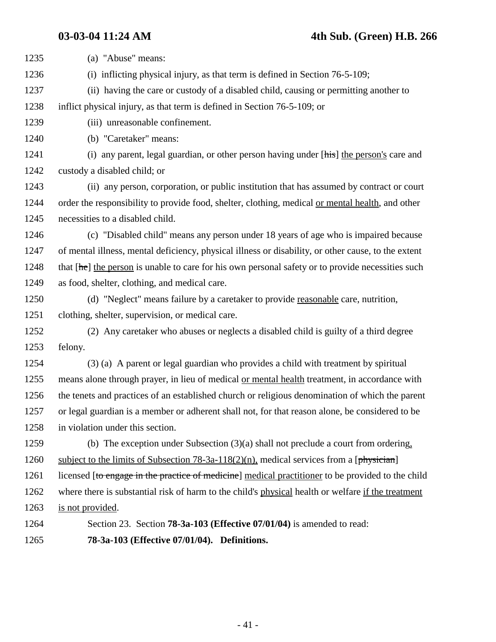**03-03-04 11:24 AM 4th Sub. (Green) H.B. 266** 1235 (a) "Abuse" means: 1236 (i) inflicting physical injury, as that term is defined in Section 76-5-109; 1237 (ii) having the care or custody of a disabled child, causing or permitting another to 1238 inflict physical injury, as that term is defined in Section 76-5-109; or 1239 (iii) unreasonable confinement. 1240 (b) "Caretaker" means: 1241 (i) any parent, legal guardian, or other person having under [his] the person's care and 1242 custody a disabled child; or 1243 (ii) any person, corporation, or public institution that has assumed by contract or court 1244 order the responsibility to provide food, shelter, clothing, medical or mental health, and other 1245 necessities to a disabled child. 1246 (c) "Disabled child" means any person under 18 years of age who is impaired because 1247 of mental illness, mental deficiency, physical illness or disability, or other cause, to the extent 1248 that  $[\frac{\text{he}}{\text{he}}]$  the person is unable to care for his own personal safety or to provide necessities such 1249 as food, shelter, clothing, and medical care. 1250 (d) "Neglect" means failure by a caretaker to provide reasonable care, nutrition, 1251 clothing, shelter, supervision, or medical care. 1252 (2) Any caretaker who abuses or neglects a disabled child is guilty of a third degree 1253 felony. 1254 (3) (a) A parent or legal guardian who provides a child with treatment by spiritual 1255 means alone through prayer, in lieu of medical or mental health treatment, in accordance with 1256 the tenets and practices of an established church or religious denomination of which the parent 1257 or legal guardian is a member or adherent shall not, for that reason alone, be considered to be 1258 in violation under this section. 1259 (b) The exception under Subsection (3)(a) shall not preclude a court from ordering, 1260 subject to the limits of Subsection 78-3a-118(2)(n), medical services from a [physician] 1261 licensed [to engage in the practice of medicine] medical practitioner to be provided to the child 1262 where there is substantial risk of harm to the child's physical health or welfare if the treatment 1263 is not provided. 1264 Section 23. Section **78-3a-103 (Effective 07/01/04)** is amended to read: 1265 **78-3a-103 (Effective 07/01/04). Definitions.**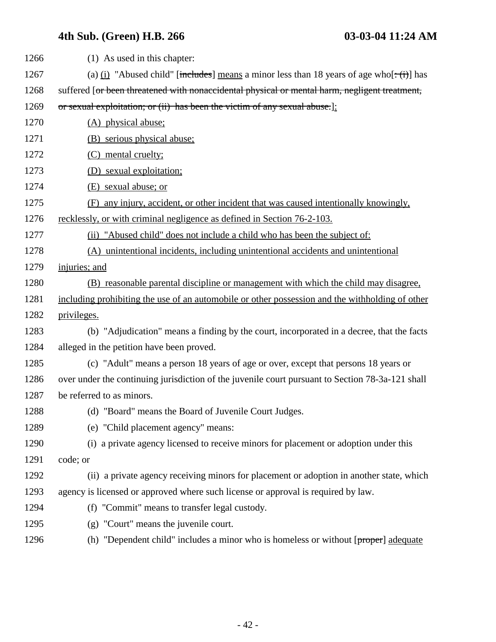| 1266 | (1) As used in this chapter:                                                                                      |
|------|-------------------------------------------------------------------------------------------------------------------|
| 1267 | (a) (i) "Abused child" [includes] means a minor less than 18 years of age who $\left[\div(\mathbf{i})\right]$ has |
| 1268 | suffered [or been threatened with nonaccidental physical or mental harm, negligent treatment,                     |
| 1269 | or sexual exploitation; or (ii) has been the victim of any sexual abuse.]:                                        |
| 1270 | (A) physical abuse;                                                                                               |
| 1271 | (B) serious physical abuse;                                                                                       |
| 1272 | (C) mental cruelty;                                                                                               |
| 1273 | (D) sexual exploitation;                                                                                          |
| 1274 | (E) sexual abuse; or                                                                                              |
| 1275 | any injury, accident, or other incident that was caused intentionally knowingly,<br>(F)                           |
| 1276 | recklessly, or with criminal negligence as defined in Section 76-2-103.                                           |
| 1277 | (ii) "Abused child" does not include a child who has been the subject of:                                         |
| 1278 | (A) unintentional incidents, including unintentional accidents and unintentional                                  |
| 1279 | injuries; and                                                                                                     |
| 1280 | (B) reasonable parental discipline or management with which the child may disagree,                               |
| 1281 | including prohibiting the use of an automobile or other possession and the withholding of other                   |
| 1282 | privileges.                                                                                                       |
| 1283 | (b) "Adjudication" means a finding by the court, incorporated in a decree, that the facts                         |
| 1284 | alleged in the petition have been proved.                                                                         |
| 1285 | (c) "Adult" means a person 18 years of age or over, except that persons 18 years or                               |
| 1286 | over under the continuing jurisdiction of the juvenile court pursuant to Section 78-3a-121 shall                  |
| 1287 | be referred to as minors.                                                                                         |
| 1288 | (d) "Board" means the Board of Juvenile Court Judges.                                                             |
| 1289 | (e) "Child placement agency" means:                                                                               |
| 1290 | (i) a private agency licensed to receive minors for placement or adoption under this                              |
| 1291 | code; or                                                                                                          |
| 1292 | (ii) a private agency receiving minors for placement or adoption in another state, which                          |
| 1293 | agency is licensed or approved where such license or approval is required by law.                                 |
| 1294 | (f) "Commit" means to transfer legal custody.                                                                     |
| 1295 | (g) "Court" means the juvenile court.                                                                             |
| 1296 | (h) "Dependent child" includes a minor who is homeless or without [proper] adequate                               |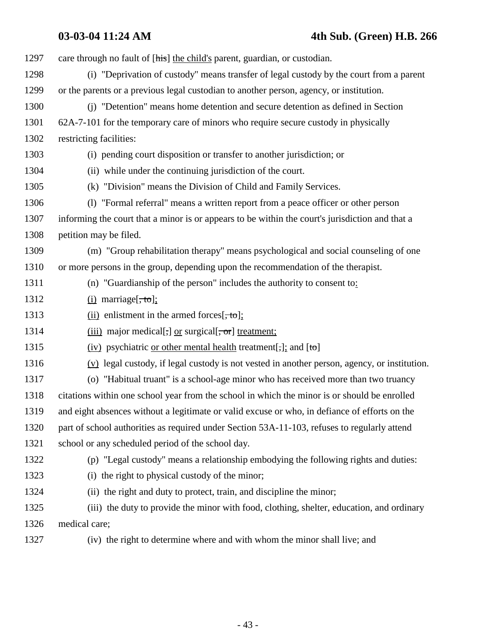### **03-03-04 11:24 AM 4th Sub. (Green) H.B. 266**

1297 care through no fault of [his] the child's parent, guardian, or custodian. 1298 (i) "Deprivation of custody" means transfer of legal custody by the court from a parent 1299 or the parents or a previous legal custodian to another person, agency, or institution. 1300 (j) "Detention" means home detention and secure detention as defined in Section 1301 62A-7-101 for the temporary care of minors who require secure custody in physically 1302 restricting facilities: 1303 (i) pending court disposition or transfer to another jurisdiction; or 1304 (ii) while under the continuing jurisdiction of the court. 1305 (k) "Division" means the Division of Child and Family Services. 1306 (l) "Formal referral" means a written report from a peace officer or other person 1307 informing the court that a minor is or appears to be within the court's jurisdiction and that a 1308 petition may be filed. 1309 (m) "Group rehabilitation therapy" means psychological and social counseling of one 1310 or more persons in the group, depending upon the recommendation of the therapist. 1311 (n) "Guardianship of the person" includes the authority to consent to: 1312 (i) marriage $[\text{, to]}$ ; 1313 (ii) enlistment in the armed forces $[\frac{1}{2}, \frac{1}{2}]$ ; 1314 (iii) major medical[ $\tau$ ] or surgical[ $\tau$ ] treatment; 1315 (iv) psychiatric <u>or other mental health</u> treatment[;]; and  $[t\sigma]$ 1316 (v) legal custody, if legal custody is not vested in another person, agency, or institution. 1317 (o) "Habitual truant" is a school-age minor who has received more than two truancy 1318 citations within one school year from the school in which the minor is or should be enrolled 1319 and eight absences without a legitimate or valid excuse or who, in defiance of efforts on the 1320 part of school authorities as required under Section 53A-11-103, refuses to regularly attend 1321 school or any scheduled period of the school day. 1322 (p) "Legal custody" means a relationship embodying the following rights and duties: 1323 (i) the right to physical custody of the minor; 1324 (ii) the right and duty to protect, train, and discipline the minor; 1325 (iii) the duty to provide the minor with food, clothing, shelter, education, and ordinary 1326 medical care; 1327 (iv) the right to determine where and with whom the minor shall live; and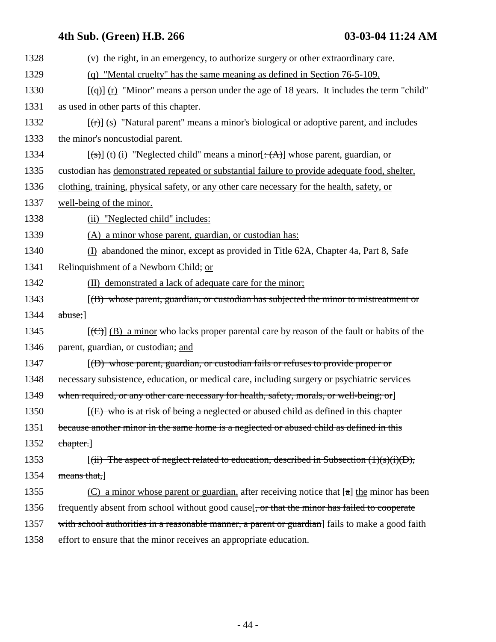| 1328 | (v) the right, in an emergency, to authorize surgery or other extraordinary care.                                 |
|------|-------------------------------------------------------------------------------------------------------------------|
| 1329 | (q) "Mental cruelty" has the same meaning as defined in Section 76-5-109.                                         |
| 1330 | $[\text{f}\text{g}(\text{f})]$ (r) "Minor" means a person under the age of 18 years. It includes the term "child" |
| 1331 | as used in other parts of this chapter.                                                                           |
| 1332 | $[\text{f}(\text{f})]$ (s) "Natural parent" means a minor's biological or adoptive parent, and includes           |
| 1333 | the minor's noncustodial parent.                                                                                  |
| 1334 | $[\text{fs}]$ (t) (i) "Neglected child" means a minor $[\text{f}(\text{A})]$ whose parent, guardian, or           |
| 1335 | custodian has demonstrated repeated or substantial failure to provide adequate food, shelter,                     |
| 1336 | clothing, training, physical safety, or any other care necessary for the health, safety, or                       |
| 1337 | well-being of the minor.                                                                                          |
| 1338 | (ii) "Neglected child" includes:                                                                                  |
| 1339 | (A) a minor whose parent, guardian, or custodian has:                                                             |
| 1340 | (I) abandoned the minor, except as provided in Title 62A, Chapter 4a, Part 8, Safe                                |
| 1341 | Relinquishment of a Newborn Child; or                                                                             |
| 1342 | (II) demonstrated a lack of adequate care for the minor;                                                          |
| 1343 | [(B) whose parent, guardian, or custodian has subjected the minor to mistreatment or                              |
| 1344 | $abuse$ ;                                                                                                         |
| 1345 | $[\text{(\theta)}]$ (B) a minor who lacks proper parental care by reason of the fault or habits of the            |
| 1346 | parent, guardian, or custodian; and                                                                               |
| 1347 | $(6)$ whose parent, guardian, or custodian fails or refuses to provide proper or                                  |
| 1348 | necessary subsistence, education, or medical care, including surgery or psychiatric services                      |
| 1349 | when required, or any other care necessary for health, safety, morals, or well-being; or                          |
| 1350 | $f(E)$ who is at risk of being a neglected or abused child as defined in this chapter                             |
| 1351 | because another minor in the same home is a neglected or abused child as defined in this                          |
| 1352 | chapter.]                                                                                                         |
| 1353 | $[(iii)$ The aspect of neglect related to education, described in Subsection $(1)(s)(i)(D)$ ,                     |
| 1354 | means that,                                                                                                       |
| 1355 | (C) a minor whose parent or guardian, after receiving notice that $[a]$ the minor has been                        |
| 1356 | frequently absent from school without good cause [, or that the minor has failed to cooperate                     |
| 1357 | with school authorities in a reasonable manner, a parent or guardian] fails to make a good faith                  |
| 1358 | effort to ensure that the minor receives an appropriate education.                                                |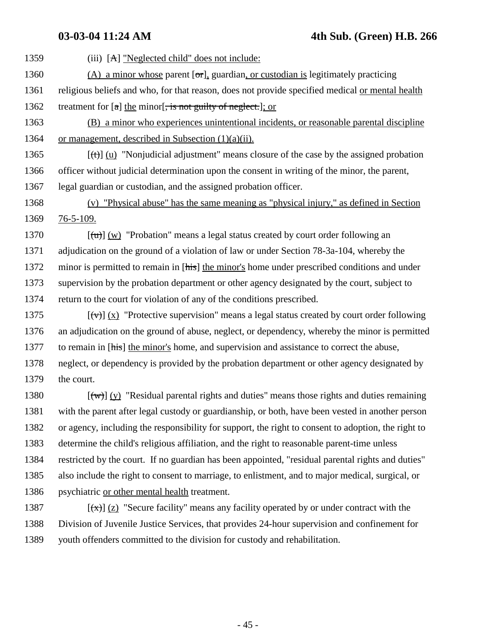1359 (iii) [A] "Neglected child" does not include: 1360 (A) a minor whose parent  $[\sigma r]$ , guardian, or custodian is legitimately practicing 1361 religious beliefs and who, for that reason, does not provide specified medical or mental health 1362 treatment for  $\lceil a \rceil$  the minor  $\lceil a \rceil$ , is not guilty of neglect.  $\lceil a \rceil$ ; or 1363 (B) a minor who experiences unintentional incidents, or reasonable parental discipline 1364 or management, described in Subsection  $(1)(a)(ii)$ . 1365  $[(t)]$  (u) "Nonjudicial adjustment" means closure of the case by the assigned probation 1366 officer without judicial determination upon the consent in writing of the minor, the parent, 1367 legal guardian or custodian, and the assigned probation officer. 1368 (v) "Physical abuse" has the same meaning as "physical injury," as defined in Section 1369 76-5-109. 1370  $[(\text{tr})](w)$  "Probation" means a legal status created by court order following an 1371 adjudication on the ground of a violation of law or under Section 78-3a-104, whereby the 1372 minor is permitted to remain in [his] the minor's home under prescribed conditions and under 1373 supervision by the probation department or other agency designated by the court, subject to 1374 return to the court for violation of any of the conditions prescribed. 1375  $[\forall \forall] (x)$  "Protective supervision" means a legal status created by court order following 1376 an adjudication on the ground of abuse, neglect, or dependency, whereby the minor is permitted 1377 to remain in [his] the minor's home, and supervision and assistance to correct the abuse, 1378 neglect, or dependency is provided by the probation department or other agency designated by 1379 the court. 1380  $[\langle \overline{w} \rangle]$  (y) "Residual parental rights and duties" means those rights and duties remaining 1381 with the parent after legal custody or guardianship, or both, have been vested in another person

1382 or agency, including the responsibility for support, the right to consent to adoption, the right to 1383 determine the child's religious affiliation, and the right to reasonable parent-time unless 1384 restricted by the court. If no guardian has been appointed, "residual parental rights and duties" 1385 also include the right to consent to marriage, to enlistment, and to major medical, surgical, or 1386 psychiatric or other mental health treatment.

1387  $[(x)] (z)$  "Secure facility" means any facility operated by or under contract with the 1388 Division of Juvenile Justice Services, that provides 24-hour supervision and confinement for 1389 youth offenders committed to the division for custody and rehabilitation.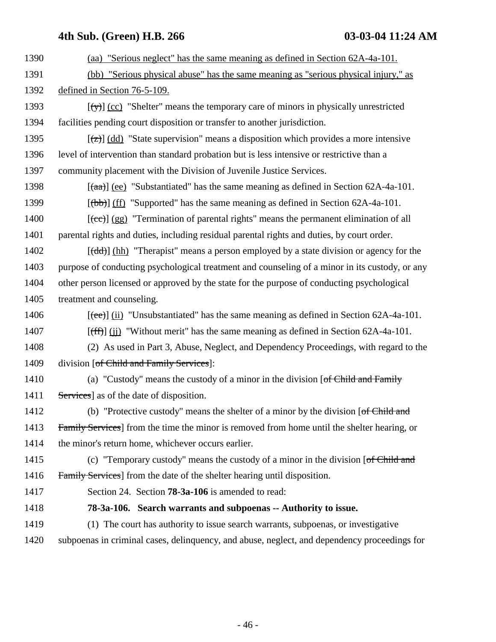- 1390 (aa) "Serious neglect" has the same meaning as defined in Section 62A-4a-101.
- 1391 (bb) "Serious physical abuse" has the same meaning as "serious physical injury," as 1392 defined in Section 76-5-109.
- 1393  $[\forall x]$  (cc) "Shelter" means the temporary care of minors in physically unrestricted 1394 facilities pending court disposition or transfer to another jurisdiction.
- 1395  $\lceil (z) \rceil$  (dd) "State supervision" means a disposition which provides a more intensive 1396 level of intervention than standard probation but is less intensive or restrictive than a 1397 community placement with the Division of Juvenile Justice Services.
- 1398  $\left[\frac{(\text{aa})}{(\text{ea})}\right]$  (ee) "Substantiated" has the same meaning as defined in Section 62A-4a-101.
- 1399  $[(bb)]$  (ff) "Supported" has the same meaning as defined in Section 62A-4a-101.
- 1400  $[(ee)]$  (gg) "Termination of parental rights" means the permanent elimination of all 1401 parental rights and duties, including residual parental rights and duties, by court order.
- 1402 [(dd)] (hh) "Therapist" means a person employed by a state division or agency for the 1403 purpose of conducting psychological treatment and counseling of a minor in its custody, or any 1404 other person licensed or approved by the state for the purpose of conducting psychological 1405 treatment and counseling.
- 1406  $[\text{(\text{ee})}]$  (ii) "Unsubstantiated" has the same meaning as defined in Section 62A-4a-101.
- 1407  $[fff]$  (ii) "Without merit" has the same meaning as defined in Section 62A-4a-101.
- 1408 (2) As used in Part 3, Abuse, Neglect, and Dependency Proceedings, with regard to the 1409 division [<del>of Child and Family Services</del>]:
- 1410 (a) "Custody" means the custody of a minor in the division [of Child and Family 1411 Services as of the date of disposition.
- 1412 (b) "Protective custody" means the shelter of a minor by the division [of Child and 1413 Family Services] from the time the minor is removed from home until the shelter hearing, or 1414 the minor's return home, whichever occurs earlier.
- 1415 (c) "Temporary custody" means the custody of a minor in the division [of Child and 1416 Family Services] from the date of the shelter hearing until disposition.
- 
- 1417 Section 24. Section **78-3a-106** is amended to read:
- 1418 **78-3a-106. Search warrants and subpoenas -- Authority to issue.**
- 1419 (1) The court has authority to issue search warrants, subpoenas, or investigative 1420 subpoenas in criminal cases, delinquency, and abuse, neglect, and dependency proceedings for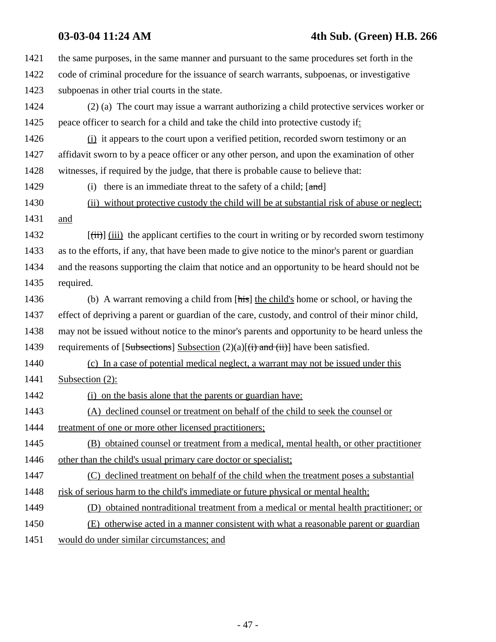| 1421 | the same purposes, in the same manner and pursuant to the same procedures set forth in the                  |
|------|-------------------------------------------------------------------------------------------------------------|
| 1422 | code of criminal procedure for the issuance of search warrants, subpoenas, or investigative                 |
| 1423 | subpoenas in other trial courts in the state.                                                               |
| 1424 | (2) (a) The court may issue a warrant authorizing a child protective services worker or                     |
| 1425 | peace officer to search for a child and take the child into protective custody if:                          |
| 1426 | (i) it appears to the court upon a verified petition, recorded sworn testimony or an                        |
| 1427 | affidavit sworn to by a peace officer or any other person, and upon the examination of other                |
| 1428 | witnesses, if required by the judge, that there is probable cause to believe that:                          |
| 1429 | (i) there is an immediate threat to the safety of a child; $[1]$                                            |
| 1430 | (ii) without protective custody the child will be at substantial risk of abuse or neglect;                  |
| 1431 | and                                                                                                         |
| 1432 | $[\overrightarrow{t})$ (iii) the applicant certifies to the court in writing or by recorded sworn testimony |
| 1433 | as to the efforts, if any, that have been made to give notice to the minor's parent or guardian             |
| 1434 | and the reasons supporting the claim that notice and an opportunity to be heard should not be               |
| 1435 | required.                                                                                                   |
| 1436 | (b) A warrant removing a child from [his] the child's home or school, or having the                         |
| 1437 | effect of depriving a parent or guardian of the care, custody, and control of their minor child,            |
| 1438 | may not be issued without notice to the minor's parents and opportunity to be heard unless the              |
| 1439 | requirements of [Subsections] Subsection $(2)(a)$ [ $(i)$ and $(ii)$ ] have been satisfied.                 |
| 1440 | (c) In a case of potential medical neglect, a warrant may not be issued under this                          |
| 1441 | Subsection $(2)$ :                                                                                          |
| 1442 | (i) on the basis alone that the parents or guardian have:                                                   |
| 1443 | (A) declined counsel or treatment on behalf of the child to seek the counsel or                             |
| 1444 | treatment of one or more other licensed practitioners;                                                      |
| 1445 | (B) obtained counsel or treatment from a medical, mental health, or other practitioner                      |
| 1446 | other than the child's usual primary care doctor or specialist;                                             |
| 1447 | declined treatment on behalf of the child when the treatment poses a substantial<br>(C)                     |
| 1448 | risk of serious harm to the child's immediate or future physical or mental health;                          |
| 1449 | (D) obtained nontraditional treatment from a medical or mental health practitioner; or                      |
| 1450 | otherwise acted in a manner consistent with what a reasonable parent or guardian<br>(E)                     |
| 1451 | would do under similar circumstances; and                                                                   |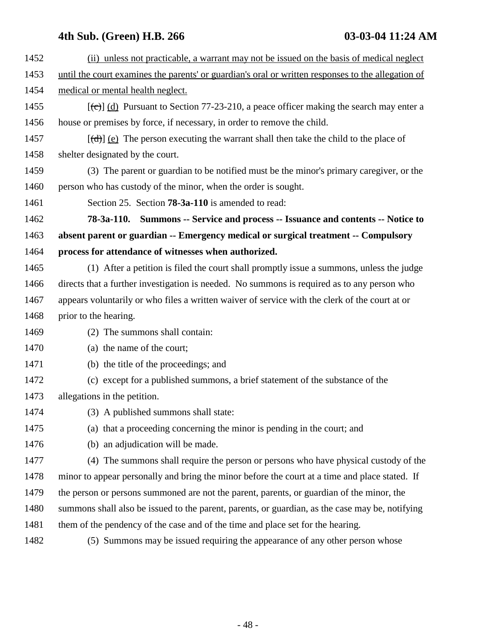| 1452 | (ii) unless not practicable, a warrant may not be issued on the basis of medical neglect               |
|------|--------------------------------------------------------------------------------------------------------|
| 1453 | until the court examines the parents' or guardian's oral or written responses to the allegation of     |
| 1454 | medical or mental health neglect.                                                                      |
| 1455 | $[\text{(\text{c})}]$ (d) Pursuant to Section 77-23-210, a peace officer making the search may enter a |
| 1456 | house or premises by force, if necessary, in order to remove the child.                                |
| 1457 | $[\text{(\text{d})}]$ (e) The person executing the warrant shall then take the child to the place of   |
| 1458 | shelter designated by the court.                                                                       |
| 1459 | (3) The parent or guardian to be notified must be the minor's primary caregiver, or the                |
| 1460 | person who has custody of the minor, when the order is sought.                                         |
| 1461 | Section 25. Section <b>78-3a-110</b> is amended to read:                                               |
| 1462 | 78-3a-110. Summons -- Service and process -- Issuance and contents -- Notice to                        |
| 1463 | absent parent or guardian -- Emergency medical or surgical treatment -- Compulsory                     |
| 1464 | process for attendance of witnesses when authorized.                                                   |
| 1465 | (1) After a petition is filed the court shall promptly issue a summons, unless the judge               |
| 1466 | directs that a further investigation is needed. No summons is required as to any person who            |
| 1467 | appears voluntarily or who files a written waiver of service with the clerk of the court at or         |
| 1468 | prior to the hearing.                                                                                  |
| 1469 | (2) The summons shall contain:                                                                         |
| 1470 | (a) the name of the court;                                                                             |
| 1471 | (b) the title of the proceedings; and                                                                  |
| 1472 | (c) except for a published summons, a brief statement of the substance of the                          |
| 1473 | allegations in the petition.                                                                           |
| 1474 | (3) A published summons shall state:                                                                   |
| 1475 | (a) that a proceeding concerning the minor is pending in the court; and                                |
| 1476 | (b) an adjudication will be made.                                                                      |
| 1477 | (4) The summons shall require the person or persons who have physical custody of the                   |
| 1478 | minor to appear personally and bring the minor before the court at a time and place stated. If         |
| 1479 | the person or persons summoned are not the parent, parents, or guardian of the minor, the              |
| 1480 | summons shall also be issued to the parent, parents, or guardian, as the case may be, notifying        |
| 1481 | them of the pendency of the case and of the time and place set for the hearing.                        |
| 1482 | (5) Summons may be issued requiring the appearance of any other person whose                           |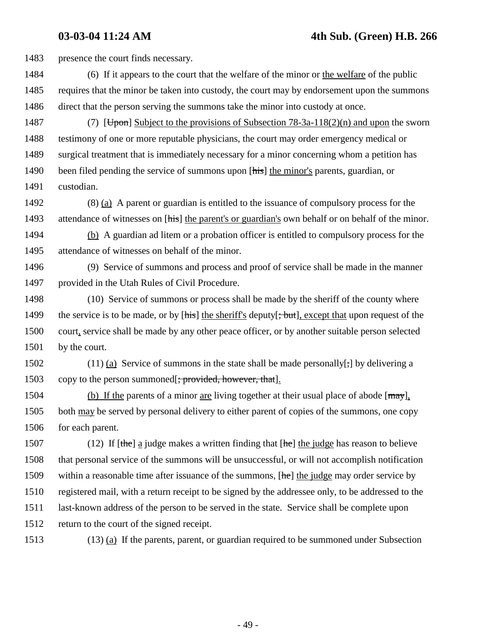1483 presence the court finds necessary.

- 1484 (6) If it appears to the court that the welfare of the minor or the welfare of the public 1485 requires that the minor be taken into custody, the court may by endorsement upon the summons 1486 direct that the person serving the summons take the minor into custody at once.
- 1487 (7) [Upon] Subject to the provisions of Subsection  $78-3a-118(2)(n)$  and upon the sworn 1488 testimony of one or more reputable physicians, the court may order emergency medical or 1489 surgical treatment that is immediately necessary for a minor concerning whom a petition has 1490 been filed pending the service of summons upon [his] the minor's parents, guardian, or 1491 custodian.
- 1492 (8) (a) A parent or guardian is entitled to the issuance of compulsory process for the 1493 attendance of witnesses on [his] the parent's or guardian's own behalf or on behalf of the minor.
- 1494 (b) A guardian ad litem or a probation officer is entitled to compulsory process for the 1495 attendance of witnesses on behalf of the minor.
- 1496 (9) Service of summons and process and proof of service shall be made in the manner 1497 provided in the Utah Rules of Civil Procedure.
- 1498 (10) Service of summons or process shall be made by the sheriff of the county where 1499 the service is to be made, or by [his] the sheriff's deputy[; but], except that upon request of the 1500 court, service shall be made by any other peace officer, or by another suitable person selected 1501 by the court.
- 1502 (11) (a) Service of summons in the state shall be made personally[ $\frac{1}{2}$ ] by delivering a 1503 copy to the person summoned[; provided, however, that].
- 1504 (b) If the parents of a minor are living together at their usual place of abode  $[\text{max}]$ , 1505 both may be served by personal delivery to either parent of copies of the summons, one copy 1506 for each parent.
- 1507 (12) If  $[the]$  a judge makes a written finding that  $[he]$  the judge has reason to believe 1508 that personal service of the summons will be unsuccessful, or will not accomplish notification 1509 within a reasonable time after issuance of the summons, [he] the judge may order service by 1510 registered mail, with a return receipt to be signed by the addressee only, to be addressed to the 1511 last-known address of the person to be served in the state. Service shall be complete upon 1512 return to the court of the signed receipt.
- 1513 (13) (a) If the parents, parent, or guardian required to be summoned under Subsection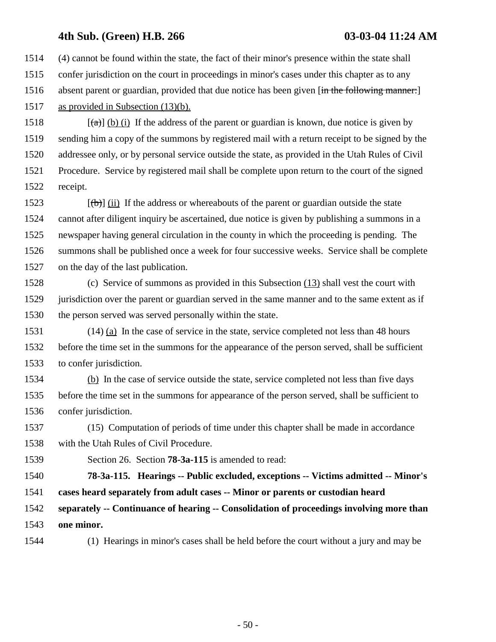1514 (4) cannot be found within the state, the fact of their minor's presence within the state shall 1515 confer jurisdiction on the court in proceedings in minor's cases under this chapter as to any 1516 absent parent or guardian, provided that due notice has been given [in the following manner:] 1517 as provided in Subsection (13)(b).

1518  $[\hat{a}]$  (b) (i) If the address of the parent or guardian is known, due notice is given by 1519 sending him a copy of the summons by registered mail with a return receipt to be signed by the 1520 addressee only, or by personal service outside the state, as provided in the Utah Rules of Civil 1521 Procedure. Service by registered mail shall be complete upon return to the court of the signed 1522 receipt.

1523  $[(\theta)]$  (ii) If the address or whereabouts of the parent or guardian outside the state 1524 cannot after diligent inquiry be ascertained, due notice is given by publishing a summons in a 1525 newspaper having general circulation in the county in which the proceeding is pending. The 1526 summons shall be published once a week for four successive weeks. Service shall be complete 1527 on the day of the last publication.

1528 (c) Service of summons as provided in this Subsection (13) shall vest the court with 1529 jurisdiction over the parent or guardian served in the same manner and to the same extent as if 1530 the person served was served personally within the state.

1531 (14) (a) In the case of service in the state, service completed not less than 48 hours 1532 before the time set in the summons for the appearance of the person served, shall be sufficient 1533 to confer jurisdiction.

1534 (b) In the case of service outside the state, service completed not less than five days 1535 before the time set in the summons for appearance of the person served, shall be sufficient to 1536 confer jurisdiction.

1537 (15) Computation of periods of time under this chapter shall be made in accordance 1538 with the Utah Rules of Civil Procedure.

1539 Section 26. Section **78-3a-115** is amended to read:

1540 **78-3a-115. Hearings -- Public excluded, exceptions -- Victims admitted -- Minor's** 1541 **cases heard separately from adult cases -- Minor or parents or custodian heard**

1542 **separately -- Continuance of hearing -- Consolidation of proceedings involving more than** 1543 **one minor.**

1544 (1) Hearings in minor's cases shall be held before the court without a jury and may be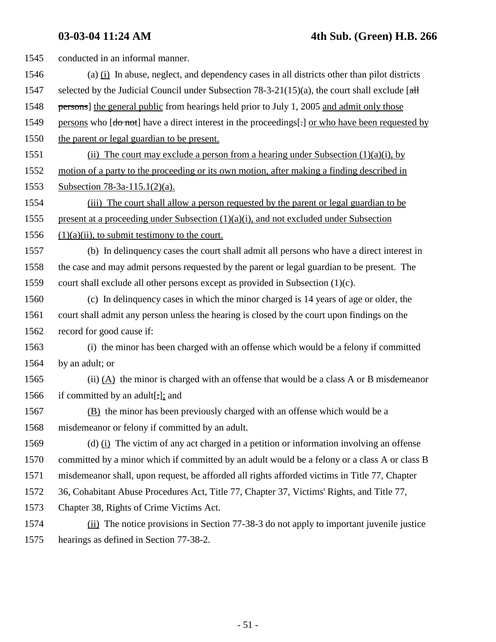| 1545 | conducted in an informal manner.                                                                      |
|------|-------------------------------------------------------------------------------------------------------|
| 1546 | (a) $(i)$ In abuse, neglect, and dependency cases in all districts other than pilot districts         |
| 1547 | selected by the Judicial Council under Subsection 78-3-21(15)(a), the court shall exclude $\lceil$ aH |
| 1548 | persons] the general public from hearings held prior to July 1, 2005 and admit only those             |
| 1549 | persons who [do not] have a direct interest in the proceedings[:] or who have been requested by       |
| 1550 | the parent or legal guardian to be present.                                                           |
| 1551 | (ii) The court may exclude a person from a hearing under Subsection $(1)(a)(i)$ , by                  |
| 1552 | motion of a party to the proceeding or its own motion, after making a finding described in            |
| 1553 | Subsection 78-3a-115.1(2)(a).                                                                         |
| 1554 | (iii) The court shall allow a person requested by the parent or legal guardian to be                  |
| 1555 | present at a proceeding under Subsection $(1)(a)(i)$ , and not excluded under Subsection              |
| 1556 | $(1)(a)(ii)$ , to submit testimony to the court.                                                      |
| 1557 | (b) In delinquency cases the court shall admit all persons who have a direct interest in              |
| 1558 | the case and may admit persons requested by the parent or legal guardian to be present. The           |
| 1559 | court shall exclude all other persons except as provided in Subsection $(1)(c)$ .                     |
| 1560 | (c) In delinquency cases in which the minor charged is 14 years of age or older, the                  |
| 1561 | court shall admit any person unless the hearing is closed by the court upon findings on the           |
| 1562 | record for good cause if:                                                                             |
| 1563 | (i) the minor has been charged with an offense which would be a felony if committed                   |
| 1564 | by an adult; or                                                                                       |
| 1565 | (ii) $(A)$ the minor is charged with an offense that would be a class A or B misdemeanor              |
| 1566 | if committed by an adult[ $\frac{1}{2}$ ]; and                                                        |
| 1567 | (B) the minor has been previously charged with an offense which would be a                            |
| 1568 | misdemeanor or felony if committed by an adult.                                                       |
| 1569 | (d) $(i)$ The victim of any act charged in a petition or information involving an offense             |
| 1570 | committed by a minor which if committed by an adult would be a felony or a class A or class B         |
| 1571 | misdemeanor shall, upon request, be afforded all rights afforded victims in Title 77, Chapter         |
| 1572 | 36, Cohabitant Abuse Procedures Act, Title 77, Chapter 37, Victims' Rights, and Title 77,             |
| 1573 | Chapter 38, Rights of Crime Victims Act.                                                              |
| 1574 | (ii) The notice provisions in Section 77-38-3 do not apply to important juvenile justice              |
| 1575 | hearings as defined in Section 77-38-2.                                                               |
|      |                                                                                                       |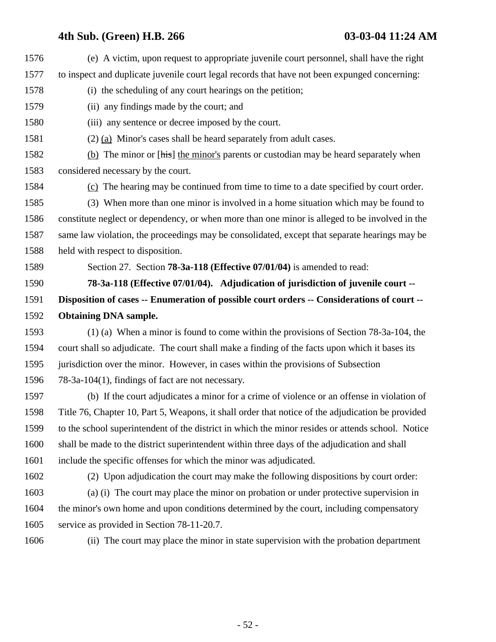| 1576 | (e) A victim, upon request to appropriate juvenile court personnel, shall have the right          |
|------|---------------------------------------------------------------------------------------------------|
| 1577 | to inspect and duplicate juvenile court legal records that have not been expunged concerning:     |
| 1578 | (i) the scheduling of any court hearings on the petition;                                         |
| 1579 | (ii) any findings made by the court; and                                                          |
| 1580 | (iii) any sentence or decree imposed by the court.                                                |
| 1581 | $(2)$ (a) Minor's cases shall be heard separately from a dult cases.                              |
| 1582 | (b) The minor or [his] the minor's parents or custodian may be heard separately when              |
| 1583 | considered necessary by the court.                                                                |
| 1584 | (c) The hearing may be continued from time to time to a date specified by court order.            |
| 1585 | (3) When more than one minor is involved in a home situation which may be found to                |
| 1586 | constitute neglect or dependency, or when more than one minor is alleged to be involved in the    |
| 1587 | same law violation, the proceedings may be consolidated, except that separate hearings may be     |
| 1588 | held with respect to disposition.                                                                 |
| 1589 | Section 27. Section <b>78-3a-118</b> (Effective 07/01/04) is amended to read:                     |
| 1590 | 78-3a-118 (Effective 07/01/04). Adjudication of jurisdiction of juvenile court --                 |
| 1591 | Disposition of cases -- Enumeration of possible court orders -- Considerations of court --        |
| 1592 | <b>Obtaining DNA sample.</b>                                                                      |
| 1593 | $(1)$ (a) When a minor is found to come within the provisions of Section 78-3a-104, the           |
| 1594 | court shall so adjudicate. The court shall make a finding of the facts upon which it bases its    |
| 1595 | jurisdiction over the minor. However, in cases within the provisions of Subsection                |
| 1596 | 78-3a-104(1), findings of fact are not necessary.                                                 |
| 1597 | (b) If the court adjudicates a minor for a crime of violence or an offense in violation of        |
| 1598 | Title 76, Chapter 10, Part 5, Weapons, it shall order that notice of the adjudication be provided |
| 1599 | to the school superintendent of the district in which the minor resides or attends school. Notice |
| 1600 | shall be made to the district superintendent within three days of the adjudication and shall      |
| 1601 | include the specific offenses for which the minor was adjudicated.                                |
| 1602 | (2) Upon adjudication the court may make the following dispositions by court order:               |
| 1603 | (a) (i) The court may place the minor on probation or under protective supervision in             |
| 1604 | the minor's own home and upon conditions determined by the court, including compensatory          |
| 1605 | service as provided in Section 78-11-20.7.                                                        |
| 1606 | (ii) The court may place the minor in state supervision with the probation department             |
|      |                                                                                                   |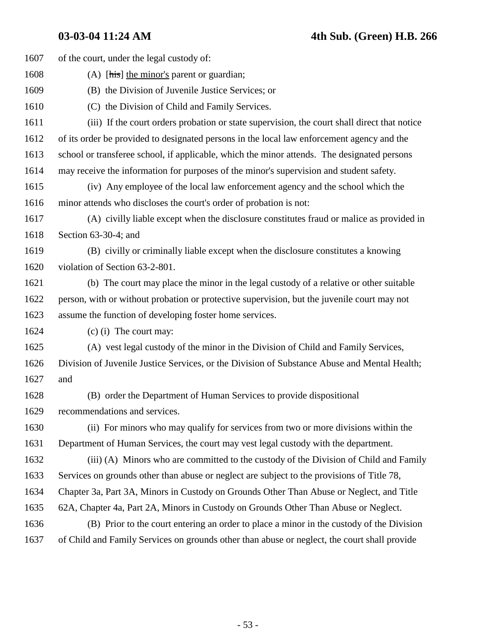| 1607 | of the court, under the legal custody of:                                                    |
|------|----------------------------------------------------------------------------------------------|
| 1608 | (A) $[\overline{h}$ the minor's parent or guardian;                                          |
| 1609 | (B) the Division of Juvenile Justice Services; or                                            |
| 1610 | (C) the Division of Child and Family Services.                                               |
| 1611 | (iii) If the court orders probation or state supervision, the court shall direct that notice |
| 1612 | of its order be provided to designated persons in the local law enforcement agency and the   |
| 1613 | school or transferee school, if applicable, which the minor attends. The designated persons  |
| 1614 | may receive the information for purposes of the minor's supervision and student safety.      |
| 1615 | (iv) Any employee of the local law enforcement agency and the school which the               |
| 1616 | minor attends who discloses the court's order of probation is not:                           |
| 1617 | (A) civilly liable except when the disclosure constitutes fraud or malice as provided in     |
| 1618 | Section $63-30-4$ ; and                                                                      |
| 1619 | (B) civilly or criminally liable except when the disclosure constitutes a knowing            |
| 1620 | violation of Section 63-2-801.                                                               |
| 1621 | (b) The court may place the minor in the legal custody of a relative or other suitable       |
| 1622 | person, with or without probation or protective supervision, but the juvenile court may not  |
| 1623 | assume the function of developing foster home services.                                      |
| 1624 | $(c)$ (i) The court may:                                                                     |
| 1625 | (A) vest legal custody of the minor in the Division of Child and Family Services,            |
| 1626 | Division of Juvenile Justice Services, or the Division of Substance Abuse and Mental Health; |
| 1627 | and                                                                                          |
| 1628 | (B) order the Department of Human Services to provide dispositional                          |
| 1629 | recommendations and services.                                                                |
| 1630 | (ii) For minors who may qualify for services from two or more divisions within the           |
| 1631 | Department of Human Services, the court may vest legal custody with the department.          |
| 1632 | (iii) (A) Minors who are committed to the custody of the Division of Child and Family        |
| 1633 | Services on grounds other than abuse or neglect are subject to the provisions of Title 78,   |
| 1634 | Chapter 3a, Part 3A, Minors in Custody on Grounds Other Than Abuse or Neglect, and Title     |
| 1635 | 62A, Chapter 4a, Part 2A, Minors in Custody on Grounds Other Than Abuse or Neglect.          |
| 1636 | (B) Prior to the court entering an order to place a minor in the custody of the Division     |
| 1637 | of Child and Family Services on grounds other than abuse or neglect, the court shall provide |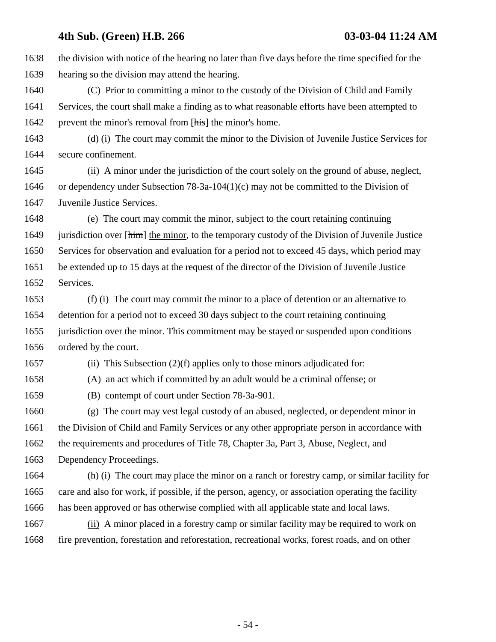1638 the division with notice of the hearing no later than five days before the time specified for the 1639 hearing so the division may attend the hearing. 1640 (C) Prior to committing a minor to the custody of the Division of Child and Family 1641 Services, the court shall make a finding as to what reasonable efforts have been attempted to 1642 prevent the minor's removal from [his] the minor's home. 1643 (d) (i) The court may commit the minor to the Division of Juvenile Justice Services for 1644 secure confinement. 1645 (ii) A minor under the jurisdiction of the court solely on the ground of abuse, neglect, 1646 or dependency under Subsection 78-3a-104(1)(c) may not be committed to the Division of 1647 Juvenile Justice Services. 1648 (e) The court may commit the minor, subject to the court retaining continuing 1649 jurisdiction over [him] the minor, to the temporary custody of the Division of Juvenile Justice 1650 Services for observation and evaluation for a period not to exceed 45 days, which period may 1651 be extended up to 15 days at the request of the director of the Division of Juvenile Justice

1652 Services.

1653 (f) (i) The court may commit the minor to a place of detention or an alternative to 1654 detention for a period not to exceed 30 days subject to the court retaining continuing 1655 jurisdiction over the minor. This commitment may be stayed or suspended upon conditions 1656 ordered by the court.

1657 (ii) This Subsection (2)(f) applies only to those minors adjudicated for:

1658 (A) an act which if committed by an adult would be a criminal offense; or

1659 (B) contempt of court under Section 78-3a-901.

1660 (g) The court may vest legal custody of an abused, neglected, or dependent minor in 1661 the Division of Child and Family Services or any other appropriate person in accordance with 1662 the requirements and procedures of Title 78, Chapter 3a, Part 3, Abuse, Neglect, and 1663 Dependency Proceedings.

1664 (h) (i) The court may place the minor on a ranch or forestry camp, or similar facility for 1665 care and also for work, if possible, if the person, agency, or association operating the facility 1666 has been approved or has otherwise complied with all applicable state and local laws.

1667 (ii) A minor placed in a forestry camp or similar facility may be required to work on 1668 fire prevention, forestation and reforestation, recreational works, forest roads, and on other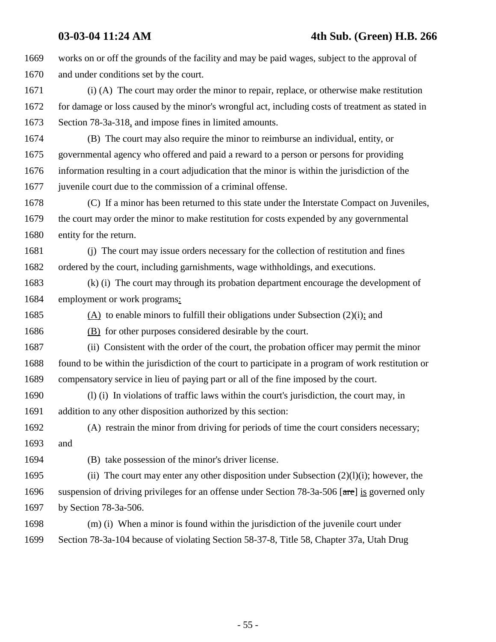1669 works on or off the grounds of the facility and may be paid wages, subject to the approval of 1670 and under conditions set by the court. 1671 (i) (A) The court may order the minor to repair, replace, or otherwise make restitution 1672 for damage or loss caused by the minor's wrongful act, including costs of treatment as stated in 1673 Section 78-3a-318, and impose fines in limited amounts. 1674 (B) The court may also require the minor to reimburse an individual, entity, or 1675 governmental agency who offered and paid a reward to a person or persons for providing 1676 information resulting in a court adjudication that the minor is within the jurisdiction of the 1677 juvenile court due to the commission of a criminal offense. 1678 (C) If a minor has been returned to this state under the Interstate Compact on Juveniles, 1679 the court may order the minor to make restitution for costs expended by any governmental 1680 entity for the return. 1681 (j) The court may issue orders necessary for the collection of restitution and fines 1682 ordered by the court, including garnishments, wage withholdings, and executions. 1683 (k) (i) The court may through its probation department encourage the development of 1684 employment or work programs: 1685 (A) to enable minors to fulfill their obligations under Subsection (2)(i); and 1686 (B) for other purposes considered desirable by the court. 1687 (ii) Consistent with the order of the court, the probation officer may permit the minor 1688 found to be within the jurisdiction of the court to participate in a program of work restitution or 1689 compensatory service in lieu of paying part or all of the fine imposed by the court. 1690 (l) (i) In violations of traffic laws within the court's jurisdiction, the court may, in 1691 addition to any other disposition authorized by this section: 1692 (A) restrain the minor from driving for periods of time the court considers necessary; 1693 and 1694 (B) take possession of the minor's driver license. 1695 (ii) The court may enter any other disposition under Subsection  $(2)(1)(i)$ ; however, the 1696 suspension of driving privileges for an offense under Section 78-3a-506 [are] is governed only 1697 by Section 78-3a-506. 1698 (m) (i) When a minor is found within the jurisdiction of the juvenile court under 1699 Section 78-3a-104 because of violating Section 58-37-8, Title 58, Chapter 37a, Utah Drug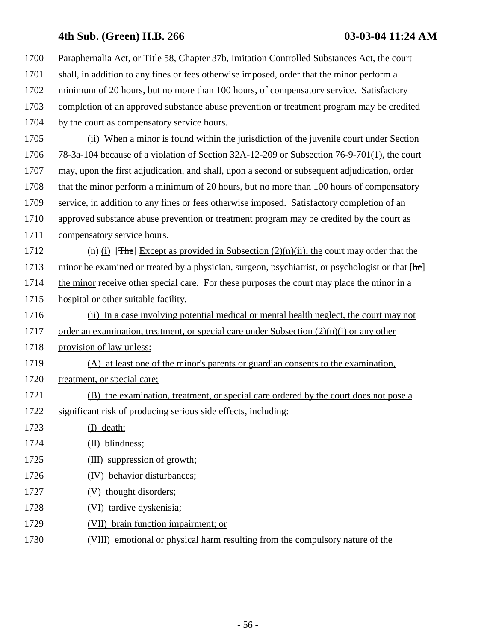1700 Paraphernalia Act, or Title 58, Chapter 37b, Imitation Controlled Substances Act, the court 1701 shall, in addition to any fines or fees otherwise imposed, order that the minor perform a 1702 minimum of 20 hours, but no more than 100 hours, of compensatory service. Satisfactory 1703 completion of an approved substance abuse prevention or treatment program may be credited 1704 by the court as compensatory service hours.

1705 (ii) When a minor is found within the jurisdiction of the juvenile court under Section 1706 78-3a-104 because of a violation of Section 32A-12-209 or Subsection 76-9-701(1), the court 1707 may, upon the first adjudication, and shall, upon a second or subsequent adjudication, order 1708 that the minor perform a minimum of 20 hours, but no more than 100 hours of compensatory 1709 service, in addition to any fines or fees otherwise imposed. Satisfactory completion of an 1710 approved substance abuse prevention or treatment program may be credited by the court as 1711 compensatory service hours.

1712 (n) (i) [The] Except as provided in Subsection  $(2)(n)(ii)$ , the court may order that the 1713 minor be examined or treated by a physician, surgeon, psychiatrist, or psychologist or that [he] 1714 the minor receive other special care. For these purposes the court may place the minor in a 1715 hospital or other suitable facility.

1716 (ii) In a case involving potential medical or mental health neglect, the court may not 1717 order an examination, treatment, or special care under Subsection  $(2)(n)(i)$  or any other 1718 provision of law unless: 1719 (A) at least one of the minor's parents or guardian consents to the examination, 1720 treatment, or special care; 1721 (B) the examination, treatment, or special care ordered by the court does not pose a 1722 significant risk of producing serious side effects, including: 1723 (I) death; 1724 (II) blindness; 1725 (III) suppression of growth; 1726 (IV) behavior disturbances;

- 1727 (V) thought disorders;
- 1728 (VI) tardive dyskenisia;
- 1729 (VII) brain function impairment; or
- 1730 (VIII) emotional or physical harm resulting from the compulsory nature of the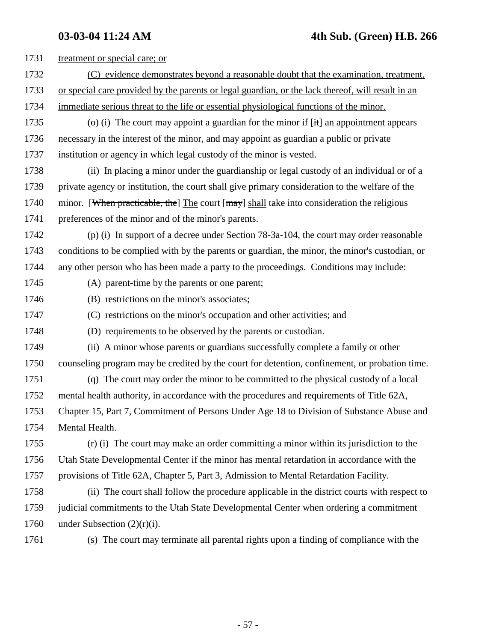| 1731 | treatment or special care; or                                                                     |
|------|---------------------------------------------------------------------------------------------------|
| 1732 | (C) evidence demonstrates beyond a reasonable doubt that the examination, treatment,              |
| 1733 | or special care provided by the parents or legal guardian, or the lack thereof, will result in an |
| 1734 | immediate serious threat to the life or essential physiological functions of the minor.           |
| 1735 | (o) (i) The court may appoint a guardian for the minor if $[it]$ an appointment appears           |
| 1736 | necessary in the interest of the minor, and may appoint as guardian a public or private           |
| 1737 | institution or agency in which legal custody of the minor is vested.                              |
| 1738 | (ii) In placing a minor under the guardianship or legal custody of an individual or of a          |
| 1739 | private agency or institution, the court shall give primary consideration to the welfare of the   |
| 1740 | minor. [When practicable, the] The court [may] shall take into consideration the religious        |
| 1741 | preferences of the minor and of the minor's parents.                                              |
| 1742 | (p) (i) In support of a decree under Section 78-3a-104, the court may order reasonable            |
| 1743 | conditions to be complied with by the parents or guardian, the minor, the minor's custodian, or   |
| 1744 | any other person who has been made a party to the proceedings. Conditions may include:            |
| 1745 | (A) parent-time by the parents or one parent;                                                     |
| 1746 | (B) restrictions on the minor's associates;                                                       |
| 1747 | (C) restrictions on the minor's occupation and other activities; and                              |
| 1748 | (D) requirements to be observed by the parents or custodian.                                      |
| 1749 | (ii) A minor whose parents or guardians successfully complete a family or other                   |
| 1750 | counseling program may be credited by the court for detention, confinement, or probation time.    |
| 1751 | (q) The court may order the minor to be committed to the physical custody of a local              |
| 1752 | mental health authority, in accordance with the procedures and requirements of Title 62A,         |
| 1753 | Chapter 15, Part 7, Commitment of Persons Under Age 18 to Division of Substance Abuse and         |
| 1754 | Mental Health.                                                                                    |
| 1755 | (r) (i) The court may make an order committing a minor within its jurisdiction to the             |
| 1756 | Utah State Developmental Center if the minor has mental retardation in accordance with the        |
| 1757 | provisions of Title 62A, Chapter 5, Part 3, Admission to Mental Retardation Facility.             |
| 1758 | (ii) The court shall follow the procedure applicable in the district courts with respect to       |
| 1759 | judicial commitments to the Utah State Developmental Center when ordering a commitment            |
| 1760 | under Subsection $(2)(r)(i)$ .                                                                    |
| 1761 | (s) The court may terminate all parental rights upon a finding of compliance with the             |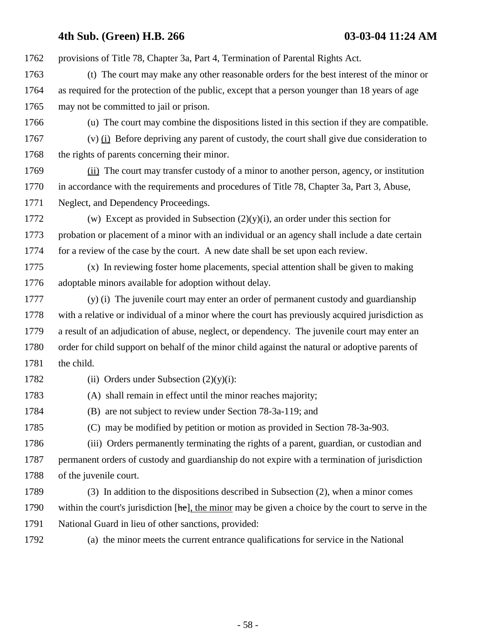1762 provisions of Title 78, Chapter 3a, Part 4, Termination of Parental Rights Act.

1763 (t) The court may make any other reasonable orders for the best interest of the minor or 1764 as required for the protection of the public, except that a person younger than 18 years of age 1765 may not be committed to jail or prison.

1766 (u) The court may combine the dispositions listed in this section if they are compatible.

1767 (v) (i) Before depriving any parent of custody, the court shall give due consideration to 1768 the rights of parents concerning their minor.

1769 (ii) The court may transfer custody of a minor to another person, agency, or institution 1770 in accordance with the requirements and procedures of Title 78, Chapter 3a, Part 3, Abuse, 1771 Neglect, and Dependency Proceedings.

1772 (w) Except as provided in Subsection  $(2)(y)(i)$ , an order under this section for 1773 probation or placement of a minor with an individual or an agency shall include a date certain 1774 for a review of the case by the court. A new date shall be set upon each review.

1775 (x) In reviewing foster home placements, special attention shall be given to making 1776 adoptable minors available for adoption without delay.

1777 (y) (i) The juvenile court may enter an order of permanent custody and guardianship 1778 with a relative or individual of a minor where the court has previously acquired jurisdiction as 1779 a result of an adjudication of abuse, neglect, or dependency. The juvenile court may enter an 1780 order for child support on behalf of the minor child against the natural or adoptive parents of 1781 the child.

1782 (ii) Orders under Subsection  $(2)(y)(i)$ :

1783 (A) shall remain in effect until the minor reaches majority;

1784 (B) are not subject to review under Section 78-3a-119; and

1785 (C) may be modified by petition or motion as provided in Section 78-3a-903.

1786 (iii) Orders permanently terminating the rights of a parent, guardian, or custodian and 1787 permanent orders of custody and guardianship do not expire with a termination of jurisdiction 1788 of the juvenile court.

1789 (3) In addition to the dispositions described in Subsection (2), when a minor comes 1790 within the court's jurisdiction  $[\frac{\text{he}}{\text{he}}]$ , the minor may be given a choice by the court to serve in the 1791 National Guard in lieu of other sanctions, provided:

1792 (a) the minor meets the current entrance qualifications for service in the National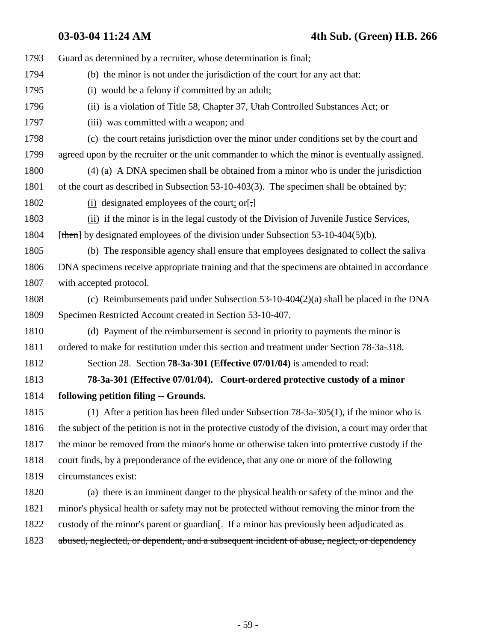1793 Guard as determined by a recruiter, whose determination is final; 1794 (b) the minor is not under the jurisdiction of the court for any act that: 1795 (i) would be a felony if committed by an adult; 1796 (ii) is a violation of Title 58, Chapter 37, Utah Controlled Substances Act; or 1797 (iii) was committed with a weapon; and 1798 (c) the court retains jurisdiction over the minor under conditions set by the court and 1799 agreed upon by the recruiter or the unit commander to which the minor is eventually assigned. 1800 (4) (a) A DNA specimen shall be obtained from a minor who is under the jurisdiction 1801 of the court as described in Subsection 53-10-403(3). The specimen shall be obtained by: 1802 (i) designated employees of the court; or[,] 1803 (ii) if the minor is in the legal custody of the Division of Juvenile Justice Services, 1804 [then] by designated employees of the division under Subsection  $53-10-404(5)(b)$ . 1805 (b) The responsible agency shall ensure that employees designated to collect the saliva 1806 DNA specimens receive appropriate training and that the specimens are obtained in accordance 1807 with accepted protocol. 1808 (c) Reimbursements paid under Subsection 53-10-404(2)(a) shall be placed in the DNA 1809 Specimen Restricted Account created in Section 53-10-407. 1810 (d) Payment of the reimbursement is second in priority to payments the minor is 1811 ordered to make for restitution under this section and treatment under Section 78-3a-318. 1812 Section 28. Section **78-3a-301 (Effective 07/01/04)** is amended to read: 1813 **78-3a-301 (Effective 07/01/04). Court-ordered protective custody of a minor** 1814 **following petition filing -- Grounds.** 1815 (1) After a petition has been filed under Subsection 78-3a-305(1), if the minor who is 1816 the subject of the petition is not in the protective custody of the division, a court may order that 1817 the minor be removed from the minor's home or otherwise taken into protective custody if the 1818 court finds, by a preponderance of the evidence, that any one or more of the following 1819 circumstances exist: 1820 (a) there is an imminent danger to the physical health or safety of the minor and the 1821 minor's physical health or safety may not be protected without removing the minor from the 1822 custody of the minor's parent or guardian. If a minor has previously been adjudicated as 1823 abused, neglected, or dependent, and a subsequent incident of abuse, neglect, or dependency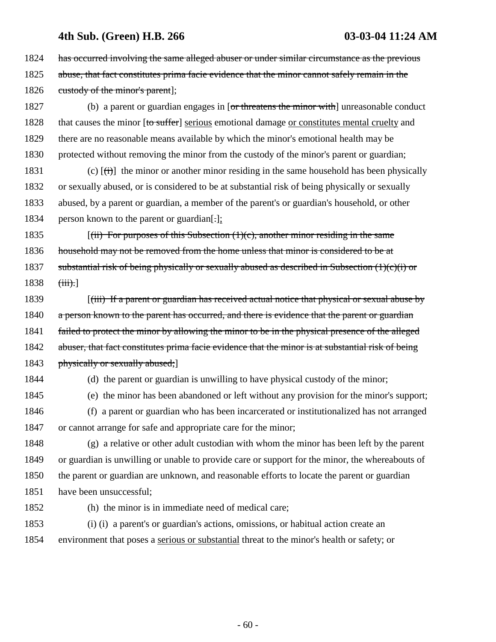1824 has occurred involving the same alleged abuser or under similar circumstance as the previous 1825 abuse, that fact constitutes prima facie evidence that the minor cannot safely remain in the 1826 custody of the minor's parent];

1827 (b) a parent or guardian engages in [or threatens the minor with] unreasonable conduct 1828 that causes the minor [to suffer] serious emotional damage or constitutes mental cruelty and 1829 there are no reasonable means available by which the minor's emotional health may be 1830 protected without removing the minor from the custody of the minor's parent or guardian;

1831 (c)  $[\overrightarrow{(t)}]$  the minor or another minor residing in the same household has been physically 1832 or sexually abused, or is considered to be at substantial risk of being physically or sexually 1833 abused, by a parent or guardian, a member of the parent's or guardian's household, or other 1834 person known to the parent or guardian.

1835 [(ii) For purposes of this Subsection  $(1)(c)$ , another minor residing in the same 1836 household may not be removed from the home unless that minor is considered to be at 1837 substantial risk of being physically or sexually abused as described in Subsection  $(1)(c)(i)$  or  $1838 \quad (iii).$ 

1839 [(iii) If a parent or guardian has received actual notice that physical or sexual abuse by 1840 a person known to the parent has occurred, and there is evidence that the parent or guardian 1841 failed to protect the minor by allowing the minor to be in the physical presence of the alleged 1842 abuser, that fact constitutes prima facie evidence that the minor is at substantial risk of being 1843 physically or sexually abused;

1844 (d) the parent or guardian is unwilling to have physical custody of the minor;

1845 (e) the minor has been abandoned or left without any provision for the minor's support;

1846 (f) a parent or guardian who has been incarcerated or institutionalized has not arranged 1847 or cannot arrange for safe and appropriate care for the minor;

1848 (g) a relative or other adult custodian with whom the minor has been left by the parent 1849 or guardian is unwilling or unable to provide care or support for the minor, the whereabouts of 1850 the parent or guardian are unknown, and reasonable efforts to locate the parent or guardian 1851 have been unsuccessful;

1852 (h) the minor is in immediate need of medical care;

1853 (i) (i) a parent's or guardian's actions, omissions, or habitual action create an 1854 environment that poses a serious or substantial threat to the minor's health or safety; or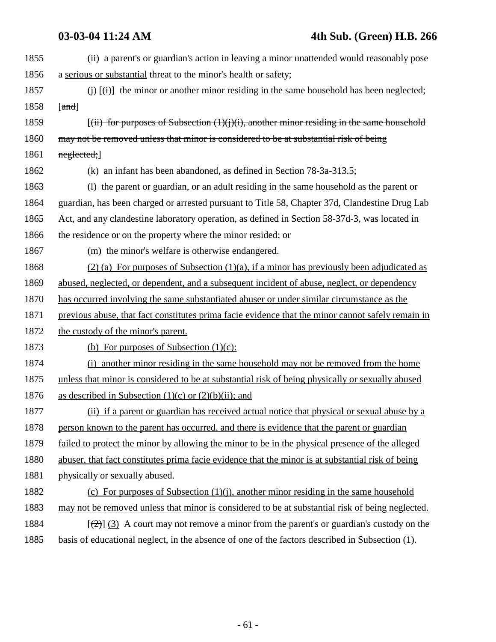| 1855 | (ii) a parent's or guardian's action in leaving a minor unattended would reasonably pose                   |
|------|------------------------------------------------------------------------------------------------------------|
| 1856 | a serious or substantial threat to the minor's health or safety;                                           |
| 1857 | (j) $[\overrightarrow{(t)}]$ the minor or another minor residing in the same household has been neglected; |
| 1858 | [ $and$ ]                                                                                                  |
| 1859 | $[(iii)$ for purposes of Subsection $(1)(j)(i)$ , another minor residing in the same household             |
| 1860 | may not be removed unless that minor is considered to be at substantial risk of being                      |
| 1861 | neglected;                                                                                                 |
| 1862 | (k) an infant has been abandoned, as defined in Section 78-3a-313.5;                                       |
| 1863 | (1) the parent or guardian, or an adult residing in the same household as the parent or                    |
| 1864 | guardian, has been charged or arrested pursuant to Title 58, Chapter 37d, Clandestine Drug Lab             |
| 1865 | Act, and any clandestine laboratory operation, as defined in Section 58-37d-3, was located in              |
| 1866 | the residence or on the property where the minor resided; or                                               |
| 1867 | (m) the minor's welfare is otherwise endangered.                                                           |
| 1868 | $(2)$ (a) For purposes of Subsection (1)(a), if a minor has previously been adjudicated as                 |
| 1869 | abused, neglected, or dependent, and a subsequent incident of abuse, neglect, or dependency                |
| 1870 | has occurred involving the same substantiated abuser or under similar circumstance as the                  |
| 1871 | previous abuse, that fact constitutes prima facie evidence that the minor cannot safely remain in          |
| 1872 | the custody of the minor's parent.                                                                         |
| 1873 | (b) For purposes of Subsection $(1)(c)$ :                                                                  |
| 1874 | (i) another minor residing in the same household may not be removed from the home                          |
| 1875 | unless that minor is considered to be at substantial risk of being physically or sexually abused           |
| 1876 | as described in Subsection $(1)(c)$ or $(2)(b)(ii)$ ; and                                                  |
| 1877 | (ii) if a parent or guardian has received actual notice that physical or sexual abuse by a                 |
| 1878 | person known to the parent has occurred, and there is evidence that the parent or guardian                 |
| 1879 | failed to protect the minor by allowing the minor to be in the physical presence of the alleged            |
| 1880 | abuser, that fact constitutes prima facie evidence that the minor is at substantial risk of being          |
| 1881 | physically or sexually abused.                                                                             |
| 1882 | (c) For purposes of Subsection $(1)(i)$ , another minor residing in the same household                     |
| 1883 | may not be removed unless that minor is considered to be at substantial risk of being neglected.           |
| 1884 | $[\frac{1}{2}]$ (3) A court may not remove a minor from the parent's or guardian's custody on the          |
| 1885 | basis of educational neglect, in the absence of one of the factors described in Subsection (1).            |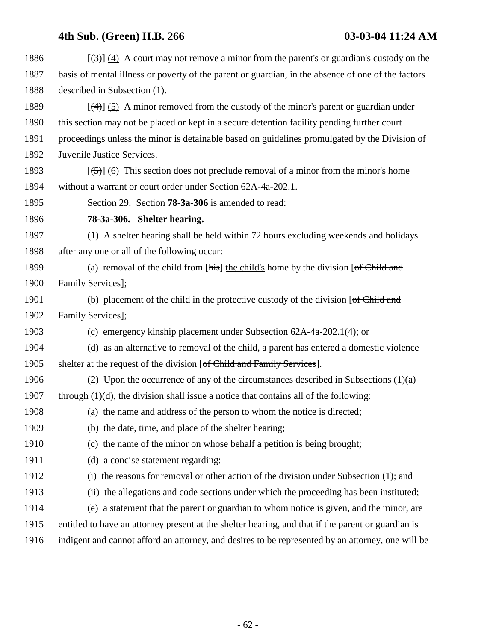| 1886 | $[\frac{1}{3}]$ (4) A court may not remove a minor from the parent's or guardian's custody on the        |
|------|----------------------------------------------------------------------------------------------------------|
| 1887 | basis of mental illness or poverty of the parent or guardian, in the absence of one of the factors       |
| 1888 | described in Subsection (1).                                                                             |
| 1889 | $[\frac{4}{3}]$ (5) A minor removed from the custody of the minor's parent or guardian under             |
| 1890 | this section may not be placed or kept in a secure detention facility pending further court              |
| 1891 | proceedings unless the minor is detainable based on guidelines promulgated by the Division of            |
| 1892 | Juvenile Justice Services.                                                                               |
| 1893 | $[\frac{1}{2}, \frac{1}{2}]$ (6) This section does not preclude removal of a minor from the minor's home |
| 1894 | without a warrant or court order under Section 62A-4a-202.1.                                             |
| 1895 | Section 29. Section <b>78-3a-306</b> is amended to read:                                                 |
| 1896 | 78-3a-306. Shelter hearing.                                                                              |
| 1897 | (1) A shelter hearing shall be held within 72 hours excluding weekends and holidays                      |
| 1898 | after any one or all of the following occur:                                                             |
| 1899 | (a) removal of the child from $[\overline{h}$ the child's home by the division $[\overline{f}$ Child and |
| 1900 | Family Services];                                                                                        |
| 1901 | (b) placement of the child in the protective custody of the division $[of Child and]$                    |
| 1902 | Family Services];                                                                                        |
| 1903 | (c) emergency kinship placement under Subsection 62A-4a-202.1(4); or                                     |
| 1904 | (d) as an alternative to removal of the child, a parent has entered a domestic violence                  |
| 1905 | shelter at the request of the division [of Child and Family Services].                                   |
| 1906 | (2) Upon the occurrence of any of the circumstances described in Subsections $(1)(a)$                    |
| 1907 | through $(1)(d)$ , the division shall issue a notice that contains all of the following:                 |
| 1908 | (a) the name and address of the person to whom the notice is directed;                                   |
| 1909 | (b) the date, time, and place of the shelter hearing;                                                    |
| 1910 | (c) the name of the minor on whose behalf a petition is being brought;                                   |
| 1911 | (d) a concise statement regarding:                                                                       |
| 1912 | the reasons for removal or other action of the division under Subsection (1); and<br>(i)                 |
| 1913 | (ii) the allegations and code sections under which the proceeding has been instituted;                   |
| 1914 | (e) a statement that the parent or guardian to whom notice is given, and the minor, are                  |
| 1915 | entitled to have an attorney present at the shelter hearing, and that if the parent or guardian is       |
| 1916 | indigent and cannot afford an attorney, and desires to be represented by an attorney, one will be        |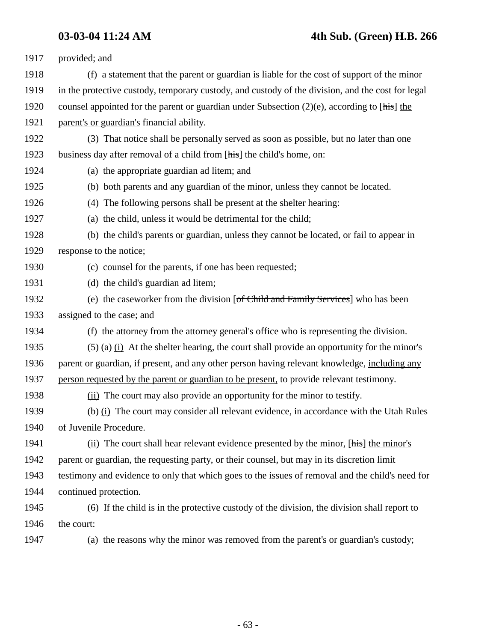| 1917 | provided; and                                                                                     |
|------|---------------------------------------------------------------------------------------------------|
| 1918 | (f) a statement that the parent or guardian is liable for the cost of support of the minor        |
| 1919 | in the protective custody, temporary custody, and custody of the division, and the cost for legal |
| 1920 | counsel appointed for the parent or guardian under Subsection $(2)(e)$ , according to [his] the   |
| 1921 | parent's or guardian's financial ability.                                                         |
| 1922 | (3) That notice shall be personally served as soon as possible, but no later than one             |
| 1923 | business day after removal of a child from [his] the child's home, on:                            |
| 1924 | (a) the appropriate guardian ad litem; and                                                        |
| 1925 | (b) both parents and any guardian of the minor, unless they cannot be located.                    |
| 1926 | (4) The following persons shall be present at the shelter hearing:                                |
| 1927 | (a) the child, unless it would be detrimental for the child;                                      |
| 1928 | (b) the child's parents or guardian, unless they cannot be located, or fail to appear in          |
| 1929 | response to the notice;                                                                           |
| 1930 | (c) counsel for the parents, if one has been requested;                                           |
| 1931 | (d) the child's guardian ad litem;                                                                |
| 1932 | (e) the caseworker from the division [of Child and Family Services] who has been                  |
| 1933 | assigned to the case; and                                                                         |
| 1934 | (f) the attorney from the attorney general's office who is representing the division.             |
| 1935 | $(5)$ (a) $(i)$ At the shelter hearing, the court shall provide an opportunity for the minor's    |
| 1936 | parent or guardian, if present, and any other person having relevant knowledge, including any     |
| 1937 | person requested by the parent or guardian to be present, to provide relevant testimony.          |
| 1938 | (ii) The court may also provide an opportunity for the minor to testify.                          |
| 1939 | (b) (i) The court may consider all relevant evidence, in accordance with the Utah Rules           |
| 1940 | of Juvenile Procedure.                                                                            |
| 1941 | (ii) The court shall hear relevant evidence presented by the minor, [his] the minor's             |
| 1942 | parent or guardian, the requesting party, or their counsel, but may in its discretion limit       |
| 1943 | testimony and evidence to only that which goes to the issues of removal and the child's need for  |
| 1944 | continued protection.                                                                             |
| 1945 | (6) If the child is in the protective custody of the division, the division shall report to       |
| 1946 | the court:                                                                                        |
| 1947 | (a) the reasons why the minor was removed from the parent's or guardian's custody;                |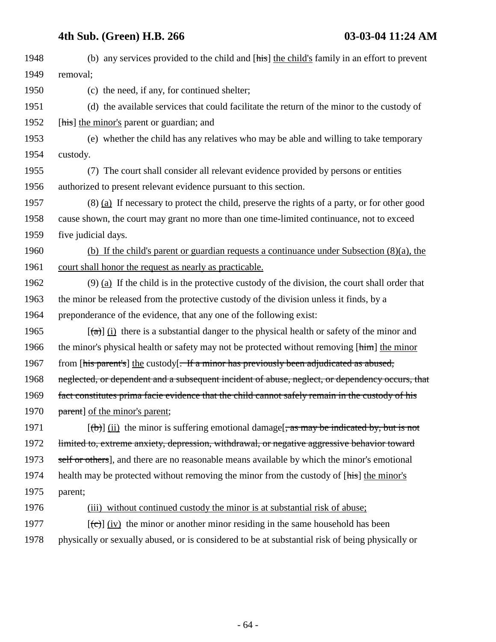| 1948 | (b) any services provided to the child and [his] the child's family in an effort to prevent         |
|------|-----------------------------------------------------------------------------------------------------|
| 1949 | removal;                                                                                            |
| 1950 | (c) the need, if any, for continued shelter;                                                        |
| 1951 | (d) the available services that could facilitate the return of the minor to the custody of          |
| 1952 | [his] the minor's parent or guardian; and                                                           |
| 1953 | (e) whether the child has any relatives who may be able and willing to take temporary               |
| 1954 | custody.                                                                                            |
| 1955 | (7) The court shall consider all relevant evidence provided by persons or entities                  |
| 1956 | authorized to present relevant evidence pursuant to this section.                                   |
| 1957 | $(8)$ (a) If necessary to protect the child, preserve the rights of a party, or for other good      |
| 1958 | cause shown, the court may grant no more than one time-limited continuance, not to exceed           |
| 1959 | five judicial days.                                                                                 |
| 1960 | (b) If the child's parent or guardian requests a continuance under Subsection $(8)(a)$ , the        |
| 1961 | court shall honor the request as nearly as practicable.                                             |
| 1962 | $(9)$ (a) If the child is in the protective custody of the division, the court shall order that     |
| 1963 | the minor be released from the protective custody of the division unless it finds, by a             |
| 1964 | preponderance of the evidence, that any one of the following exist:                                 |
| 1965 | $[\hat{a}]$ (i) there is a substantial danger to the physical health or safety of the minor and     |
| 1966 | the minor's physical health or safety may not be protected without removing [him] the minor         |
| 1967 | from [his parent's] the custody[ <del>. If a minor has previously been adjudicated as abused,</del> |
| 1968 | neglected, or dependent and a subsequent incident of abuse, neglect, or dependency occurs, that     |
| 1969 | fact constitutes prima facie evidence that the child cannot safely remain in the custody of his     |
| 1970 | parent] of the minor's parent;                                                                      |
| 1971 | $[\text{(b)] (ii)$ the minor is suffering emotional damage, as may be indicated by, but is not      |
| 1972 | limited to, extreme anxiety, depression, withdrawal, or negative aggressive behavior toward         |
| 1973 | self or others], and there are no reasonable means available by which the minor's emotional         |
| 1974 | health may be protected without removing the minor from the custody of [his] the minor's            |
| 1975 | parent;                                                                                             |
| 1976 | (iii) without continued custody the minor is at substantial risk of abuse;                          |
| 1977 | $[\text{(-c)}]$ (iv) the minor or another minor residing in the same household has been             |
| 1978 | physically or sexually abused, or is considered to be at substantial risk of being physically or    |
|      |                                                                                                     |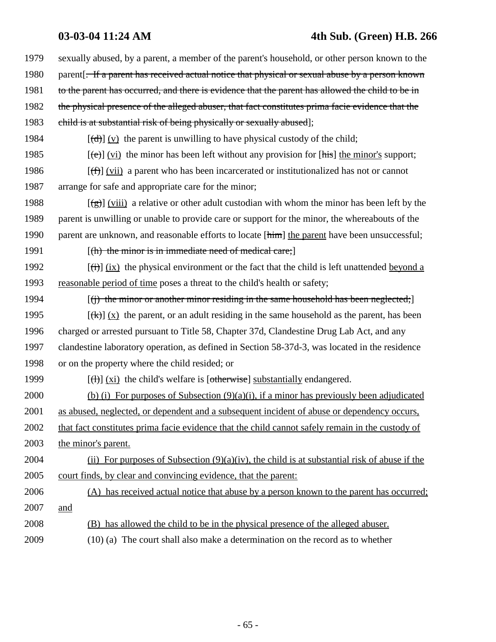**03-03-04 11:24 AM 4th Sub. (Green) H.B. 266**

| 1979 | sexually abused, by a parent, a member of the parent's household, or other person known to the                   |
|------|------------------------------------------------------------------------------------------------------------------|
| 1980 | parent. For a parent has received actual notice that physical or sexual abuse by a person known                  |
| 1981 | to the parent has occurred, and there is evidence that the parent has allowed the child to be in                 |
| 1982 | the physical presence of the alleged abuser, that fact constitutes prima facie evidence that the                 |
| 1983 | child is at substantial risk of being physically or sexually abused];                                            |
| 1984 | $[\text{(\text{d})}](y)$ the parent is unwilling to have physical custody of the child;                          |
| 1985 | $[\text{e}\text{e}]$ (vi) the minor has been left without any provision for [his] the minor's support;           |
| 1986 | $[\text{f}^{\text{f}}]$ (vii) a parent who has been incarcerated or institutionalized has not or cannot          |
| 1987 | arrange for safe and appropriate care for the minor;                                                             |
| 1988 | $[\frac{1}{2}(\frac{1}{2})]$ (viii) a relative or other adult custodian with whom the minor has been left by the |
| 1989 | parent is unwilling or unable to provide care or support for the minor, the whereabouts of the                   |
| 1990 | parent are unknown, and reasonable efforts to locate [him] the parent have been unsuccessful;                    |
| 1991 | $[(h)$ the minor is in immediate need of medical care;                                                           |
| 1992 | $[\overrightarrow{t}]$ (ix) the physical environment or the fact that the child is left unattended beyond a      |
| 1993 | reasonable period of time poses a threat to the child's health or safety;                                        |
| 1994 | $\left[\right(\mathbf{r})$ the minor or another minor residing in the same household has been neglected;         |
| 1995 | $[\frac{f(k)}{x}]$ (x) the parent, or an adult residing in the same household as the parent, has been            |
| 1996 | charged or arrested pursuant to Title 58, Chapter 37d, Clandestine Drug Lab Act, and any                         |
| 1997 | clandestine laboratory operation, as defined in Section 58-37d-3, was located in the residence                   |
| 1998 | or on the property where the child resided; or                                                                   |
| 1999 | $[\text{H}]$ (xi) the child's welfare is [otherwise] substantially endangered.                                   |
| 2000 | (b) (i) For purposes of Subsection $(9)(a)(i)$ , if a minor has previously been adjudicated                      |
| 2001 | as abused, neglected, or dependent and a subsequent incident of abuse or dependency occurs,                      |
| 2002 | that fact constitutes prima facie evidence that the child cannot safely remain in the custody of                 |
| 2003 | the minor's parent.                                                                                              |
| 2004 | (ii) For purposes of Subsection $(9)(a)(iv)$ , the child is at substantial risk of abuse if the                  |
| 2005 | court finds, by clear and convincing evidence, that the parent:                                                  |
| 2006 | (A) has received actual notice that abuse by a person known to the parent has occurred;                          |
| 2007 | and                                                                                                              |
| 2008 | (B) has allowed the child to be in the physical presence of the alleged abuser.                                  |
| 2009 | $(10)$ (a) The court shall also make a determination on the record as to whether                                 |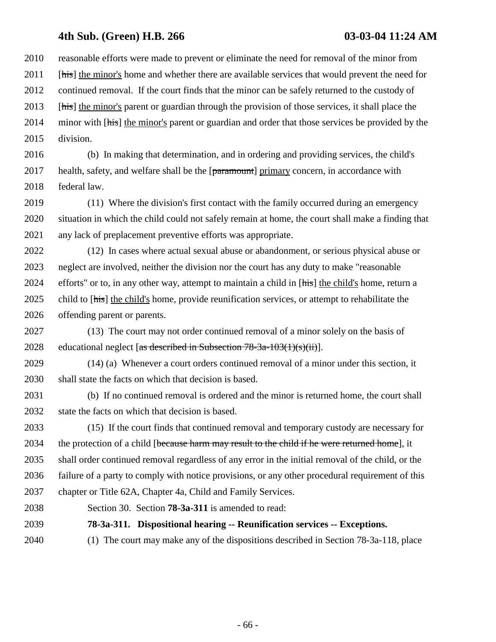2010 reasonable efforts were made to prevent or eliminate the need for removal of the minor from 2011 [his] the minor's home and whether there are available services that would prevent the need for 2012 continued removal. If the court finds that the minor can be safely returned to the custody of 2013 [his] the minor's parent or guardian through the provision of those services, it shall place the 2014 minor with [his] the minor's parent or guardian and order that those services be provided by the 2015 division.

2016 (b) In making that determination, and in ordering and providing services, the child's 2017 health, safety, and welfare shall be the  $[paramount]$  primary concern, in accordance with 2018 federal law.

2019 (11) Where the division's first contact with the family occurred during an emergency 2020 situation in which the child could not safely remain at home, the court shall make a finding that 2021 any lack of preplacement preventive efforts was appropriate.

2022 (12) In cases where actual sexual abuse or abandonment, or serious physical abuse or 2023 neglect are involved, neither the division nor the court has any duty to make "reasonable 2024 efforts" or to, in any other way, attempt to maintain a child in [his] the child's home, return a 2025 child to [his] the child's home, provide reunification services, or attempt to rehabilitate the 2026 offending parent or parents.

2027 (13) The court may not order continued removal of a minor solely on the basis of 2028 educational neglect [as described in Subsection  $78-3a-103(1)(s)(ii)$ ].

2029 (14) (a) Whenever a court orders continued removal of a minor under this section, it 2030 shall state the facts on which that decision is based.

2031 (b) If no continued removal is ordered and the minor is returned home, the court shall 2032 state the facts on which that decision is based.

2033 (15) If the court finds that continued removal and temporary custody are necessary for 2034 the protection of a child [because harm may result to the child if he were returned home], it 2035 shall order continued removal regardless of any error in the initial removal of the child, or the 2036 failure of a party to comply with notice provisions, or any other procedural requirement of this 2037 chapter or Title 62A, Chapter 4a, Child and Family Services.

2038 Section 30. Section **78-3a-311** is amended to read:

2039 **78-3a-311. Dispositional hearing -- Reunification services -- Exceptions.**

2040 (1) The court may make any of the dispositions described in Section 78-3a-118, place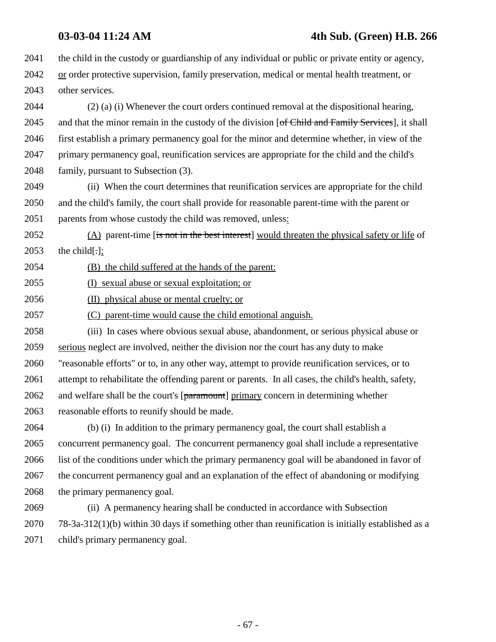2041 the child in the custody or guardianship of any individual or public or private entity or agency, 2042 or order protective supervision, family preservation, medical or mental health treatment, or 2043 other services.

2044 (2) (a) (i) Whenever the court orders continued removal at the dispositional hearing, 2045 and that the minor remain in the custody of the division [of Child and Family Services], it shall 2046 first establish a primary permanency goal for the minor and determine whether, in view of the 2047 primary permanency goal, reunification services are appropriate for the child and the child's 2048 family, pursuant to Subsection (3).

2049 (ii) When the court determines that reunification services are appropriate for the child 2050 and the child's family, the court shall provide for reasonable parent-time with the parent or 2051 parents from whose custody the child was removed, unless:

2052 (A) parent-time [is not in the best interest] would threaten the physical safety or life of 2053 the child.];

2054 (B) the child suffered at the hands of the parent:

2055 (I) sexual abuse or sexual exploitation; or

2056 (II) physical abuse or mental cruelty; or

2057 (C) parent-time would cause the child emotional anguish.

2058 (iii) In cases where obvious sexual abuse, abandonment, or serious physical abuse or 2059 serious neglect are involved, neither the division nor the court has any duty to make 2060 "reasonable efforts" or to, in any other way, attempt to provide reunification services, or to 2061 attempt to rehabilitate the offending parent or parents. In all cases, the child's health, safety, 2062 and welfare shall be the court's  $[paramount]$  primary concern in determining whether 2063 reasonable efforts to reunify should be made.

2064 (b) (i) In addition to the primary permanency goal, the court shall establish a 2065 concurrent permanency goal. The concurrent permanency goal shall include a representative 2066 list of the conditions under which the primary permanency goal will be abandoned in favor of 2067 the concurrent permanency goal and an explanation of the effect of abandoning or modifying 2068 the primary permanency goal.

2069 (ii) A permanency hearing shall be conducted in accordance with Subsection 2070 78-3a-312(1)(b) within 30 days if something other than reunification is initially established as a 2071 child's primary permanency goal.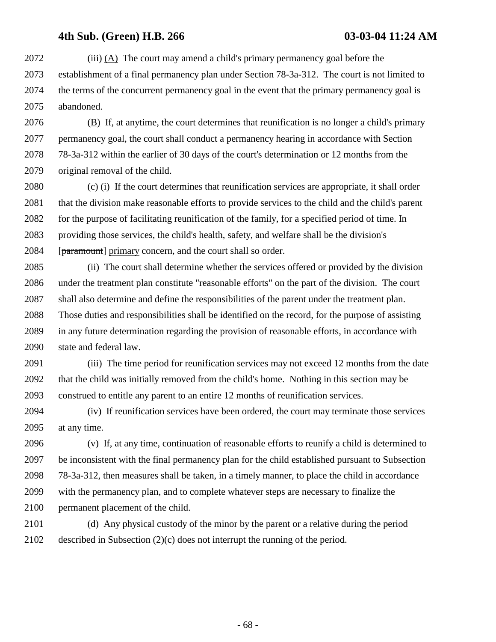2072 (iii) (A) The court may amend a child's primary permanency goal before the 2073 establishment of a final permanency plan under Section 78-3a-312. The court is not limited to 2074 the terms of the concurrent permanency goal in the event that the primary permanency goal is 2075 abandoned.

2076 (B) If, at anytime, the court determines that reunification is no longer a child's primary 2077 permanency goal, the court shall conduct a permanency hearing in accordance with Section 2078 78-3a-312 within the earlier of 30 days of the court's determination or 12 months from the 2079 original removal of the child.

2080 (c) (i) If the court determines that reunification services are appropriate, it shall order 2081 that the division make reasonable efforts to provide services to the child and the child's parent 2082 for the purpose of facilitating reunification of the family, for a specified period of time. In 2083 providing those services, the child's health, safety, and welfare shall be the division's 2084 [paramount] primary concern, and the court shall so order.

2085 (ii) The court shall determine whether the services offered or provided by the division 2086 under the treatment plan constitute "reasonable efforts" on the part of the division. The court 2087 shall also determine and define the responsibilities of the parent under the treatment plan. 2088 Those duties and responsibilities shall be identified on the record, for the purpose of assisting 2089 in any future determination regarding the provision of reasonable efforts, in accordance with 2090 state and federal law.

2091 (iii) The time period for reunification services may not exceed 12 months from the date 2092 that the child was initially removed from the child's home. Nothing in this section may be 2093 construed to entitle any parent to an entire 12 months of reunification services.

2094 (iv) If reunification services have been ordered, the court may terminate those services 2095 at any time.

2096 (v) If, at any time, continuation of reasonable efforts to reunify a child is determined to 2097 be inconsistent with the final permanency plan for the child established pursuant to Subsection 2098 78-3a-312, then measures shall be taken, in a timely manner, to place the child in accordance 2099 with the permanency plan, and to complete whatever steps are necessary to finalize the 2100 permanent placement of the child.

2101 (d) Any physical custody of the minor by the parent or a relative during the period 2102 described in Subsection (2)(c) does not interrupt the running of the period.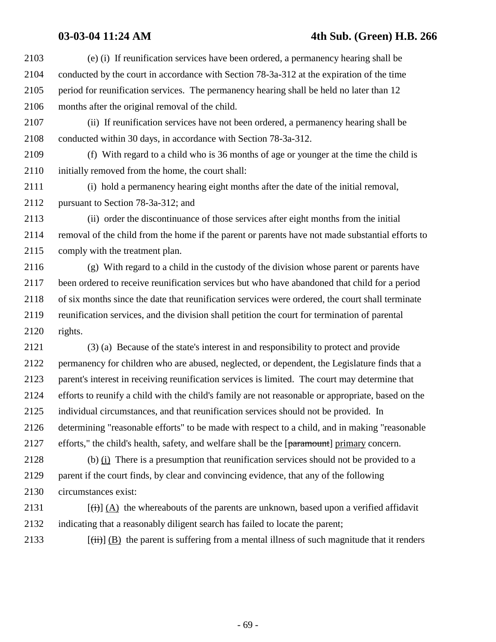### **03-03-04 11:24 AM 4th Sub. (Green) H.B. 266**

2103 (e) (i) If reunification services have been ordered, a permanency hearing shall be 2104 conducted by the court in accordance with Section 78-3a-312 at the expiration of the time 2105 period for reunification services. The permanency hearing shall be held no later than 12 2106 months after the original removal of the child. 2107 (ii) If reunification services have not been ordered, a permanency hearing shall be 2108 conducted within 30 days, in accordance with Section 78-3a-312. 2109 (f) With regard to a child who is 36 months of age or younger at the time the child is 2110 initially removed from the home, the court shall: 2111 (i) hold a permanency hearing eight months after the date of the initial removal, 2112 pursuant to Section 78-3a-312; and 2113 (ii) order the discontinuance of those services after eight months from the initial 2114 removal of the child from the home if the parent or parents have not made substantial efforts to 2115 comply with the treatment plan. 2116 (g) With regard to a child in the custody of the division whose parent or parents have 2117 been ordered to receive reunification services but who have abandoned that child for a period 2118 of six months since the date that reunification services were ordered, the court shall terminate 2119 reunification services, and the division shall petition the court for termination of parental 2120 rights. 2121 (3) (a) Because of the state's interest in and responsibility to protect and provide 2122 permanency for children who are abused, neglected, or dependent, the Legislature finds that a 2123 parent's interest in receiving reunification services is limited. The court may determine that 2124 efforts to reunify a child with the child's family are not reasonable or appropriate, based on the 2125 individual circumstances, and that reunification services should not be provided. In 2126 determining "reasonable efforts" to be made with respect to a child, and in making "reasonable 2127 efforts," the child's health, safety, and welfare shall be the [paramount] primary concern. 2128 (b) (i) There is a presumption that reunification services should not be provided to a 2129 parent if the court finds, by clear and convincing evidence, that any of the following 2130 circumstances exist: 2131  $[\vec{t}] (A)$  the whereabouts of the parents are unknown, based upon a verified affidavit 2132 indicating that a reasonably diligent search has failed to locate the parent; 2133  $[\overrightarrow{iii}]$  (B) the parent is suffering from a mental illness of such magnitude that it renders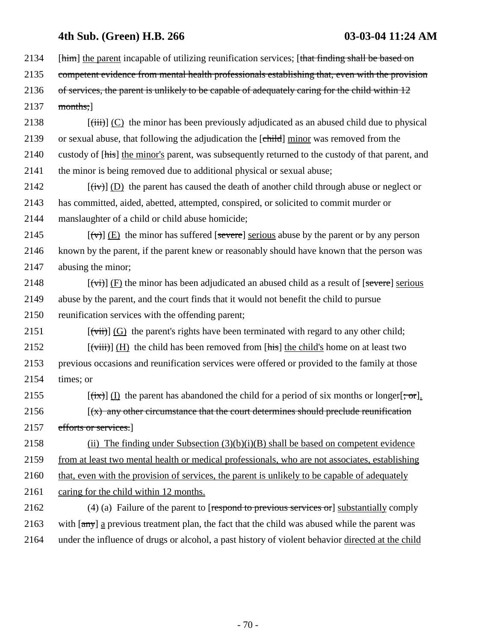2134 [him] the parent incapable of utilizing reunification services; [that finding shall be based on

2135 competent evidence from mental health professionals establishing that, even with the provision

2136 of services, the parent is unlikely to be capable of adequately caring for the child within 12  $2137$  months;

2138  $\left[\left(\frac{iii}{ii}\right)\right]$  (C) the minor has been previously adjudicated as an abused child due to physical 2139 or sexual abuse, that following the adjudication the [child] minor was removed from the 2140 custody of [his] the minor's parent, was subsequently returned to the custody of that parent, and 2141 the minor is being removed due to additional physical or sexual abuse;

2142  $[(iv)] (D)$  the parent has caused the death of another child through abuse or neglect or 2143 has committed, aided, abetted, attempted, conspired, or solicited to commit murder or 2144 manslaughter of a child or child abuse homicide;

2145  $[\forall \forall]$  (E) the minor has suffered [severe] serious abuse by the parent or by any person 2146 known by the parent, if the parent knew or reasonably should have known that the person was 2147 abusing the minor;

2148  $[\overrightarrow{(v)}]$  (F) the minor has been adjudicated an abused child as a result of [severe] serious 2149 abuse by the parent, and the court finds that it would not benefit the child to pursue 2150 reunification services with the offending parent;

2151  $[\overrightarrow{(\text{with})}]$  (G) the parent's rights have been terminated with regard to any other child; 2152  $[\overrightarrow{viii}] (H)$  the child has been removed from [his] the child's home on at least two

2153 previous occasions and reunification services were offered or provided to the family at those 2154 times; or

2155 [(ix)] (I) the parent has abandoned the child for a period of six months or longer[; or]. 2156  $(x)$  any other circumstance that the court determines should preclude reunification 2157 efforts or services.]

2158 (ii) The finding under Subsection  $(3)(b)(i)(B)$  shall be based on competent evidence 2159 from at least two mental health or medical professionals, who are not associates, establishing 2160 that, even with the provision of services, the parent is unlikely to be capable of adequately

2161 caring for the child within 12 months.

2162 (4) (a) Failure of the parent to [respond to previous services or] substantially comply 2163 with  $\frac{1}{(a\pi)^{2}}$  a previous treatment plan, the fact that the child was abused while the parent was 2164 under the influence of drugs or alcohol, a past history of violent behavior directed at the child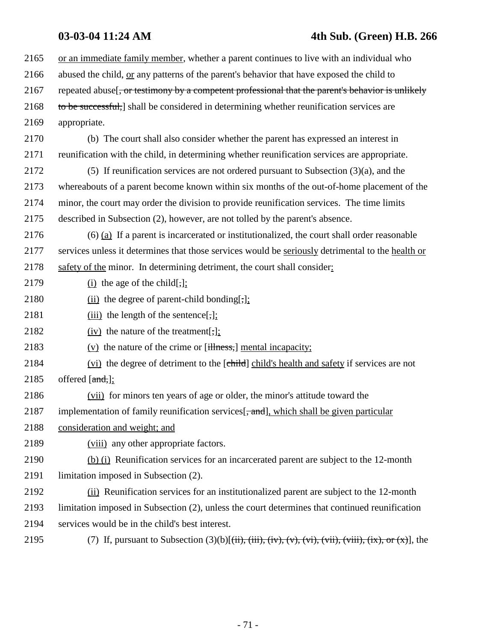# **03-03-04 11:24 AM 4th Sub. (Green) H.B. 266**

| 2165 | or an immediate family member, whether a parent continues to live with an individual who                                                                                                                                              |
|------|---------------------------------------------------------------------------------------------------------------------------------------------------------------------------------------------------------------------------------------|
| 2166 | abused the child, or any patterns of the parent's behavior that have exposed the child to                                                                                                                                             |
| 2167 | repeated abuse [, or testimony by a competent professional that the parent's behavior is unlikely                                                                                                                                     |
| 2168 | to be successful,] shall be considered in determining whether reunification services are                                                                                                                                              |
| 2169 | appropriate.                                                                                                                                                                                                                          |
| 2170 | (b) The court shall also consider whether the parent has expressed an interest in                                                                                                                                                     |
| 2171 | reunification with the child, in determining whether reunification services are appropriate.                                                                                                                                          |
| 2172 | (5) If reunification services are not ordered pursuant to Subsection $(3)(a)$ , and the                                                                                                                                               |
| 2173 | whereabouts of a parent become known within six months of the out-of-home placement of the                                                                                                                                            |
| 2174 | minor, the court may order the division to provide reunification services. The time limits                                                                                                                                            |
| 2175 | described in Subsection (2), however, are not tolled by the parent's absence.                                                                                                                                                         |
| 2176 | $(6)$ (a) If a parent is incarcerated or institutionalized, the court shall order reasonable                                                                                                                                          |
| 2177 | services unless it determines that those services would be seriously detrimental to the health or                                                                                                                                     |
| 2178 | safety of the minor. In determining detriment, the court shall consider:                                                                                                                                                              |
| 2179 | $(i)$ the age of the child[,];                                                                                                                                                                                                        |
| 2180 | $(ii)$ the degree of parent-child bonding[,];                                                                                                                                                                                         |
| 2181 | $(iii)$ the length of the sentence[,];                                                                                                                                                                                                |
| 2182 | $(iv)$ the nature of the treatment[,];                                                                                                                                                                                                |
| 2183 | $(v)$ the nature of the crime or [illness,] mental incapacity;                                                                                                                                                                        |
| 2184 | (vi) the degree of detriment to the [child] child's health and safety if services are not                                                                                                                                             |
| 2185 | offered $[\text{and},]$ ;                                                                                                                                                                                                             |
| 2186 | (vii) for minors ten years of age or older, the minor's attitude toward the                                                                                                                                                           |
| 2187 | implementation of family reunification services [, and], which shall be given particular                                                                                                                                              |
| 2188 | consideration and weight; and                                                                                                                                                                                                         |
| 2189 | (viii) any other appropriate factors.                                                                                                                                                                                                 |
| 2190 | (b) (i) Reunification services for an incarcerated parent are subject to the 12-month                                                                                                                                                 |
| 2191 | limitation imposed in Subsection (2).                                                                                                                                                                                                 |
| 2192 | (ii) Reunification services for an institutionalized parent are subject to the 12-month                                                                                                                                               |
| 2193 | limitation imposed in Subsection (2), unless the court determines that continued reunification                                                                                                                                        |
| 2194 | services would be in the child's best interest.                                                                                                                                                                                       |
| 2195 | (7) If, pursuant to Subsection $(3)(b)$ [ $(\overrightarrow{ii}), (\overrightarrow{iv}), (\overrightarrow{v}), (\overrightarrow{vi}), (\overrightarrow{vii}), (\overrightarrow{ix}), \overrightarrow{or} (\overrightarrow{x})]$ , the |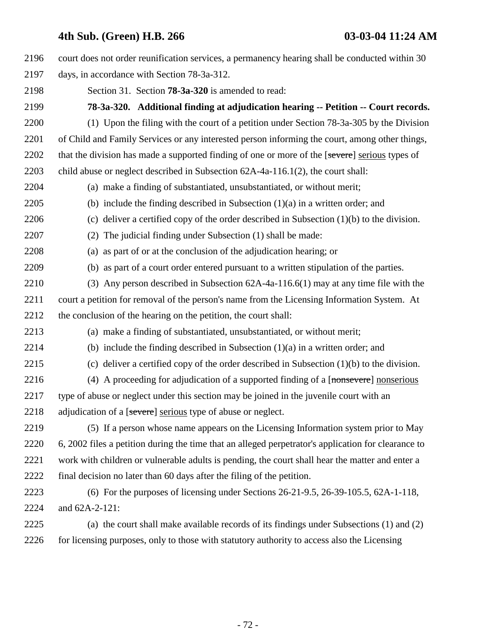| 2196 | court does not order reunification services, a permanency hearing shall be conducted within 30      |
|------|-----------------------------------------------------------------------------------------------------|
| 2197 | days, in accordance with Section 78-3a-312.                                                         |
| 2198 | Section 31. Section <b>78-3a-320</b> is amended to read:                                            |
| 2199 | 78-3a-320. Additional finding at adjudication hearing -- Petition -- Court records.                 |
| 2200 | (1) Upon the filing with the court of a petition under Section 78-3a-305 by the Division            |
| 2201 | of Child and Family Services or any interested person informing the court, among other things,      |
| 2202 | that the division has made a supported finding of one or more of the [severe] serious types of      |
| 2203 | child abuse or neglect described in Subsection 62A-4a-116.1(2), the court shall:                    |
| 2204 | (a) make a finding of substantiated, unsubstantiated, or without merit;                             |
| 2205 | (b) include the finding described in Subsection $(1)(a)$ in a written order; and                    |
| 2206 | (c) deliver a certified copy of the order described in Subsection $(1)(b)$ to the division.         |
| 2207 | The judicial finding under Subsection (1) shall be made:<br>(2)                                     |
| 2208 | (a) as part of or at the conclusion of the adjudication hearing; or                                 |
| 2209 | (b) as part of a court order entered pursuant to a written stipulation of the parties.              |
| 2210 | (3) Any person described in Subsection $62A-4a-116.6(1)$ may at any time file with the              |
| 2211 | court a petition for removal of the person's name from the Licensing Information System. At         |
| 2212 | the conclusion of the hearing on the petition, the court shall:                                     |
| 2213 | (a) make a finding of substantiated, unsubstantiated, or without merit;                             |
| 2214 | (b) include the finding described in Subsection $(1)(a)$ in a written order; and                    |
| 2215 | (c) deliver a certified copy of the order described in Subsection $(1)(b)$ to the division.         |
| 2216 | (4) A proceeding for adjudication of a supported finding of a $[n$ onserverel nonserious            |
| 2217 | type of abuse or neglect under this section may be joined in the juvenile court with an             |
| 2218 | adjudication of a [severe] serious type of abuse or neglect.                                        |
| 2219 | (5) If a person whose name appears on the Licensing Information system prior to May                 |
| 2220 | 6, 2002 files a petition during the time that an alleged perpetrator's application for clearance to |
| 2221 | work with children or vulnerable adults is pending, the court shall hear the matter and enter a     |
| 2222 | final decision no later than 60 days after the filing of the petition.                              |
| 2223 | (6) For the purposes of licensing under Sections $26-21-9.5$ , $26-39-105.5$ , $62A-1-118$ ,        |
| 2224 | and 62A-2-121:                                                                                      |
| 2225 | (a) the court shall make available records of its findings under Subsections (1) and (2)            |
| 2226 | for licensing purposes, only to those with statutory authority to access also the Licensing         |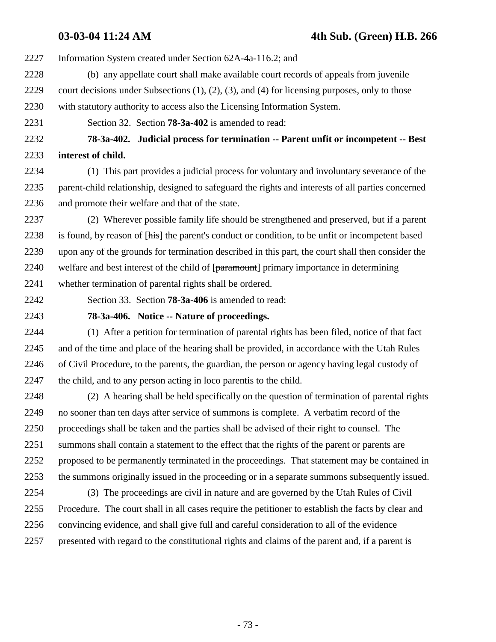- 2227 Information System created under Section 62A-4a-116.2; and
- 2228 (b) any appellate court shall make available court records of appeals from juvenile 2229 court decisions under Subsections (1), (2), (3), and (4) for licensing purposes, only to those 2230 with statutory authority to access also the Licensing Information System.
- 2231 Section 32. Section **78-3a-402** is amended to read:

2232 **78-3a-402. Judicial process for termination -- Parent unfit or incompetent -- Best** 2233 **interest of child.**

- 2234 (1) This part provides a judicial process for voluntary and involuntary severance of the 2235 parent-child relationship, designed to safeguard the rights and interests of all parties concerned 2236 and promote their welfare and that of the state.
- 2237 (2) Wherever possible family life should be strengthened and preserved, but if a parent 2238 is found, by reason of [his] the parent's conduct or condition, to be unfit or incompetent based 2239 upon any of the grounds for termination described in this part, the court shall then consider the 2240 welfare and best interest of the child of [paramount] primary importance in determining 2241 whether termination of parental rights shall be ordered.
- 

2242 Section 33. Section **78-3a-406** is amended to read:

## 2243 **78-3a-406. Notice -- Nature of proceedings.**

2244 (1) After a petition for termination of parental rights has been filed, notice of that fact 2245 and of the time and place of the hearing shall be provided, in accordance with the Utah Rules 2246 of Civil Procedure, to the parents, the guardian, the person or agency having legal custody of 2247 the child, and to any person acting in loco parentis to the child.

2248 (2) A hearing shall be held specifically on the question of termination of parental rights 2249 no sooner than ten days after service of summons is complete. A verbatim record of the 2250 proceedings shall be taken and the parties shall be advised of their right to counsel. The 2251 summons shall contain a statement to the effect that the rights of the parent or parents are 2252 proposed to be permanently terminated in the proceedings. That statement may be contained in 2253 the summons originally issued in the proceeding or in a separate summons subsequently issued.

2254 (3) The proceedings are civil in nature and are governed by the Utah Rules of Civil 2255 Procedure. The court shall in all cases require the petitioner to establish the facts by clear and 2256 convincing evidence, and shall give full and careful consideration to all of the evidence 2257 presented with regard to the constitutional rights and claims of the parent and, if a parent is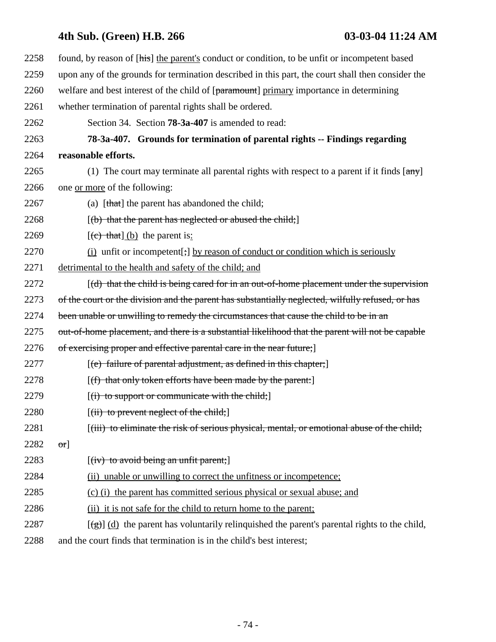# **4th Sub. (Green) H.B. 266 03-03-04 11:24 AM**

| 2258 | found, by reason of [his] the parent's conduct or condition, to be unfit or incompetent based                      |
|------|--------------------------------------------------------------------------------------------------------------------|
| 2259 | upon any of the grounds for termination described in this part, the court shall then consider the                  |
| 2260 | welfare and best interest of the child of [paramount] primary importance in determining                            |
| 2261 | whether termination of parental rights shall be ordered.                                                           |
| 2262 | Section 34. Section <b>78-3a-407</b> is amended to read:                                                           |
| 2263 | 78-3a-407. Grounds for termination of parental rights -- Findings regarding                                        |
| 2264 | reasonable efforts.                                                                                                |
| 2265 | (1) The court may terminate all parental rights with respect to a parent if it finds $\lceil \frac{any}{ } \rceil$ |
| 2266 | one or more of the following:                                                                                      |
| 2267 | (a) [that] the parent has abandoned the child;                                                                     |
| 2268 | $[(b)$ that the parent has neglected or abused the child;                                                          |
| 2269 | $[$ (c) that $]$ (b) the parent is:                                                                                |
| 2270 | (i) unfit or incompetent[;] by reason of conduct or condition which is seriously                                   |
| 2271 | detrimental to the health and safety of the child; and                                                             |
| 2272 | $[(d)$ that the child is being cared for in an out-of-home placement under the supervision                         |
| 2273 | of the court or the division and the parent has substantially neglected, wilfully refused, or has                  |
| 2274 | been unable or unwilling to remedy the circumstances that cause the child to be in an                              |
| 2275 | out-of-home placement, and there is a substantial likelihood that the parent will not be capable                   |
| 2276 | of exercising proper and effective parental care in the near future;                                               |
| 2277 | $[$ (e) failure of parental adjustment, as defined in this chapter;                                                |
| 2278 | $[(f)$ that only token efforts have been made by the parent:                                                       |
| 2279 | $[(i)$ to support or communicate with the child;                                                                   |
| 2280 | $[(ii)$ to prevent neglect of the child;                                                                           |
| 2281 | [(iii) to eliminate the risk of serious physical, mental, or emotional abuse of the child;                         |
| 2282 | $\sigma$ r]                                                                                                        |
| 2283 | [(iv) to avoid being an unfit parent;]                                                                             |
| 2284 | (ii) unable or unwilling to correct the unfitness or incompetence;                                                 |
| 2285 | (c) (i) the parent has committed serious physical or sexual abuse; and                                             |
| 2286 | (ii) it is not safe for the child to return home to the parent;                                                    |
| 2287 | $[\frac{1}{2}]$ (d) the parent has voluntarily relinquished the parent's parental rights to the child,             |
| 2288 | and the court finds that termination is in the child's best interest;                                              |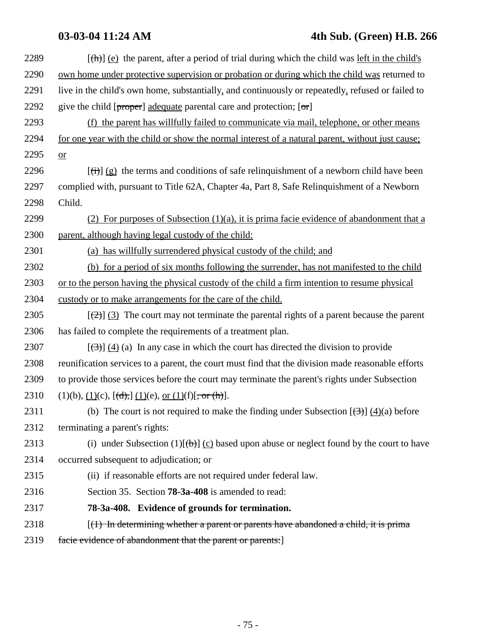| 2289 | $[\frac{h}{\theta}]$ (e) the parent, after a period of trial during which the child was left in the child's |
|------|-------------------------------------------------------------------------------------------------------------|
| 2290 | own home under protective supervision or probation or during which the child was returned to                |
| 2291 | live in the child's own home, substantially, and continuously or repeatedly, refused or failed to           |
| 2292 | give the child $[proper]$ adequate parental care and protection; $[\sigma]r]$                               |
| 2293 | (f) the parent has willfully failed to communicate via mail, telephone, or other means                      |
| 2294 | for one year with the child or show the normal interest of a natural parent, without just cause;            |
| 2295 | or                                                                                                          |
| 2296 | $[\overrightarrow{(t)}]$ (g) the terms and conditions of safe relinquishment of a newborn child have been   |
| 2297 | complied with, pursuant to Title 62A, Chapter 4a, Part 8, Safe Relinquishment of a Newborn                  |
| 2298 | Child.                                                                                                      |
| 2299 | (2) For purposes of Subsection $(1)(a)$ , it is prima facie evidence of abandonment that a                  |
| 2300 | parent, although having legal custody of the child:                                                         |
| 2301 | (a) has willfully surrendered physical custody of the child; and                                            |
| 2302 | (b) for a period of six months following the surrender, has not manifested to the child                     |
| 2303 | or to the person having the physical custody of the child a firm intention to resume physical               |
| 2304 | custody or to make arrangements for the care of the child.                                                  |
| 2305 | $[\frac{1}{2}]$ (3) The court may not terminate the parental rights of a parent because the parent          |
| 2306 | has failed to complete the requirements of a treatment plan.                                                |
| 2307 | $[\left(\frac{1}{2}\right)]$ (4) (a) In any case in which the court has directed the division to provide    |
| 2308 | reunification services to a parent, the court must find that the division made reasonable efforts           |
| 2309 | to provide those services before the court may terminate the parent's rights under Subsection               |
| 2310 | $(1)(b), (1)(c), [\frac{d}{c}, (1)(e), \text{ or } (1)(f), \text{ or } (\frac{h}{c})].$                     |
| 2311 | (b) The court is not required to make the finding under Subsection $[\frac{(3)}{(4)}]$ (4)(a) before        |
| 2312 | terminating a parent's rights:                                                                              |
| 2313 | (i) under Subsection (1) $[\theta]$ (c) based upon abuse or neglect found by the court to have              |
| 2314 | occurred subsequent to adjudication; or                                                                     |
| 2315 | (ii) if reasonable efforts are not required under federal law.                                              |
| 2316 | Section 35. Section <b>78-3a-408</b> is amended to read:                                                    |
| 2317 | 78-3a-408. Evidence of grounds for termination.                                                             |
| 2318 | $(1)$ In determining whether a parent or parents have abandoned a child, it is prima                        |
| 2319 | facie evidence of abandonment that the parent or parents:                                                   |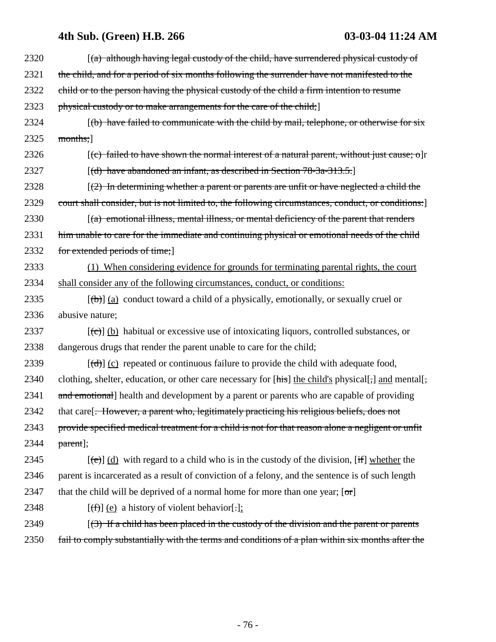# **4th Sub. (Green) H.B. 266 03-03-04 11:24 AM**

| 2321 | the child, and for a period of six months following the surrender have not manifested to the              |
|------|-----------------------------------------------------------------------------------------------------------|
|      |                                                                                                           |
| 2322 | child or to the person having the physical custody of the child a firm intention to resume                |
| 2323 | physical custody or to make arrangements for the care of the child;                                       |
| 2324 | $(\mathbf{b})$ have failed to communicate with the child by mail, telephone, or otherwise for six         |
| 2325 | months;                                                                                                   |
| 2326 | $[(c)$ failed to have shown the normal interest of a natural parent, without just cause; o]r              |
| 2327 | $[(d)$ have abandoned an infant, as described in Section 78-3a-313.5.                                     |
| 2328 | $(2)$ In determining whether a parent or parents are unfit or have neglected a child the                  |
| 2329 | court shall consider, but is not limited to, the following circumstances, conduct, or conditions:]        |
| 2330 | $[(a)$ emotional illness, mental illness, or mental deficiency of the parent that renders                 |
| 2331 | him unable to care for the immediate and continuing physical or emotional needs of the child              |
| 2332 | for extended periods of time;                                                                             |
| 2333 | (1) When considering evidence for grounds for terminating parental rights, the court                      |
| 2334 | shall consider any of the following circumstances, conduct, or conditions:                                |
| 2335 | $[\theta]$ (a) conduct toward a child of a physically, emotionally, or sexually cruel or                  |
| 2336 | abusive nature;                                                                                           |
| 2337 | $[\text{(-c)}]$ (b) habitual or excessive use of intoxicating liquors, controlled substances, or          |
| 2338 | dangerous drugs that render the parent unable to care for the child;                                      |
| 2339 | $[\text{(\text{d})}]$ (c) repeated or continuous failure to provide the child with adequate food,         |
| 2340 | clothing, shelter, education, or other care necessary for [his] the child's physical[,] and mental[,      |
| 2341 | and emotional] health and development by a parent or parents who are capable of providing                 |
| 2342 | that care[ <del>. However, a parent who, legitimately practicing his religious beliefs, does not</del>    |
| 2343 | provide specified medical treatment for a child is not for that reason alone a negligent or unfit         |
| 2344 | $part$ ];                                                                                                 |
| 2345 | $[\text{e}(\text{e})]$ (d) with regard to a child who is in the custody of the division, [if] whether the |
| 2346 | parent is incarcerated as a result of conviction of a felony, and the sentence is of such length          |
| 2347 | that the child will be deprived of a normal home for more than one year; $[\sigma r]$                     |
| 2348 | $[\text{f}(\text{f})]$ (e) a history of violent behavior[.]:                                              |
| 2349 | $(3)$ If a child has been placed in the custody of the division and the parent or parents                 |
| 2350 | fail to comply substantially with the terms and conditions of a plan within six months after the          |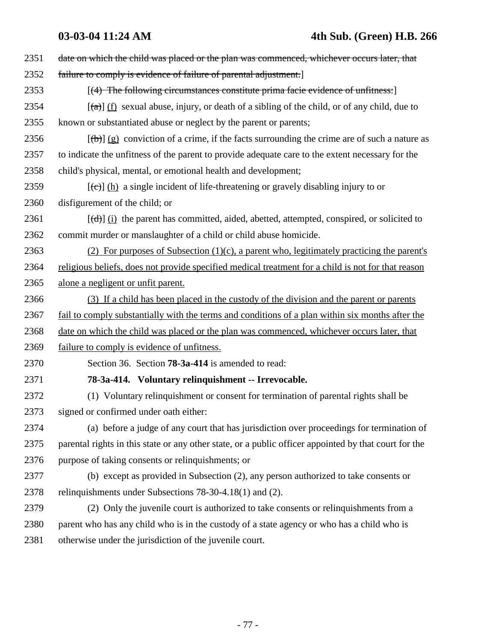| 2351 | date on which the child was placed or the plan was commenced, whichever occurs later, that                            |
|------|-----------------------------------------------------------------------------------------------------------------------|
| 2352 | failure to comply is evidence of failure of parental adjustment.                                                      |
| 2353 | [(4) The following circumstances constitute prima facie evidence of unfitness:]                                       |
| 2354 | $\left[\frac{a}{\alpha}\right]$ (f) sexual abuse, injury, or death of a sibling of the child, or of any child, due to |
| 2355 | known or substantiated abuse or neglect by the parent or parents;                                                     |
| 2356 | $[\frac{1}{2}]$ (g) conviction of a crime, if the facts surrounding the crime are of such a nature as                 |
| 2357 | to indicate the unfitness of the parent to provide adequate care to the extent necessary for the                      |
| 2358 | child's physical, mental, or emotional health and development;                                                        |
| 2359 | $[\text{(-c)}]$ (h) a single incident of life-threatening or gravely disabling injury to or                           |
| 2360 | disfigurement of the child; or                                                                                        |
| 2361 | $[\text{(\text{d})}]$ (i) the parent has committed, aided, abetted, attempted, conspired, or solicited to             |
| 2362 | commit murder or manslaughter of a child or child abuse homicide.                                                     |
| 2363 | (2) For purposes of Subsection $(1)(c)$ , a parent who, legitimately practicing the parent's                          |
| 2364 | religious beliefs, does not provide specified medical treatment for a child is not for that reason                    |
| 2365 | alone a negligent or unfit parent.                                                                                    |
| 2366 | (3) If a child has been placed in the custody of the division and the parent or parents                               |
| 2367 | fail to comply substantially with the terms and conditions of a plan within six months after the                      |
| 2368 | date on which the child was placed or the plan was commenced, whichever occurs later, that                            |
| 2369 | failure to comply is evidence of unfitness.                                                                           |
| 2370 | Section 36. Section <b>78-3a-414</b> is amended to read:                                                              |
| 2371 | 78-3a-414. Voluntary relinquishment -- Irrevocable.                                                                   |
| 2372 | (1) Voluntary relinquishment or consent for termination of parental rights shall be                                   |
| 2373 | signed or confirmed under oath either:                                                                                |
| 2374 | (a) before a judge of any court that has jurisdiction over proceedings for termination of                             |
| 2375 | parental rights in this state or any other state, or a public officer appointed by that court for the                 |
| 2376 | purpose of taking consents or relinquishments; or                                                                     |
| 2377 | (b) except as provided in Subsection (2), any person authorized to take consents or                                   |
| 2378 | relinquishments under Subsections 78-30-4.18(1) and (2).                                                              |
| 2379 | (2) Only the juvenile court is authorized to take consents or relinquishments from a                                  |
| 2380 | parent who has any child who is in the custody of a state agency or who has a child who is                            |
| 2381 | otherwise under the jurisdiction of the juvenile court.                                                               |
|      |                                                                                                                       |